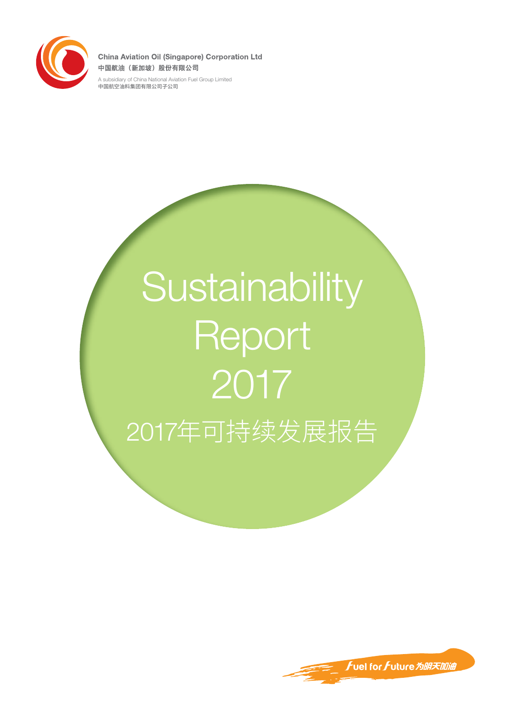

**China Aviation Oil (Singapore) Corporation Ltd** 中国航油 (新加坡) 股份有限公司

A subsidiary of China National Aviation Fuel Group Limited 中国航空油料集团有限公司子公司

# **Sustainability Report** 2017 2017年可持续发展报告

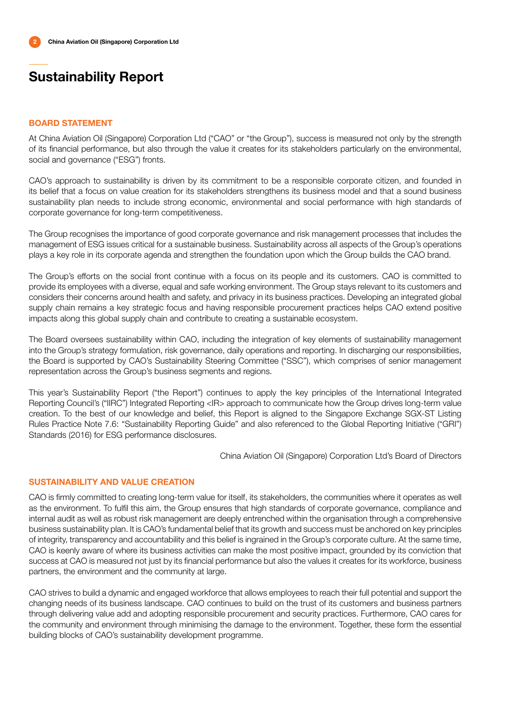### BOARD STATEMENT

At China Aviation Oil (Singapore) Corporation Ltd ("CAO" or "the Group"), success is measured not only by the strength of its financial performance, but also through the value it creates for its stakeholders particularly on the environmental, social and governance ("ESG") fronts.

CAO's approach to sustainability is driven by its commitment to be a responsible corporate citizen, and founded in its belief that a focus on value creation for its stakeholders strengthens its business model and that a sound business sustainability plan needs to include strong economic, environmental and social performance with high standards of corporate governance for long-term competitiveness.

The Group recognises the importance of good corporate governance and risk management processes that includes the management of ESG issues critical for a sustainable business. Sustainability across all aspects of the Group's operations plays a key role in its corporate agenda and strengthen the foundation upon which the Group builds the CAO brand.

The Group's efforts on the social front continue with a focus on its people and its customers. CAO is committed to provide its employees with a diverse, equal and safe working environment. The Group stays relevant to its customers and considers their concerns around health and safety, and privacy in its business practices. Developing an integrated global supply chain remains a key strategic focus and having responsible procurement practices helps CAO extend positive impacts along this global supply chain and contribute to creating a sustainable ecosystem.

The Board oversees sustainability within CAO, including the integration of key elements of sustainability management into the Group's strategy formulation, risk governance, daily operations and reporting. In discharging our responsibilities, the Board is supported by CAO's Sustainability Steering Committee ("SSC"), which comprises of senior management representation across the Group's business segments and regions.

This year's Sustainability Report ("the Report") continues to apply the key principles of the International Integrated Reporting Council's ("IIRC") Integrated Reporting <IR> approach to communicate how the Group drives long-term value creation. To the best of our knowledge and belief, this Report is aligned to the Singapore Exchange SGX-ST Listing Rules Practice Note 7.6: "Sustainability Reporting Guide" and also referenced to the Global Reporting Initiative ("GRI") Standards (2016) for ESG performance disclosures.

China Aviation Oil (Singapore) Corporation Ltd's Board of Directors

### SUSTAINABILITY AND VALUE CREATION

CAO is firmly committed to creating long-term value for itself, its stakeholders, the communities where it operates as well as the environment. To fulfil this aim, the Group ensures that high standards of corporate governance, compliance and internal audit as well as robust risk management are deeply entrenched within the organisation through a comprehensive business sustainability plan. It is CAO's fundamental belief that its growth and success must be anchored on key principles of integrity, transparency and accountability and this belief is ingrained in the Group's corporate culture. At the same time, CAO is keenly aware of where its business activities can make the most positive impact, grounded by its conviction that success at CAO is measured not just by its financial performance but also the values it creates for its workforce, business partners, the environment and the community at large.

CAO strives to build a dynamic and engaged workforce that allows employees to reach their full potential and support the changing needs of its business landscape. CAO continues to build on the trust of its customers and business partners through delivering value add and adopting responsible procurement and security practices. Furthermore, CAO cares for the community and environment through minimising the damage to the environment. Together, these form the essential building blocks of CAO's sustainability development programme.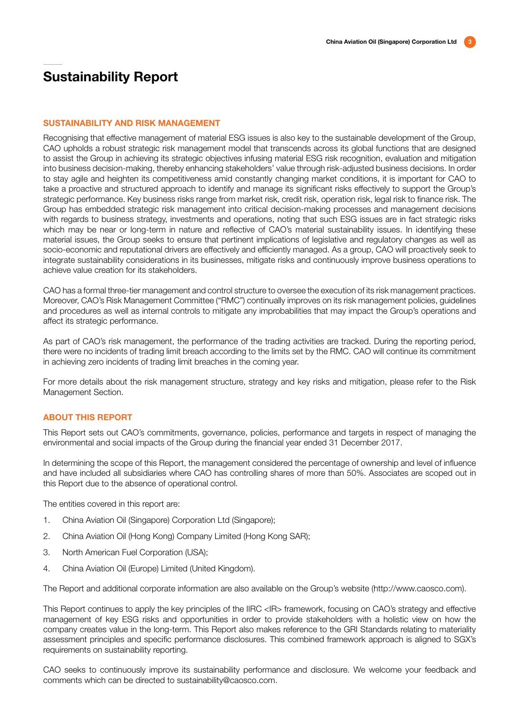#### SUSTAINABILITY AND RISK MANAGEMENT

Recognising that effective management of material ESG issues is also key to the sustainable development of the Group, CAO upholds a robust strategic risk management model that transcends across its global functions that are designed to assist the Group in achieving its strategic objectives infusing material ESG risk recognition, evaluation and mitigation into business decision-making, thereby enhancing stakeholders' value through risk-adjusted business decisions. In order to stay agile and heighten its competitiveness amid constantly changing market conditions, it is important for CAO to take a proactive and structured approach to identify and manage its significant risks effectively to support the Group's strategic performance. Key business risks range from market risk, credit risk, operation risk, legal risk to finance risk. The Group has embedded strategic risk management into critical decision-making processes and management decisions with regards to business strategy, investments and operations, noting that such ESG issues are in fact strategic risks which may be near or long-term in nature and reflective of CAO's material sustainability issues. In identifying these material issues, the Group seeks to ensure that pertinent implications of legislative and regulatory changes as well as socio-economic and reputational drivers are effectively and efficiently managed. As a group, CAO will proactively seek to integrate sustainability considerations in its businesses, mitigate risks and continuously improve business operations to achieve value creation for its stakeholders.

CAO has a formal three-tier management and control structure to oversee the execution of its risk management practices. Moreover, CAO's Risk Management Committee ("RMC") continually improves on its risk management policies, guidelines and procedures as well as internal controls to mitigate any improbabilities that may impact the Group's operations and affect its strategic performance.

As part of CAO's risk management, the performance of the trading activities are tracked. During the reporting period, there were no incidents of trading limit breach according to the limits set by the RMC. CAO will continue its commitment in achieving zero incidents of trading limit breaches in the coming year.

For more details about the risk management structure, strategy and key risks and mitigation, please refer to the Risk Management Section.

### ABOUT THIS REPORT

This Report sets out CAO's commitments, governance, policies, performance and targets in respect of managing the environmental and social impacts of the Group during the financial year ended 31 December 2017.

In determining the scope of this Report, the management considered the percentage of ownership and level of influence and have included all subsidiaries where CAO has controlling shares of more than 50%. Associates are scoped out in this Report due to the absence of operational control.

The entities covered in this report are:

- 1. China Aviation Oil (Singapore) Corporation Ltd (Singapore);
- 2. China Aviation Oil (Hong Kong) Company Limited (Hong Kong SAR);
- 3. North American Fuel Corporation (USA);
- 4. China Aviation Oil (Europe) Limited (United Kingdom).

The Report and additional corporate information are also available on the Group's website (http://www.caosco.com).

This Report continues to apply the key principles of the IIRC <IR> framework, focusing on CAO's strategy and effective management of key ESG risks and opportunities in order to provide stakeholders with a holistic view on how the company creates value in the long-term. This Report also makes reference to the GRI Standards relating to materiality assessment principles and specific performance disclosures. This combined framework approach is aligned to SGX's requirements on sustainability reporting.

CAO seeks to continuously improve its sustainability performance and disclosure. We welcome your feedback and comments which can be directed to sustainability@caosco.com.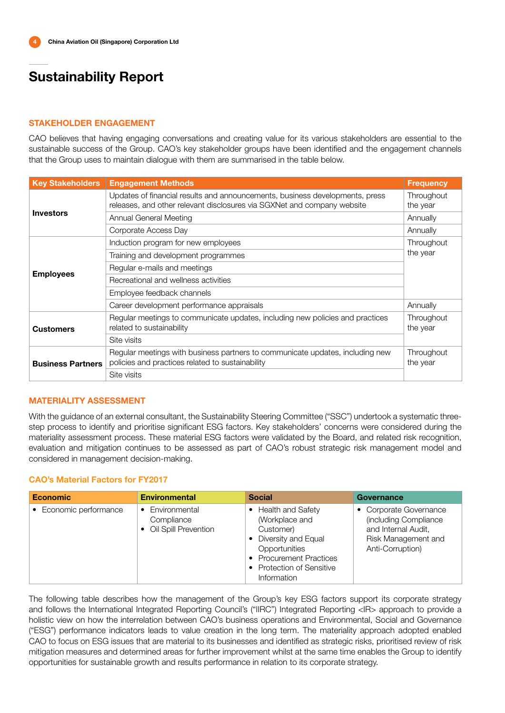### STAKEHOLDER ENGAGEMENT

CAO believes that having engaging conversations and creating value for its various stakeholders are essential to the sustainable success of the Group. CAO's key stakeholder groups have been identified and the engagement channels that the Group uses to maintain dialogue with them are summarised in the table below.

| <b>Key Stakeholders</b>  | <b>Engagement Methods</b>                                                                                                                               | <b>Frequency</b>       |
|--------------------------|---------------------------------------------------------------------------------------------------------------------------------------------------------|------------------------|
|                          | Updates of financial results and announcements, business developments, press<br>releases, and other relevant disclosures via SGXNet and company website | Throughout<br>the year |
| <b>Investors</b>         | Annual General Meeting                                                                                                                                  | Annually               |
|                          | Corporate Access Day                                                                                                                                    | Annually               |
|                          | Induction program for new employees                                                                                                                     | Throughout             |
|                          | Training and development programmes                                                                                                                     | the year               |
|                          | Regular e-mails and meetings                                                                                                                            |                        |
| <b>Employees</b>         | Recreational and wellness activities                                                                                                                    |                        |
|                          | Employee feedback channels                                                                                                                              |                        |
|                          | Career development performance appraisals                                                                                                               | Annually               |
| <b>Customers</b>         | Regular meetings to communicate updates, including new policies and practices<br>related to sustainability                                              | Throughout<br>the year |
|                          | Site visits                                                                                                                                             |                        |
| <b>Business Partners</b> | Regular meetings with business partners to communicate updates, including new<br>policies and practices related to sustainability                       | Throughout<br>the year |
|                          | Site visits                                                                                                                                             |                        |

### MATERIALITY ASSESSMENT

With the guidance of an external consultant, the Sustainability Steering Committee ("SSC") undertook a systematic threestep process to identify and prioritise significant ESG factors. Key stakeholders' concerns were considered during the materiality assessment process. These material ESG factors were validated by the Board, and related risk recognition, evaluation and mitigation continues to be assessed as part of CAO's robust strategic risk management model and considered in management decision-making.

### CAO's Material Factors for FY2017

| <b>Economic</b>        | <b>Environmental</b>                                    | <b>Social</b>                                                                                                                                                            | <b>Governance</b>                                                                                                 |
|------------------------|---------------------------------------------------------|--------------------------------------------------------------------------------------------------------------------------------------------------------------------------|-------------------------------------------------------------------------------------------------------------------|
| • Economic performance | • Environmental<br>Compliance<br>• Oil Spill Prevention | <b>Health and Safety</b><br>(Workplace and<br>Customer)<br>• Diversity and Equal<br>Opportunities<br>• Procurement Practices<br>• Protection of Sensitive<br>Information | • Corporate Governance<br>(including Compliance<br>and Internal Audit,<br>Risk Management and<br>Anti-Corruption) |

The following table describes how the management of the Group's key ESG factors support its corporate strategy and follows the International Integrated Reporting Council's ("IIRC") Integrated Reporting <IR> approach to provide a holistic view on how the interrelation between CAO's business operations and Environmental, Social and Governance ("ESG") performance indicators leads to value creation in the long term. The materiality approach adopted enabled CAO to focus on ESG issues that are material to its businesses and identified as strategic risks, prioritised review of risk mitigation measures and determined areas for further improvement whilst at the same time enables the Group to identify opportunities for sustainable growth and results performance in relation to its corporate strategy.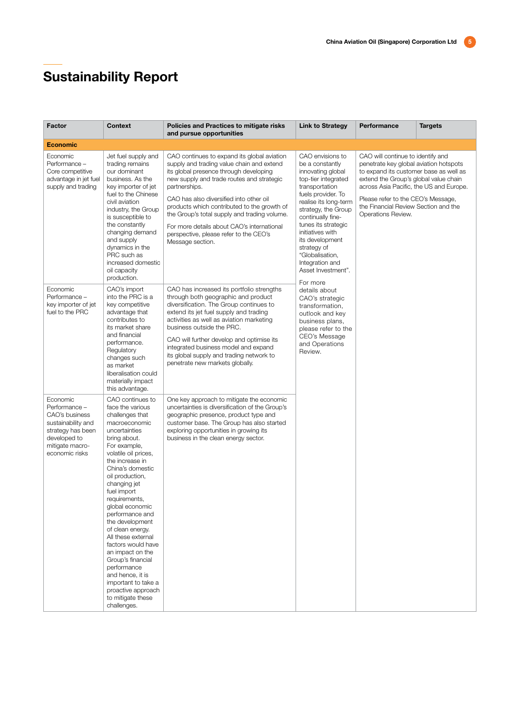| Factor                                                                                                                                      | <b>Context</b>                                                                                                                                                                                                                                                                                                                                                                                                                                                                                                                                    | Policies and Practices to mitigate risks<br>and pursue opportunities                                                                                                                                                                                                                                                                                                                                                                                   | <b>Link to Strategy</b>                                                                                                                                                                                                                                                                                                                           | Performance                                                                                                                                                                                                                                                                                                   | <b>Targets</b> |
|---------------------------------------------------------------------------------------------------------------------------------------------|---------------------------------------------------------------------------------------------------------------------------------------------------------------------------------------------------------------------------------------------------------------------------------------------------------------------------------------------------------------------------------------------------------------------------------------------------------------------------------------------------------------------------------------------------|--------------------------------------------------------------------------------------------------------------------------------------------------------------------------------------------------------------------------------------------------------------------------------------------------------------------------------------------------------------------------------------------------------------------------------------------------------|---------------------------------------------------------------------------------------------------------------------------------------------------------------------------------------------------------------------------------------------------------------------------------------------------------------------------------------------------|---------------------------------------------------------------------------------------------------------------------------------------------------------------------------------------------------------------------------------------------------------------------------------------------------------------|----------------|
| <b>Economic</b>                                                                                                                             |                                                                                                                                                                                                                                                                                                                                                                                                                                                                                                                                                   |                                                                                                                                                                                                                                                                                                                                                                                                                                                        |                                                                                                                                                                                                                                                                                                                                                   |                                                                                                                                                                                                                                                                                                               |                |
| Economic<br>Performance -<br>Core competitive<br>advantage in jet fuel<br>supply and trading                                                | Jet fuel supply and<br>trading remains<br>our dominant<br>business. As the<br>key importer of jet<br>fuel to the Chinese<br>civil aviation<br>industry, the Group<br>is susceptible to<br>the constantly<br>changing demand<br>and supply<br>dynamics in the<br>PRC such as<br>increased domestic<br>oil capacity<br>production.                                                                                                                                                                                                                  | CAO continues to expand its global aviation<br>supply and trading value chain and extend<br>its global presence through developing<br>new supply and trade routes and strategic<br>partnerships.<br>CAO has also diversified into other oil<br>products which contributed to the growth of<br>the Group's total supply and trading volume.<br>For more details about CAO's international<br>perspective, please refer to the CEO's<br>Message section. | CAO envisions to<br>be a constantly<br>innovating global<br>top-tier integrated<br>transportation<br>fuels provider. To<br>realise its long-term<br>strategy, the Group<br>continually fine-<br>tunes its strategic<br>initiatives with<br>its development<br>strategy of<br>"Globalisation,<br>Integration and<br>Asset Investment".<br>For more | CAO will continue to identify and<br>penetrate key global aviation hotspots<br>to expand its customer base as well as<br>extend the Group's global value chain<br>across Asia Pacific, the US and Europe.<br>Please refer to the CEO's Message,<br>the Financial Review Section and the<br>Operations Review. |                |
| Economic<br>Performance -<br>key importer of jet<br>fuel to the PRC                                                                         | CAO's import<br>into the PRC is a<br>key competitive<br>advantage that<br>contributes to<br>its market share<br>and financial<br>performance.<br>Regulatory<br>changes such<br>as market<br>liberalisation could<br>materially impact<br>this advantage.                                                                                                                                                                                                                                                                                          | CAO has increased its portfolio strengths<br>through both geographic and product<br>diversification. The Group continues to<br>extend its jet fuel supply and trading<br>activities as well as aviation marketing<br>business outside the PRC.<br>CAO will further develop and optimise its<br>integrated business model and expand<br>its global supply and trading network to<br>penetrate new markets globally.                                     | details about<br>CAO's strategic<br>transformation,<br>outlook and key<br>business plans,<br>please refer to the<br>CEO's Message<br>and Operations<br>Review.                                                                                                                                                                                    |                                                                                                                                                                                                                                                                                                               |                |
| Economic<br>Performance -<br>CAO's business<br>sustainability and<br>strategy has been<br>developed to<br>mitigate macro-<br>economic risks | CAO continues to<br>face the various<br>challenges that<br>macroeconomic<br>uncertainties<br>bring about.<br>For example,<br>volatile oil prices,<br>the increase in<br>China's domestic<br>oil production,<br>changing jet<br>fuel import<br>requirements,<br>global economic<br>performance and<br>the development<br>of clean energy.<br>All these external<br>factors would have<br>an impact on the<br>Group's financial<br>performance<br>and hence, it is<br>important to take a<br>proactive approach<br>to mitigate these<br>challenges. | One key approach to mitigate the economic<br>uncertainties is diversification of the Group's<br>geographic presence, product type and<br>customer base. The Group has also started<br>exploring opportunities in growing its<br>business in the clean energy sector.                                                                                                                                                                                   |                                                                                                                                                                                                                                                                                                                                                   |                                                                                                                                                                                                                                                                                                               |                |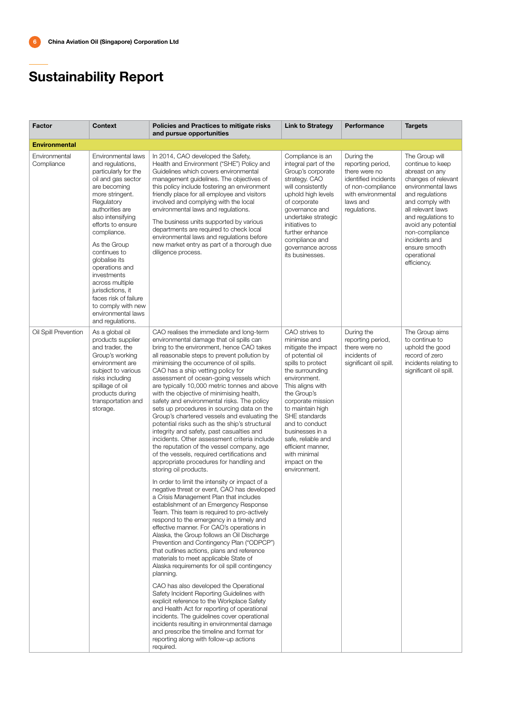| <b>Factor</b>               | <b>Context</b>                                                                                                                                                                                                                                                                                                                                                                                                                       | Policies and Practices to mitigate risks<br>and pursue opportunities                                                                                                                                                                                                                                                                                                                                                                                                                                                                                                                                                                                                                                                                                                                                                                                                                                                                                                                                                                                                                                                                                                                                                                                                                                                                                                                                                                                                                                                                                                                                                                                                                                                                                                                                                      | <b>Link to Strategy</b>                                                                                                                                                                                                                                                                                                                                         | Performance                                                                                                                                     | <b>Targets</b>                                                                                                                                                                                                                                                                              |
|-----------------------------|--------------------------------------------------------------------------------------------------------------------------------------------------------------------------------------------------------------------------------------------------------------------------------------------------------------------------------------------------------------------------------------------------------------------------------------|---------------------------------------------------------------------------------------------------------------------------------------------------------------------------------------------------------------------------------------------------------------------------------------------------------------------------------------------------------------------------------------------------------------------------------------------------------------------------------------------------------------------------------------------------------------------------------------------------------------------------------------------------------------------------------------------------------------------------------------------------------------------------------------------------------------------------------------------------------------------------------------------------------------------------------------------------------------------------------------------------------------------------------------------------------------------------------------------------------------------------------------------------------------------------------------------------------------------------------------------------------------------------------------------------------------------------------------------------------------------------------------------------------------------------------------------------------------------------------------------------------------------------------------------------------------------------------------------------------------------------------------------------------------------------------------------------------------------------------------------------------------------------------------------------------------------------|-----------------------------------------------------------------------------------------------------------------------------------------------------------------------------------------------------------------------------------------------------------------------------------------------------------------------------------------------------------------|-------------------------------------------------------------------------------------------------------------------------------------------------|---------------------------------------------------------------------------------------------------------------------------------------------------------------------------------------------------------------------------------------------------------------------------------------------|
| <b>Environmental</b>        |                                                                                                                                                                                                                                                                                                                                                                                                                                      |                                                                                                                                                                                                                                                                                                                                                                                                                                                                                                                                                                                                                                                                                                                                                                                                                                                                                                                                                                                                                                                                                                                                                                                                                                                                                                                                                                                                                                                                                                                                                                                                                                                                                                                                                                                                                           |                                                                                                                                                                                                                                                                                                                                                                 |                                                                                                                                                 |                                                                                                                                                                                                                                                                                             |
| Environmental<br>Compliance | Environmental laws<br>and regulations,<br>particularly for the<br>oil and gas sector<br>are becoming<br>more stringent.<br>Regulatory<br>authorities are<br>also intensifying<br>efforts to ensure<br>compliance.<br>As the Group<br>continues to<br>globalise its<br>operations and<br>investments<br>across multiple<br>jurisdictions, it<br>faces risk of failure<br>to comply with new<br>environmental laws<br>and regulations. | In 2014, CAO developed the Safety,<br>Health and Environment ("SHE") Policy and<br>Guidelines which covers environmental<br>management guidelines. The objectives of<br>this policy include fostering an environment<br>friendly place for all employee and visitors<br>involved and complying with the local<br>environmental laws and regulations.<br>The business units supported by various<br>departments are required to check local<br>environmental laws and regulations before<br>new market entry as part of a thorough due<br>diligence process.                                                                                                                                                                                                                                                                                                                                                                                                                                                                                                                                                                                                                                                                                                                                                                                                                                                                                                                                                                                                                                                                                                                                                                                                                                                               | Compliance is an<br>integral part of the<br>Group's corporate<br>strategy. CAO<br>will consistently<br>uphold high levels<br>of corporate<br>governance and<br>undertake strategic<br>initiatives to<br>further enhance<br>compliance and<br>governance across<br>its businesses.                                                                               | During the<br>reporting period,<br>there were no<br>identified incidents<br>of non-compliance<br>with environmental<br>laws and<br>regulations. | The Group will<br>continue to keep<br>abreast on any<br>changes of relevant<br>environmental laws<br>and regulations<br>and comply with<br>all relevant laws<br>and regulations to<br>avoid any potential<br>non-compliance<br>incidents and<br>ensure smooth<br>operational<br>efficiency. |
| Oil Spill Prevention        | As a global oil<br>products supplier<br>and trader, the<br>Group's working<br>environment are<br>subject to various<br>risks including<br>spillage of oil<br>products during<br>transportation and<br>storage.                                                                                                                                                                                                                       | CAO realises the immediate and long-term<br>environmental damage that oil spills can<br>bring to the environment, hence CAO takes<br>all reasonable steps to prevent pollution by<br>minimising the occurrence of oil spills.<br>CAO has a ship vetting policy for<br>assessment of ocean-going vessels which<br>are typically 10,000 metric tonnes and above<br>with the objective of minimising health,<br>safety and environmental risks. The policy<br>sets up procedures in sourcing data on the<br>Group's chartered vessels and evaluating the<br>potential risks such as the ship's structural<br>integrity and safety, past casualties and<br>incidents. Other assessment criteria include<br>the reputation of the vessel company, age<br>of the vessels, required certifications and<br>appropriate procedures for handling and<br>storing oil products.<br>In order to limit the intensity or impact of a<br>negative threat or event, CAO has developed<br>a Crisis Management Plan that includes<br>establishment of an Emergency Response<br>Team. This team is required to pro-actively<br>respond to the emergency in a timely and<br>effective manner. For CAO's operations in<br>Alaska, the Group follows an Oil Discharge<br>Prevention and Contingency Plan ("ODPCP")<br>that outlines actions, plans and reference<br>materials to meet applicable State of<br>Alaska requirements for oil spill contingency<br>planning.<br>CAO has also developed the Operational<br>Safety Incident Reporting Guidelines with<br>explicit reference to the Workplace Safety<br>and Health Act for reporting of operational<br>incidents. The guidelines cover operational<br>incidents resulting in environmental damage<br>and prescribe the timeline and format for<br>reporting along with follow-up actions | CAO strives to<br>minimise and<br>mitigate the impact<br>of potential oil<br>spills to protect<br>the surrounding<br>environment.<br>This aligns with<br>the Group's<br>corporate mission<br>to maintain high<br>SHE standards<br>and to conduct<br>businesses in a<br>safe, reliable and<br>efficient manner,<br>with minimal<br>impact on the<br>environment. | During the<br>reporting period,<br>there were no<br>incidents of<br>significant oil spill.                                                      | The Group aims<br>to continue to<br>uphold the good<br>record of zero<br>incidents relating to<br>significant oil spill.                                                                                                                                                                    |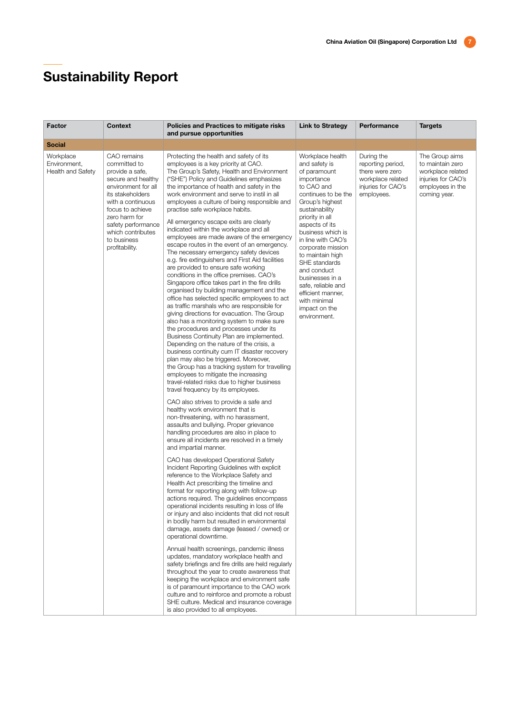| Factor                                         | <b>Context</b>                                                                                                                                                                                                                                        | Policies and Practices to mitigate risks<br>and pursue opportunities                                                                                                                                                                                                                                                                                                                                                                                                                                                                                                                                                                                                                                                                                                                                                                                                                                                                                                                                                                                                                                                                                                                                                                                                                                                                                                                                                                                                                                                                                                                                                                                                                                                                                                                                                                                                                                                                                                                                                                                                                                                                                                                                                                                                                                                                                                                                                                                                                                                 | <b>Link to Strategy</b>                                                                                                                                                                                                                                                                                                                                                                                           | Performance                                                                                                 | <b>Targets</b>                                                                                                    |
|------------------------------------------------|-------------------------------------------------------------------------------------------------------------------------------------------------------------------------------------------------------------------------------------------------------|----------------------------------------------------------------------------------------------------------------------------------------------------------------------------------------------------------------------------------------------------------------------------------------------------------------------------------------------------------------------------------------------------------------------------------------------------------------------------------------------------------------------------------------------------------------------------------------------------------------------------------------------------------------------------------------------------------------------------------------------------------------------------------------------------------------------------------------------------------------------------------------------------------------------------------------------------------------------------------------------------------------------------------------------------------------------------------------------------------------------------------------------------------------------------------------------------------------------------------------------------------------------------------------------------------------------------------------------------------------------------------------------------------------------------------------------------------------------------------------------------------------------------------------------------------------------------------------------------------------------------------------------------------------------------------------------------------------------------------------------------------------------------------------------------------------------------------------------------------------------------------------------------------------------------------------------------------------------------------------------------------------------------------------------------------------------------------------------------------------------------------------------------------------------------------------------------------------------------------------------------------------------------------------------------------------------------------------------------------------------------------------------------------------------------------------------------------------------------------------------------------------------|-------------------------------------------------------------------------------------------------------------------------------------------------------------------------------------------------------------------------------------------------------------------------------------------------------------------------------------------------------------------------------------------------------------------|-------------------------------------------------------------------------------------------------------------|-------------------------------------------------------------------------------------------------------------------|
| <b>Social</b>                                  |                                                                                                                                                                                                                                                       |                                                                                                                                                                                                                                                                                                                                                                                                                                                                                                                                                                                                                                                                                                                                                                                                                                                                                                                                                                                                                                                                                                                                                                                                                                                                                                                                                                                                                                                                                                                                                                                                                                                                                                                                                                                                                                                                                                                                                                                                                                                                                                                                                                                                                                                                                                                                                                                                                                                                                                                      |                                                                                                                                                                                                                                                                                                                                                                                                                   |                                                                                                             |                                                                                                                   |
| Workplace<br>Environment,<br>Health and Safety | CAO remains<br>committed to<br>provide a safe,<br>secure and healthy<br>environment for all<br>its stakeholders<br>with a continuous<br>focus to achieve<br>zero harm for<br>safety performance<br>which contributes<br>to business<br>profitability. | Protecting the health and safety of its<br>employees is a key priority at CAO.<br>The Group's Safety, Health and Environment<br>("SHE") Policy and Guidelines emphasizes<br>the importance of health and safety in the<br>work environment and serve to instil in all<br>employees a culture of being responsible and<br>practise safe workplace habits.<br>All emergency escape exits are clearly<br>indicated within the workplace and all<br>employees are made aware of the emergency<br>escape routes in the event of an emergency.<br>The necessary emergency safety devices<br>e.g. fire extinguishers and First Aid facilities<br>are provided to ensure safe working<br>conditions in the office premises. CAO's<br>Singapore office takes part in the fire drills<br>organised by building management and the<br>office has selected specific employees to act<br>as traffic marshals who are responsible for<br>giving directions for evacuation. The Group<br>also has a monitoring system to make sure<br>the procedures and processes under its<br>Business Continuity Plan are implemented.<br>Depending on the nature of the crisis, a<br>business continuity cum IT disaster recovery<br>plan may also be triggered. Moreover,<br>the Group has a tracking system for travelling<br>employees to mitigate the increasing<br>travel-related risks due to higher business<br>travel frequency by its employees.<br>CAO also strives to provide a safe and<br>healthy work environment that is<br>non-threatening, with no harassment,<br>assaults and bullying. Proper grievance<br>handling procedures are also in place to<br>ensure all incidents are resolved in a timely<br>and impartial manner.<br>CAO has developed Operational Safety<br>Incident Reporting Guidelines with explicit<br>reference to the Workplace Safety and<br>Health Act prescribing the timeline and<br>format for reporting along with follow-up<br>actions required. The guidelines encompass<br>operational incidents resulting in loss of life<br>or injury and also incidents that did not result<br>in bodily harm but resulted in environmental<br>damage, assets damage (leased / owned) or<br>operational downtime.<br>Annual health screenings, pandemic illness<br>updates, mandatory workplace health and<br>safety briefings and fire drills are held regularly<br>throughout the year to create awareness that<br>keeping the workplace and environment safe<br>is of paramount importance to the CAO work | Workplace health<br>and safety is<br>of paramount<br>importance<br>to CAO and<br>continues to be the<br>Group's highest<br>sustainability<br>priority in all<br>aspects of its<br>business which is<br>in line with CAO's<br>corporate mission<br>to maintain high<br>SHE standards<br>and conduct<br>businesses in a<br>safe, reliable and<br>efficient manner,<br>with minimal<br>impact on the<br>environment. | During the<br>reporting period,<br>there were zero<br>workplace related<br>injuries for CAO's<br>employees. | The Group aims<br>to maintain zero<br>workplace related<br>injuries for CAO's<br>employees in the<br>coming year. |
|                                                |                                                                                                                                                                                                                                                       | culture and to reinforce and promote a robust<br>SHE culture. Medical and insurance coverage<br>is also provided to all employees.                                                                                                                                                                                                                                                                                                                                                                                                                                                                                                                                                                                                                                                                                                                                                                                                                                                                                                                                                                                                                                                                                                                                                                                                                                                                                                                                                                                                                                                                                                                                                                                                                                                                                                                                                                                                                                                                                                                                                                                                                                                                                                                                                                                                                                                                                                                                                                                   |                                                                                                                                                                                                                                                                                                                                                                                                                   |                                                                                                             |                                                                                                                   |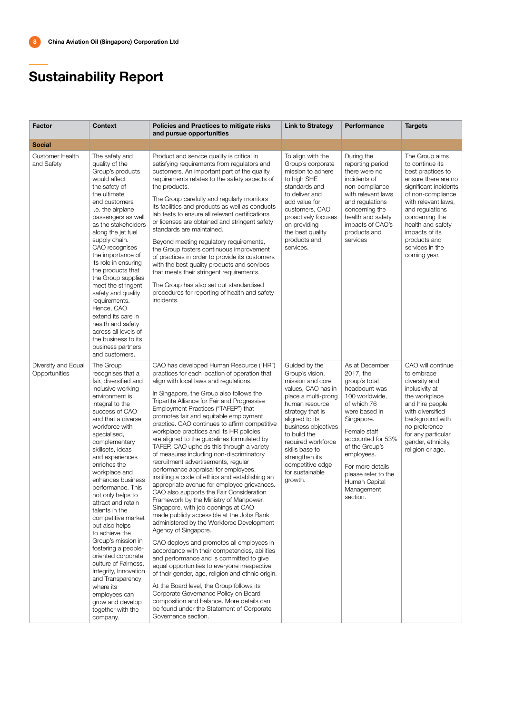| <b>Factor</b>                        | <b>Context</b>                                                                                                                                                                                                                                                                                                                                                                                                                                                                                                                                                                                                                                                                   | <b>Policies and Practices to mitigate risks</b><br>and pursue opportunities                                                                                                                                                                                                                                                                                                                                                                                                                                                                                                                                                                                                                                                                                                                                                                                                                                                                                                                                                                                                                                                                                                                                                                                                                                                                                                                                                              | <b>Link to Strategy</b>                                                                                                                                                                                                                                                                                      | Performance                                                                                                                                                                                                                                                                              | <b>Targets</b>                                                                                                                                                                                                                                                                    |
|--------------------------------------|----------------------------------------------------------------------------------------------------------------------------------------------------------------------------------------------------------------------------------------------------------------------------------------------------------------------------------------------------------------------------------------------------------------------------------------------------------------------------------------------------------------------------------------------------------------------------------------------------------------------------------------------------------------------------------|------------------------------------------------------------------------------------------------------------------------------------------------------------------------------------------------------------------------------------------------------------------------------------------------------------------------------------------------------------------------------------------------------------------------------------------------------------------------------------------------------------------------------------------------------------------------------------------------------------------------------------------------------------------------------------------------------------------------------------------------------------------------------------------------------------------------------------------------------------------------------------------------------------------------------------------------------------------------------------------------------------------------------------------------------------------------------------------------------------------------------------------------------------------------------------------------------------------------------------------------------------------------------------------------------------------------------------------------------------------------------------------------------------------------------------------|--------------------------------------------------------------------------------------------------------------------------------------------------------------------------------------------------------------------------------------------------------------------------------------------------------------|------------------------------------------------------------------------------------------------------------------------------------------------------------------------------------------------------------------------------------------------------------------------------------------|-----------------------------------------------------------------------------------------------------------------------------------------------------------------------------------------------------------------------------------------------------------------------------------|
| <b>Social</b>                        |                                                                                                                                                                                                                                                                                                                                                                                                                                                                                                                                                                                                                                                                                  |                                                                                                                                                                                                                                                                                                                                                                                                                                                                                                                                                                                                                                                                                                                                                                                                                                                                                                                                                                                                                                                                                                                                                                                                                                                                                                                                                                                                                                          |                                                                                                                                                                                                                                                                                                              |                                                                                                                                                                                                                                                                                          |                                                                                                                                                                                                                                                                                   |
| <b>Customer Health</b><br>and Safety | The safety and<br>quality of the<br>Group's products<br>would affect<br>the safety of<br>the ultimate<br>end customers<br><i>i.e.</i> the airplane<br>passengers as well<br>as the stakeholders<br>along the jet fuel<br>supply chain.<br>CAO recognises<br>the importance of<br>its role in ensuring<br>the products that<br>the Group supplies<br>meet the stringent<br>safety and quality<br>requirements.<br>Hence, CAO<br>extend its care in<br>health and safety<br>across all levels of<br>the business to its<br>business partners<br>and customers.                                                                                                                     | Product and service quality is critical in<br>satisfying requirements from regulators and<br>customers. An important part of the quality<br>requirements relates to the safety aspects of<br>the products.<br>The Group carefully and regularly monitors<br>its facilities and products as well as conducts<br>lab tests to ensure all relevant certifications<br>or licenses are obtained and stringent safety<br>standards are maintained.<br>Beyond meeting regulatory requirements,<br>the Group fosters continuous improvement<br>of practices in order to provide its customers<br>with the best quality products and services<br>that meets their stringent requirements.<br>The Group has also set out standardised<br>procedures for reporting of health and safety<br>incidents.                                                                                                                                                                                                                                                                                                                                                                                                                                                                                                                                                                                                                                               | To align with the<br>Group's corporate<br>mission to adhere<br>to high SHE<br>standards and<br>to deliver and<br>add value for<br>customers, CAO<br>proactively focuses<br>on providing<br>the best quality<br>products and<br>services.                                                                     | During the<br>reporting period<br>there were no<br>incidents of<br>non-compliance<br>with relevant laws<br>and regulations<br>concerning the<br>health and safety<br>impacts of CAO's<br>products and<br>services                                                                        | The Group aims<br>to continue its<br>best practices to<br>ensure there are no<br>significant incidents<br>of non-compliance<br>with relevant laws,<br>and regulations<br>concerning the<br>health and safety<br>impacts of its<br>products and<br>services in the<br>coming year. |
| Diversity and Equal<br>Opportunities | The Group<br>recognises that a<br>fair, diversified and<br>inclusive working<br>environment is<br>integral to the<br>success of CAO<br>and that a diverse<br>workforce with<br>specialised,<br>complementary<br>skillsets, ideas<br>and experiences<br>enriches the<br>workplace and<br>enhances business<br>performance. This<br>not only helps to<br>attract and retain<br>talents in the<br>competitive market<br>but also helps<br>to achieve the<br>Group's mission in<br>fostering a people-<br>oriented corporate<br>culture of Fairness,<br>Integrity, Innovation<br>and Transparency<br>where its<br>employees can<br>grow and develop<br>together with the<br>company. | CAO has developed Human Resource ("HR")<br>practices for each location of operation that<br>align with local laws and regulations.<br>In Singapore, the Group also follows the<br>Tripartite Alliance for Fair and Progressive<br>Employment Practices ("TAFEP") that<br>promotes fair and equitable employment<br>practice. CAO continues to affirm competitive<br>workplace practices and its HR policies<br>are aligned to the guidelines formulated by<br>TAFEP. CAO upholds this through a variety<br>of measures including non-discriminatory<br>recruitment advertisements, regular<br>performance appraisal for employees,<br>instilling a code of ethics and establishing an<br>appropriate avenue for employee grievances.<br>CAO also supports the Fair Consideration<br>Framework by the Ministry of Manpower,<br>Singapore, with job openings at CAO<br>made publicly accessible at the Jobs Bank<br>administered by the Workforce Development<br>Agency of Singapore.<br>CAO deploys and promotes all employees in<br>accordance with their competencies, abilities<br>and performance and is committed to give<br>equal opportunities to everyone irrespective<br>of their gender, age, religion and ethnic origin.<br>At the Board level, the Group follows its<br>Corporate Governance Policy on Board<br>composition and balance. More details can<br>be found under the Statement of Corporate<br>Governance section. | Guided by the<br>Group's vision,<br>mission and core<br>values, CAO has in<br>place a multi-prong<br>human resource<br>strategy that is<br>aligned to its<br>business objectives<br>to build the<br>required workforce<br>skills base to<br>strengthen its<br>competitive edge<br>for sustainable<br>growth. | As at December<br>2017, the<br>group's total<br>headcount was<br>100 worldwide,<br>of which 76<br>were based in<br>Singapore.<br>Female staff<br>accounted for 53%<br>of the Group's<br>employees.<br>For more details<br>please refer to the<br>Human Capital<br>Management<br>section. | CAO will continue<br>to embrace<br>diversity and<br>inclusivity at<br>the workplace<br>and hire people<br>with diversified<br>background with<br>no preference<br>for any particular<br>gender, ethnicity,<br>religion or age.                                                    |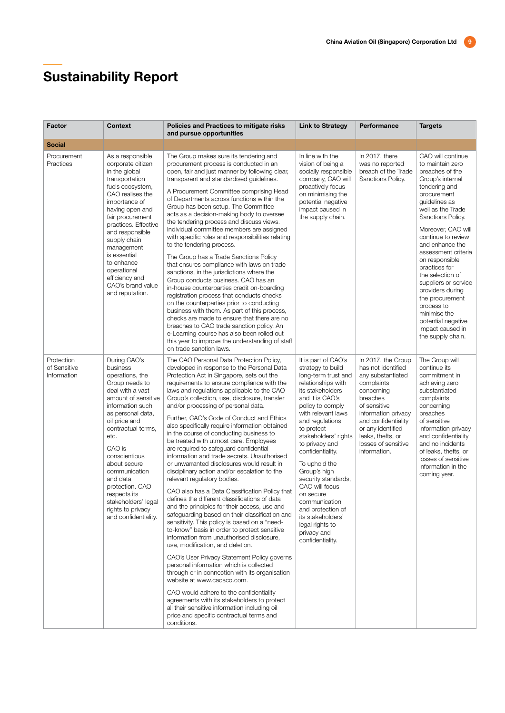| Factor                                    | <b>Context</b>                                                                                                                                                                                                                                                                                                                                                                  | Policies and Practices to mitigate risks<br>and pursue opportunities                                                                                                                                                                                                                                                                                                                                                                                                                                                                                                                                                                                                                                                                                                                                                                                                                                                                                                                                                                                                                                                                                                                                                                                                                                                                                                                                                                                                                                     | <b>Link to Strategy</b>                                                                                                                                                                                                                                                                                                                                                                                                                                                       | Performance                                                                                                                                                                                                                                          | <b>Targets</b>                                                                                                                                                                                                                                                                                                                                                                                                                                                                   |
|-------------------------------------------|---------------------------------------------------------------------------------------------------------------------------------------------------------------------------------------------------------------------------------------------------------------------------------------------------------------------------------------------------------------------------------|----------------------------------------------------------------------------------------------------------------------------------------------------------------------------------------------------------------------------------------------------------------------------------------------------------------------------------------------------------------------------------------------------------------------------------------------------------------------------------------------------------------------------------------------------------------------------------------------------------------------------------------------------------------------------------------------------------------------------------------------------------------------------------------------------------------------------------------------------------------------------------------------------------------------------------------------------------------------------------------------------------------------------------------------------------------------------------------------------------------------------------------------------------------------------------------------------------------------------------------------------------------------------------------------------------------------------------------------------------------------------------------------------------------------------------------------------------------------------------------------------------|-------------------------------------------------------------------------------------------------------------------------------------------------------------------------------------------------------------------------------------------------------------------------------------------------------------------------------------------------------------------------------------------------------------------------------------------------------------------------------|------------------------------------------------------------------------------------------------------------------------------------------------------------------------------------------------------------------------------------------------------|----------------------------------------------------------------------------------------------------------------------------------------------------------------------------------------------------------------------------------------------------------------------------------------------------------------------------------------------------------------------------------------------------------------------------------------------------------------------------------|
| <b>Social</b>                             |                                                                                                                                                                                                                                                                                                                                                                                 |                                                                                                                                                                                                                                                                                                                                                                                                                                                                                                                                                                                                                                                                                                                                                                                                                                                                                                                                                                                                                                                                                                                                                                                                                                                                                                                                                                                                                                                                                                          |                                                                                                                                                                                                                                                                                                                                                                                                                                                                               |                                                                                                                                                                                                                                                      |                                                                                                                                                                                                                                                                                                                                                                                                                                                                                  |
| Procurement<br>Practices                  | As a responsible<br>corporate citizen<br>in the global<br>transportation<br>fuels ecosystem,<br>CAO realises the<br>importance of<br>having open and<br>fair procurement<br>practices. Effective<br>and responsible<br>supply chain<br>management<br>is essential<br>to enhance<br>operational<br>efficiency and<br>CAO's brand value<br>and reputation.                        | The Group makes sure its tendering and<br>procurement process is conducted in an<br>open, fair and just manner by following clear,<br>transparent and standardised quidelines.<br>A Procurement Committee comprising Head<br>of Departments across functions within the<br>Group has been setup. The Committee<br>acts as a decision-making body to oversee<br>the tendering process and discuss views.<br>Individual committee members are assigned<br>with specific roles and responsibilities relating<br>to the tendering process.<br>The Group has a Trade Sanctions Policy<br>that ensures compliance with laws on trade<br>sanctions, in the jurisdictions where the<br>Group conducts business. CAO has an<br>in-house counterparties credit on-boarding<br>registration process that conducts checks<br>on the counterparties prior to conducting<br>business with them. As part of this process,<br>checks are made to ensure that there are no<br>breaches to CAO trade sanction policy. An<br>e-Learning course has also been rolled out<br>this year to improve the understanding of staff<br>on trade sanction laws.                                                                                                                                                                                                                                                                                                                                                                       | In line with the<br>vision of being a<br>socially responsible<br>company, CAO will<br>proactively focus<br>on minimising the<br>potential negative<br>impact caused in<br>the supply chain.                                                                                                                                                                                                                                                                                   | In 2017, there<br>was no reported<br>breach of the Trade<br>Sanctions Policy.                                                                                                                                                                        | CAO will continue<br>to maintain zero<br>breaches of the<br>Group's internal<br>tendering and<br>procurement<br>quidelines as<br>well as the Trade<br>Sanctions Policy.<br>Moreover, CAO will<br>continue to review<br>and enhance the<br>assessment criteria<br>on responsible<br>practices for<br>the selection of<br>suppliers or service<br>providers during<br>the procurement<br>process to<br>minimise the<br>potential negative<br>impact caused in<br>the supply chain. |
| Protection<br>of Sensitive<br>Information | During CAO's<br>business<br>operations, the<br>Group needs to<br>deal with a vast<br>amount of sensitive<br>information such<br>as personal data,<br>oil price and<br>contractual terms,<br>etc.<br>CAO is<br>conscientious<br>about secure<br>communication<br>and data<br>protection. CAO<br>respects its<br>stakeholders' legal<br>rights to privacy<br>and confidentiality. | The CAO Personal Data Protection Policy,<br>developed in response to the Personal Data<br>Protection Act in Singapore, sets out the<br>requirements to ensure compliance with the<br>laws and regulations applicable to the CAO<br>Group's collection, use, disclosure, transfer<br>and/or processing of personal data.<br>Further, CAO's Code of Conduct and Ethics<br>also specifically require information obtained<br>in the course of conducting business to<br>be treated with utmost care. Employees<br>are required to safeguard confidential<br>information and trade secrets. Unauthorised<br>or unwarranted disclosures would result in<br>disciplinary action and/or escalation to the<br>relevant regulatory bodies.<br>CAO also has a Data Classification Policy that<br>defines the different classifications of data<br>and the principles for their access, use and<br>safeguarding based on their classification and<br>sensitivity. This policy is based on a "need-<br>to-know" basis in order to protect sensitive<br>information from unauthorised disclosure,<br>use, modification, and deletion.<br>CAO's User Privacy Statement Policy governs<br>personal information which is collected<br>through or in connection with its organisation<br>website at www.caosco.com.<br>CAO would adhere to the confidentiality<br>agreements with its stakeholders to protect<br>all their sensitive information including oil<br>price and specific contractual terms and<br>conditions. | It is part of CAO's<br>strategy to build<br>long-term trust and<br>relationships with<br>its stakeholders<br>and it is CAO's<br>policy to comply<br>with relevant laws<br>and regulations<br>to protect<br>stakeholders' rights<br>to privacy and<br>confidentiality.<br>To uphold the<br>Group's high<br>security standards,<br>CAO will focus<br>on secure<br>communication<br>and protection of<br>its stakeholders'<br>legal rights to<br>privacy and<br>confidentiality. | In 2017, the Group<br>has not identified<br>any substantiated<br>complaints<br>concerning<br>breaches<br>of sensitive<br>information privacy<br>and confidentiality<br>or any identified<br>leaks, thefts, or<br>losses of sensitive<br>information. | The Group will<br>continue its<br>commitment in<br>achieving zero<br>substantiated<br>complaints<br>concerning<br>breaches<br>of sensitive<br>information privacy<br>and confidentiality<br>and no incidents<br>of leaks, thefts, or<br>losses of sensitive<br>information in the<br>coming year.                                                                                                                                                                                |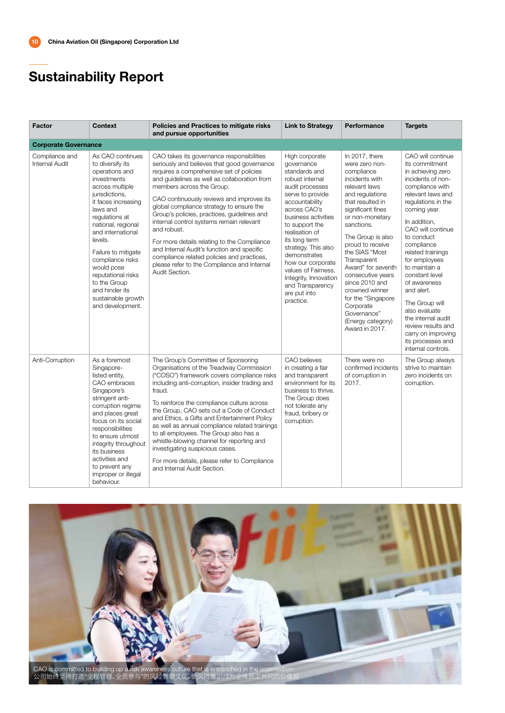| <b>Factor</b>                    | <b>Context</b>                                                                                                                                                                                                                                                                                                                                                                   | Policies and Practices to mitigate risks<br>and pursue opportunities                                                                                                                                                                                                                                                                                                                                                                                                                                                                                                                                                             | <b>Link to Strategy</b>                                                                                                                                                                                                                                                                                                                                                            | Performance                                                                                                                                                                                                                                                                                                                                                                                                                      | <b>Targets</b>                                                                                                                                                                                                                                                                                                                                                                                                                                                                      |
|----------------------------------|----------------------------------------------------------------------------------------------------------------------------------------------------------------------------------------------------------------------------------------------------------------------------------------------------------------------------------------------------------------------------------|----------------------------------------------------------------------------------------------------------------------------------------------------------------------------------------------------------------------------------------------------------------------------------------------------------------------------------------------------------------------------------------------------------------------------------------------------------------------------------------------------------------------------------------------------------------------------------------------------------------------------------|------------------------------------------------------------------------------------------------------------------------------------------------------------------------------------------------------------------------------------------------------------------------------------------------------------------------------------------------------------------------------------|----------------------------------------------------------------------------------------------------------------------------------------------------------------------------------------------------------------------------------------------------------------------------------------------------------------------------------------------------------------------------------------------------------------------------------|-------------------------------------------------------------------------------------------------------------------------------------------------------------------------------------------------------------------------------------------------------------------------------------------------------------------------------------------------------------------------------------------------------------------------------------------------------------------------------------|
| <b>Corporate Governance</b>      |                                                                                                                                                                                                                                                                                                                                                                                  |                                                                                                                                                                                                                                                                                                                                                                                                                                                                                                                                                                                                                                  |                                                                                                                                                                                                                                                                                                                                                                                    |                                                                                                                                                                                                                                                                                                                                                                                                                                  |                                                                                                                                                                                                                                                                                                                                                                                                                                                                                     |
| Compliance and<br>Internal Audit | As CAO continues<br>to diversify its<br>operations and<br>investments<br>across multiple<br>jurisdictions,<br>it faces increasing<br>laws and<br>regulations at<br>national, regional<br>and international<br>levels.<br>Failure to mitigate<br>compliance risks<br>would pose<br>reputational risks<br>to the Group<br>and hinder its<br>sustainable growth<br>and development. | CAO takes its governance responsibilities<br>seriously and believes that good governance<br>requires a comprehensive set of policies<br>and guidelines as well as collaboration from<br>members across the Group.<br>CAO continuously reviews and improves its<br>global compliance strategy to ensure the<br>Group's policies, practices, guidelines and<br>internal control systems remain relevant<br>and robust.<br>For more details relating to the Compliance<br>and Internal Audit's function and specific<br>compliance related policies and practices,<br>please refer to the Compliance and Internal<br>Audit Section. | High corporate<br>governance<br>standards and<br>robust internal<br>audit processes<br>serve to provide<br>accountability<br>across CAO's<br>business activities<br>to support the<br>realisation of<br>its long term<br>strategy. This also<br>demonstrates<br>how our corporate<br>values of Fairness,<br>Integrity, Innovation<br>and Transparency<br>are put into<br>practice. | In 2017, there<br>were zero non-<br>compliance<br>incidents with<br>relevant laws<br>and regulations<br>that resulted in<br>significant fines<br>or non-monetary<br>sanctions.<br>The Group is also<br>proud to receive<br>the SIAS "Most<br>Transparent<br>Award" for seventh<br>consecutive years<br>since 2010 and<br>crowned winner<br>for the "Singapore<br>Corporate<br>Governance"<br>(Energy category)<br>Award in 2017. | CAO will continue<br>its commitment<br>in achieving zero<br>incidents of non-<br>compliance with<br>relevant laws and<br>requlations in the<br>coming year.<br>In addition,<br>CAO will continue<br>to conduct<br>compliance<br>related trainings<br>for employees<br>to maintain a<br>constant level<br>of awareness<br>and alert.<br>The Group will<br>also evaluate<br>the internal audit<br>review results and<br>carry on improving<br>its processes and<br>internal controls. |
| Anti-Corruption                  | As a foremost<br>Singapore-<br>listed entity,<br>CAO embraces<br>Singapore's<br>stringent anti-<br>corruption regime<br>and places great<br>focus on its social<br>responsibilities<br>to ensure utmost<br>integrity throughout<br>its business<br>activities and<br>to prevent any<br>improper or illegal<br>behaviour.                                                         | The Group's Committee of Sponsoring<br>Organisations of the Treadway Commission<br>("COSO") framework covers compliance risks<br>including anti-corruption, insider trading and<br>fraud.<br>To reinforce the compliance culture across<br>the Group, CAO sets out a Code of Conduct<br>and Ethics, a Gifts and Entertainment Policy<br>as well as annual compliance related trainings<br>to all employees. The Group also has a<br>whistle-blowing channel for reporting and<br>investigating suspicious cases.<br>For more details, please refer to Compliance<br>and Internal Audit Section.                                  | CAO believes<br>in creating a fair<br>and transparent<br>environment for its<br>business to thrive.<br>The Group does<br>not tolerate any<br>fraud, bribery or<br>corruption.                                                                                                                                                                                                      | There were no<br>confirmed incidents<br>of corruption in<br>2017.                                                                                                                                                                                                                                                                                                                                                                | The Group always<br>strive to maintain<br>zero incidents on<br>corruption.                                                                                                                                                                                                                                                                                                                                                                                                          |

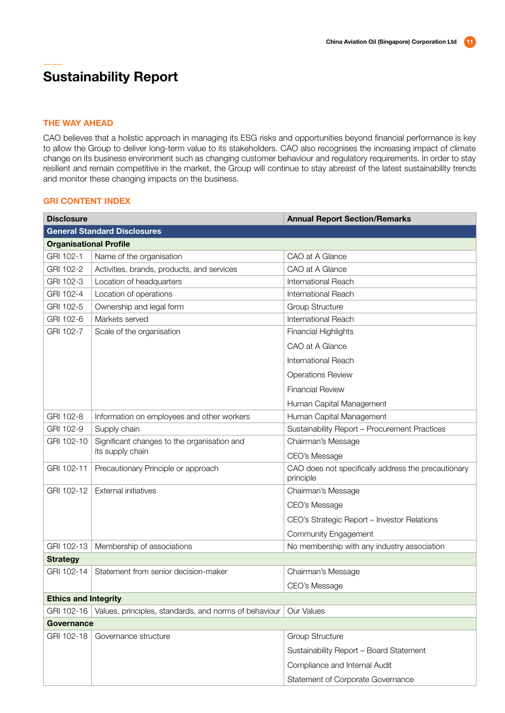#### THE WAY AHEAD

CAO believes that a holistic approach in managing its ESG risks and opportunities beyond financial performance is key to allow the Group to deliver long-term value to its stakeholders. CAO also recognises the increasing impact of climate change on its business environment such as changing customer behaviour and regulatory requirements. In order to stay resilient and remain competitive in the market, the Group will continue to stay abreast of the latest sustainability trends and monitor these changing impacts on the business.

### GRI CONTENT INDEX

| <b>Disclosure</b>             |                                                       | <b>Annual Report Section/Remarks</b>                             |
|-------------------------------|-------------------------------------------------------|------------------------------------------------------------------|
|                               | <b>General Standard Disclosures</b>                   |                                                                  |
| <b>Organisational Profile</b> |                                                       |                                                                  |
| GRI 102-1                     | Name of the organisation                              | CAO at A Glance                                                  |
| GRI 102-2                     | Activities, brands, products, and services            | CAO at A Glance                                                  |
| GRI 102-3                     | Location of headquarters                              | International Reach                                              |
| GRI 102-4                     | Location of operations                                | International Reach                                              |
| GRI 102-5                     | Ownership and legal form                              | <b>Group Structure</b>                                           |
| GRI 102-6                     | Markets served                                        | International Reach                                              |
| GRI 102-7                     | Scale of the organisation                             | <b>Financial Highlights</b>                                      |
|                               |                                                       | CAO at A Glance                                                  |
|                               |                                                       | International Reach                                              |
|                               |                                                       | <b>Operations Review</b>                                         |
|                               |                                                       | <b>Financial Review</b>                                          |
|                               |                                                       | Human Capital Management                                         |
| GRI 102-8                     | Information on employees and other workers            | Human Capital Management                                         |
| GRI 102-9                     | Supply chain                                          | Sustainability Report - Procurement Practices                    |
| GRI 102-10                    | Significant changes to the organisation and           | Chairman's Message                                               |
|                               | its supply chain                                      | CEO's Message                                                    |
| GRI 102-11                    | Precautionary Principle or approach                   | CAO does not specifically address the precautionary<br>principle |
| GRI 102-12                    | <b>External initiatives</b>                           | Chairman's Message                                               |
|                               |                                                       | CEO's Message                                                    |
|                               |                                                       | CEO's Strategic Report - Investor Relations                      |
|                               |                                                       | <b>Community Engagement</b>                                      |
| GRI 102-13                    | Membership of associations                            | No membership with any industry association                      |
| <b>Strategy</b>               |                                                       |                                                                  |
| GRI 102-14                    | Statement from senior decision-maker                  | Chairman's Message                                               |
|                               |                                                       | CEO's Message                                                    |
| <b>Ethics and Integrity</b>   |                                                       |                                                                  |
| GRI 102-16                    | Values, principles, standards, and norms of behaviour | Our Values                                                       |
| Governance                    |                                                       |                                                                  |
| GRI 102-18                    | Governance structure                                  | <b>Group Structure</b>                                           |
|                               |                                                       | Sustainability Report - Board Statement                          |
|                               |                                                       | Compliance and Internal Audit                                    |
|                               |                                                       | Statement of Corporate Governance                                |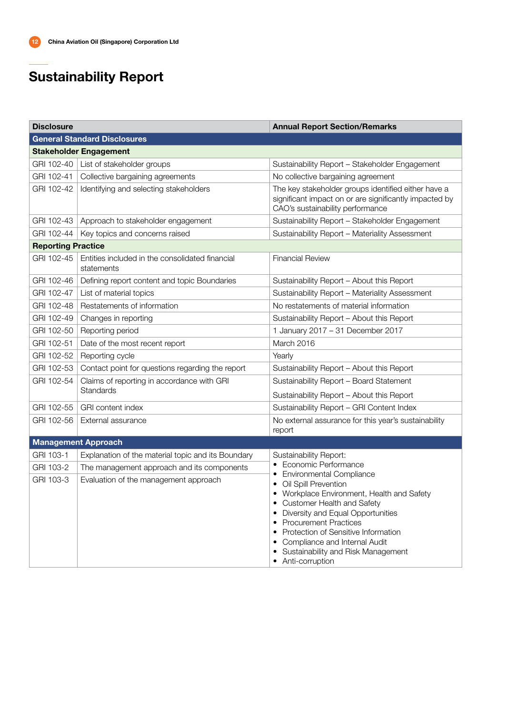| <b>Disclosure</b>         |                                                               | <b>Annual Report Section/Remarks</b>                                                                                                                                                                                                                                                                                                                                                               |
|---------------------------|---------------------------------------------------------------|----------------------------------------------------------------------------------------------------------------------------------------------------------------------------------------------------------------------------------------------------------------------------------------------------------------------------------------------------------------------------------------------------|
|                           | <b>General Standard Disclosures</b>                           |                                                                                                                                                                                                                                                                                                                                                                                                    |
|                           | <b>Stakeholder Engagement</b>                                 |                                                                                                                                                                                                                                                                                                                                                                                                    |
| GRI 102-40                | List of stakeholder groups                                    | Sustainability Report - Stakeholder Engagement                                                                                                                                                                                                                                                                                                                                                     |
| GRI 102-41                | Collective bargaining agreements                              | No collective bargaining agreement                                                                                                                                                                                                                                                                                                                                                                 |
| GRI 102-42                | Identifying and selecting stakeholders                        | The key stakeholder groups identified either have a<br>significant impact on or are significantly impacted by<br>CAO's sustainability performance                                                                                                                                                                                                                                                  |
| GRI 102-43                | Approach to stakeholder engagement                            | Sustainability Report - Stakeholder Engagement                                                                                                                                                                                                                                                                                                                                                     |
| GRI 102-44                | Key topics and concerns raised                                | Sustainability Report - Materiality Assessment                                                                                                                                                                                                                                                                                                                                                     |
| <b>Reporting Practice</b> |                                                               |                                                                                                                                                                                                                                                                                                                                                                                                    |
| GRI 102-45                | Entities included in the consolidated financial<br>statements | <b>Financial Review</b>                                                                                                                                                                                                                                                                                                                                                                            |
| GRI 102-46                | Defining report content and topic Boundaries                  | Sustainability Report - About this Report                                                                                                                                                                                                                                                                                                                                                          |
| GRI 102-47                | List of material topics                                       | Sustainability Report - Materiality Assessment                                                                                                                                                                                                                                                                                                                                                     |
| GRI 102-48                | Restatements of information                                   | No restatements of material information                                                                                                                                                                                                                                                                                                                                                            |
| GRI 102-49                | Changes in reporting                                          | Sustainability Report - About this Report                                                                                                                                                                                                                                                                                                                                                          |
| GRI 102-50                | Reporting period                                              | 1 January 2017 - 31 December 2017                                                                                                                                                                                                                                                                                                                                                                  |
| GRI 102-51                | Date of the most recent report                                | March 2016                                                                                                                                                                                                                                                                                                                                                                                         |
| GRI 102-52                | Reporting cycle                                               | Yearly                                                                                                                                                                                                                                                                                                                                                                                             |
| GRI 102-53                | Contact point for questions regarding the report              | Sustainability Report - About this Report                                                                                                                                                                                                                                                                                                                                                          |
| GRI 102-54                | Claims of reporting in accordance with GRI                    | Sustainability Report - Board Statement                                                                                                                                                                                                                                                                                                                                                            |
|                           | <b>Standards</b>                                              | Sustainability Report - About this Report                                                                                                                                                                                                                                                                                                                                                          |
| GRI 102-55                | <b>GRI</b> content index                                      | Sustainability Report - GRI Content Index                                                                                                                                                                                                                                                                                                                                                          |
| GRI 102-56                | External assurance                                            | No external assurance for this year's sustainability<br>report                                                                                                                                                                                                                                                                                                                                     |
|                           | <b>Management Approach</b>                                    |                                                                                                                                                                                                                                                                                                                                                                                                    |
| GRI 103-1                 | Explanation of the material topic and its Boundary            | Sustainability Report:                                                                                                                                                                                                                                                                                                                                                                             |
| GRI 103-2                 | The management approach and its components                    | Economic Performance<br>٠                                                                                                                                                                                                                                                                                                                                                                          |
| GRI 103-3                 | Evaluation of the management approach                         | Environmental Compliance<br>٠<br>Oil Spill Prevention<br>Workplace Environment, Health and Safety<br>$\bullet$<br><b>Customer Health and Safety</b><br>Diversity and Equal Opportunities<br><b>Procurement Practices</b><br>$\bullet$<br>Protection of Sensitive Information<br>$\bullet$<br>Compliance and Internal Audit<br>$\bullet$<br>Sustainability and Risk Management<br>• Anti-corruption |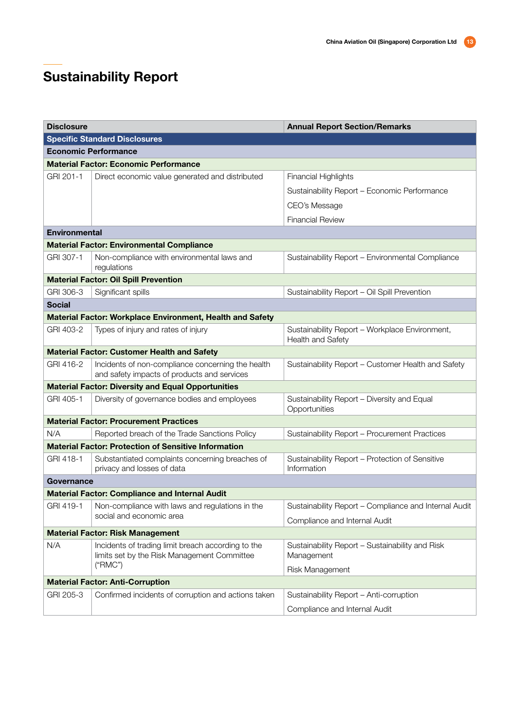| <b>Disclosure</b>    |                                                                                                   | <b>Annual Report Section/Remarks</b>                                |
|----------------------|---------------------------------------------------------------------------------------------------|---------------------------------------------------------------------|
|                      | <b>Specific Standard Disclosures</b>                                                              |                                                                     |
|                      | <b>Economic Performance</b>                                                                       |                                                                     |
|                      | <b>Material Factor: Economic Performance</b>                                                      |                                                                     |
| GRI 201-1            | Direct economic value generated and distributed                                                   | <b>Financial Highlights</b>                                         |
|                      |                                                                                                   | Sustainability Report - Economic Performance                        |
|                      |                                                                                                   | CEO's Message                                                       |
|                      |                                                                                                   | <b>Financial Review</b>                                             |
| <b>Environmental</b> |                                                                                                   |                                                                     |
|                      | <b>Material Factor: Environmental Compliance</b>                                                  |                                                                     |
| GRI 307-1            | Non-compliance with environmental laws and<br>regulations                                         | Sustainability Report - Environmental Compliance                    |
|                      | <b>Material Factor: Oil Spill Prevention</b>                                                      |                                                                     |
| GRI 306-3            | Significant spills                                                                                | Sustainability Report - Oil Spill Prevention                        |
| <b>Social</b>        |                                                                                                   |                                                                     |
|                      | <b>Material Factor: Workplace Environment, Health and Safety</b>                                  |                                                                     |
| GRI 403-2            | Types of injury and rates of injury                                                               | Sustainability Report - Workplace Environment,<br>Health and Safety |
|                      | <b>Material Factor: Customer Health and Safety</b>                                                |                                                                     |
| GRI 416-2            | Incidents of non-compliance concerning the health<br>and safety impacts of products and services  | Sustainability Report - Customer Health and Safety                  |
|                      | <b>Material Factor: Diversity and Equal Opportunities</b>                                         |                                                                     |
| GRI 405-1            | Diversity of governance bodies and employees                                                      | Sustainability Report - Diversity and Equal<br>Opportunities        |
|                      | <b>Material Factor: Procurement Practices</b>                                                     |                                                                     |
| N/A                  | Reported breach of the Trade Sanctions Policy                                                     | Sustainability Report - Procurement Practices                       |
|                      | <b>Material Factor: Protection of Sensitive Information</b>                                       |                                                                     |
| GRI 418-1            | Substantiated complaints concerning breaches of<br>privacy and losses of data                     | Sustainability Report - Protection of Sensitive<br>Information      |
| Governance           |                                                                                                   |                                                                     |
|                      | <b>Material Factor: Compliance and Internal Audit</b>                                             |                                                                     |
| GRI 419-1            | Non-compliance with laws and regulations in the                                                   | Sustainability Report - Compliance and Internal Audit               |
|                      | social and economic area                                                                          | Compliance and Internal Audit                                       |
|                      | <b>Material Factor: Risk Management</b>                                                           |                                                                     |
| N/A                  | Incidents of trading limit breach according to the<br>limits set by the Risk Management Committee | Sustainability Report - Sustainability and Risk<br>Management       |
|                      | ("RMC")                                                                                           | Risk Management                                                     |
|                      | <b>Material Factor: Anti-Corruption</b>                                                           |                                                                     |
| GRI 205-3            | Confirmed incidents of corruption and actions taken                                               | Sustainability Report - Anti-corruption                             |
|                      |                                                                                                   | Compliance and Internal Audit                                       |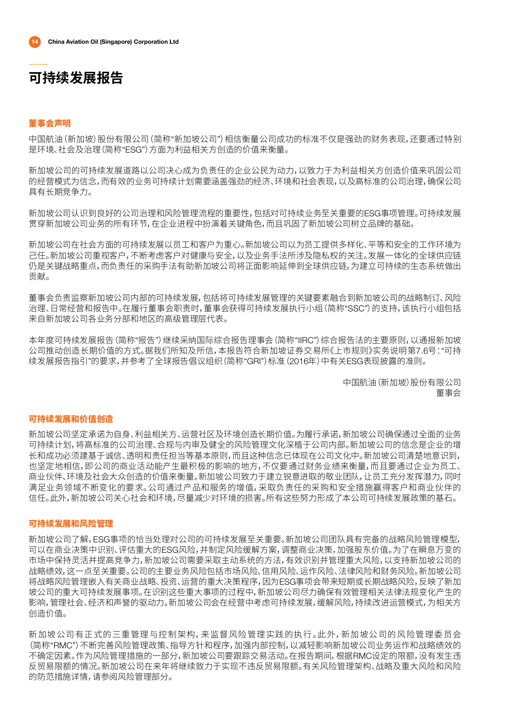#### 董事会声明

中国航油(新加坡)股份有限公司(简称"新加坡公司")相信衡量公司成功的标准不仅是强劲的财务表现,还要通过特别 是环境、社会及治理(简称"ESG")方面为利益相关方创造的价值来衡量。

新加坡公司的可持续发展道路以公司决心成为负责任的企业公民为动力,以致力于为利益相关方创造价值来巩固公司 的经营模式为信念,而有效的业务可持续计划需要涵盖强劲的经济、环境和社会表现,以及高标准的公司治理,确保公司 具有长期竞争力。

新加坡公司认识到良好的公司治理和风险管理流程的重要性,包括对可持续业务至关重要的ESG事项管理。可持续发展 贯穿新加坡公司业务的所有环节,在企业进程中扮演着关键角色,而且巩固了新加坡公司树立品牌的基础。

新加坡公司在社会方面的可持续发展以员工和客户为重心。新加坡公司以为员工提供多样化、平等和安全的工作环境为 己任。新加坡公司重视客户,不断考虑客户对健康与安全,以及业务手法所涉及隐私权的关注。发展一体化的全球供应链 仍是关键战略重点,而负责任的采购手法有助新加坡公司将正面影响延伸到全球供应链,为建立可持续的生态系统做出 贡献。

董事会负责监察新加坡公司内部的可持续发展,包括将可持续发展管理的关键要素融合到新加坡公司的战略制订、风险 治理、日常经营和报告中。在履行董事会职责时,董事会获得可持续发展执行小组(简称"SSC")的支持,该执行小组包括 来自新加坡公司各业务分部和地区的高级管理层代表。

本年度可持续发展报告(简称"报告")继续采纳国际综合报告理事会(简称"IIRC")综合报告法的主要原则,以通报新加坡 公司推动创造长期价值的方式。据我们所知及所信,本报告符合新加坡证券交易所《上市规则》实务说明第7.6号:"可持 续发展报告指引"的要求,并参考了全球报告倡议组织(简称"GRI")标准(2016年)中有关ESG表现披露的准则。

> 中国航油(新加坡)股份有限公司 董事会

### 可持续发展和价值创造

新加坡公司坚定承诺为自身、利益相关方、运营社区及环境创造长期价值。为履行承诺,新加坡公司确保通过全面的业务 可持续计划,将高标准的公司治理、合规与内审及健全的风险管理文化深植于公司内部。新加坡公司的信念是企业的增 长和成功必须建基于诚信、透明和责任担当等基本原则,而且这种信念已体现在公司文化中。新加坡公司清楚地意识到, 也坚定地相信,即公司的商业活动能产生最积极的影响的地方,不仅要通过财务业绩来衡量,而且要通过企业为员工、 商业伙伴、环境及社会大众创造的价值来衡量。新加坡公司致力于建立锐意进取的敬业团队,让员工充分发挥潜力,同时 满足业务领域不断变化的要求。公司通过产品和服务的增值,采取负责任的采购和安全措施赢得客户和商业伙伴的 信任。此外,新加坡公司关心社会和环境,尽量减少对环境的损害。所有这些努力形成了本公司可持续发展政策的基石。

### 可持续发展和风险管理

新加坡公司了解,ESG事项的恰当处理对公司的可持续发展至关重要。新加坡公司团队具有完备的战略风险管理模型, 可以在商业决策中识别、评估重大的ESG风险,并制定风险缓解方案,调整商业决策,加强股东价值。为了在瞬息万变的 市场中保持灵活并提高竞争力,新加坡公司需要采取主动系统的方法,有效识别并管理重大风险,以支持新加坡公司的 战略绩效,这一点至关重要。公司的主要业务风险包括市场风险、信用风险、运作风险、法律风险和财务风险。新加坡公司 将战略风险管理嵌入有关商业战略、投资、运营的重大决策程序,因为ESG事项会带来短期或长期战略风险,反映了新加 坡公司的重大可持续发展事项。在识别这些重大事项的过程中,新加坡公司尽力确保有效管理相关法律法规变化产生的 影响,管理社会、经济和声誉的驱动力。新加坡公司会在经营中考虑可持续发展,缓解风险,持续改进运营模式,为相关方 创造价值。

新加坡公司有正式的三重管理与控制架构,来监督风险管理实践的执行。此外,新加坡公司的风险管理委员会 (简称"RMC")不断完善风险管理政策、指导方针和程序,加强内部控制,以减轻影响新加坡公司业务运作和战略绩效的 不确定因素。作为风险管理措施的一部分,新加坡公司要跟踪交易活动。在报告期间,根据RMC设定的限额,没有发生违 反贸易限额的情况。新加坡公司在来年将继续致力于实现不违反贸易限额。有关风险管理架构、战略及重大风险和风险 的防范措施详情,请参阅风险管理部分。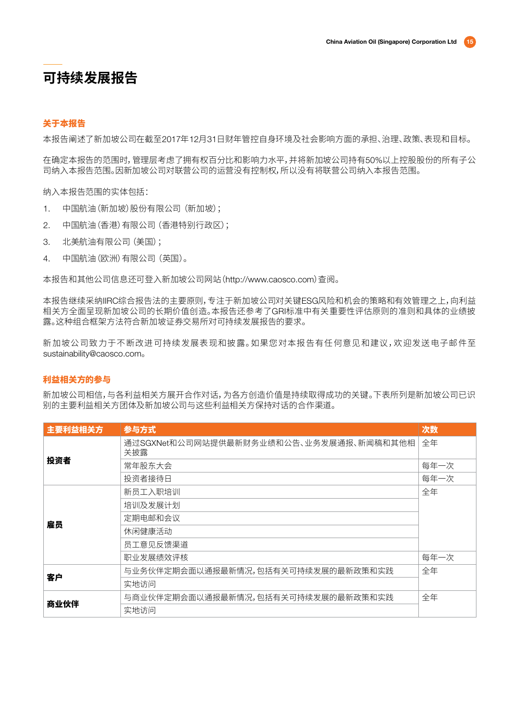### 关于本报告

本报告阐述了新加坡公司在截至2017年12月31日财年管控自身环境及社会影响方面的承担、治理、政策、表现和目标。

在确定本报告的范围时,管理层考虑了拥有权百分比和影响力水平,并将新加坡公司持有50%以上控股股份的所有子公 司纳入本报告范围。因新加坡公司对联营公司的运营没有控制权,所以没有将联营公司纳入本报告范围。

纳入本报告范围的实体包括:

- 1. 中国航油(新加坡)股份有限公司(新加坡);
- 2. 中国航油(香港)有限公司 (香港特别行政区);
- 3. 北美航油有限公司 (美国);
- 4. 中国航油(欧洲)有限公司(英国)。

本报告和其他公司信息还可登入新加坡公司网站(http://www.caosco.com)查阅。

本报告继续采纳IIRC综合报告法的主要原则,专注于新加坡公司对关键ESG风险和机会的策略和有效管理之上,向利益 相关方全面呈现新加坡公司的长期价值创造。本报告还参考了GRI标准中有关重要性评估原则的准则和具体的业绩披 露。这种组合框架方法符合新加坡证券交易所对可持续发展报告的要求。

新加坡公司致力于不断改进可持续发展表现和披露。如果您对本报告有任何意见和建议,欢迎发送电子邮件至 sustainability@caosco.com。

### 利益相关方的参与

新加坡公司相信,与各利益相关方展开合作对话,为各方创造价值是持续取得成功的关键。下表所列是新加坡公司已识 别的主要利益相关方团体及新加坡公司与这些利益相关方保持对话的合作渠道。

| 主要利益相关方 | 参与方式                                           | 次数   |
|---------|------------------------------------------------|------|
|         | 通过SGXNet和公司网站提供最新财务业绩和公告、业务发展通报、新闻稿和其他相<br>关披露 | 全年   |
| 投资者     | 常年股东大会                                         | 每年一次 |
|         | 投资者接待日                                         | 每年一次 |
|         | 新员工入职培训                                        | 全年   |
|         | 培训及发展计划                                        |      |
| 雇员      | 定期电邮和会议                                        |      |
|         | 休闲健康活动                                         |      |
|         | 员工意见反馈渠道                                       |      |
|         | 职业发展绩效评核                                       | 每年一次 |
| 客户      | 与业务伙伴定期会面以通报最新情况,包括有关可持续发展的最新政策和实践             | 全年   |
|         | 实地访问                                           |      |
|         | 与商业伙伴定期会面以通报最新情况,包括有关可持续发展的最新政策和实践             | 全年   |
| 商业伙伴    | 实地访问                                           |      |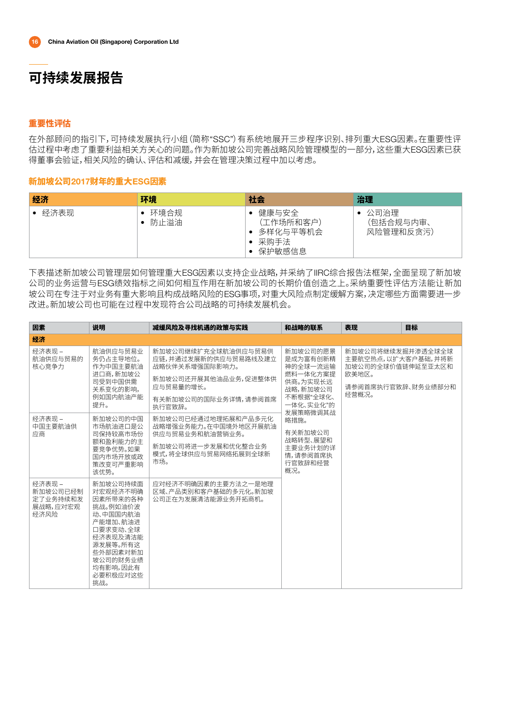### 重要性评估

在外部顾问的指引下,可持续发展执行小组(简称"SSC")有系统地展开三步程序识别、排列重大ESG因素。在重要性评 估过程中考虑了重要利益相关方关心的问题。作为新加坡公司完善战略风险管理模型的一部分,这些重大ESG因素已获 得董事会验证,相关风险的确认、评估和减缓,并会在管理决策过程中加以考虑。

### 新加坡公司2017财年的重大ESG因素

| 经济   | 环境             | 社会                                               | 治理                               |
|------|----------------|--------------------------------------------------|----------------------------------|
| 经济表现 | • 环境合规<br>防止溢油 | 健康与安全<br>(工作场所和客户)<br>多样化与平等机会<br>采购手法<br>保护敏感信息 | • 公司治理<br>(包括合规与内审、<br>风险管理和反贪污) |

下表描述新加坡公司管理层如何管理重大ESG因素以支持企业战略,并采纳了IIRC综合报告法框架,全面呈现了新加坡 公司的业务运营与ESG绩效指标之间如何相互作用在新加坡公司的长期价值创造之上。采纳重要性评估方法能让新加 坡公司在专注于对业务有重大影响且构成战略风险的ESG事项,对重大风险点制定缓解方案,决定哪些方面需要进一步 改进。新加坡公司也可能在过程中发现符合公司战略的可持续发展机会。

| 因素                                                 | 说明                                                                                                                                                              | 减缓风险及寻找机遇的政策与实践                                                                                                                      | 和战略的联系                                                                                                     | 表现                                                                                                   | 目标 |
|----------------------------------------------------|-----------------------------------------------------------------------------------------------------------------------------------------------------------------|--------------------------------------------------------------------------------------------------------------------------------------|------------------------------------------------------------------------------------------------------------|------------------------------------------------------------------------------------------------------|----|
| 经济                                                 |                                                                                                                                                                 |                                                                                                                                      |                                                                                                            |                                                                                                      |    |
| 经济表现 –<br>航油供应与贸易的<br>核心竞争力                        | 航油供应与贸易业<br>务仍占主导地位。<br>作为中国主要航油<br>进口商,新加坡公<br>司受到中国供需<br>关系变化的影响,<br>例如国内航油产能<br>提升。                                                                          | 新加坡公司继续扩充全球航油供应与贸易供<br>应链,并通过发展新的供应与贸易路线及建立<br>战略伙伴关系增强国际影响力。<br>新加坡公司还开展其他油品业务,促进整体供<br>应与贸易量的增长。<br>有关新加坡公司的国际业务详情,请参阅首席<br>执行官致辞。 | 新加坡公司的愿景<br>是成为富有创新精<br>神的全球一流运输<br>燃料一体化方案提<br>供商。为实现长远<br>战略,新加坡公司<br>不断根据"全球化、<br>一体化、实业化"的<br>发展策略微调其战 | 新加坡公司将继续发掘并渗透全球全球<br>主要航空热点,以扩大客户基础,并将新<br>加坡公司的全球价值链伸延至亚太区和<br>欧美地区。<br>请参阅首席执行官致辞、财务业绩部分和<br>经营概况。 |    |
| 经济表现 –<br>中国主要航油供<br>应商                            | 新加坡公司的中国<br>市场航油讲口是公<br>司保持较高市场份<br>额和盈利能力的主<br>要竞争优势。如果<br>国内市场开放或政<br>策改变可严重影响<br>该优势。                                                                        | 新加坡公司已经通过地理拓展和产品多元化<br>战略增强业务能力。在中国境外地区开展航油<br>供应与贸易业务和航油营销业务。<br>新加坡公司将进一步发展和优化整合业务<br>模式,将全球供应与贸易网络拓展到全球新<br>市场。                   | 略措施。<br>有关新加坡公司<br>战略转型、展望和<br>主要业务计划的详<br>情,请参阅首席执<br>行官致辞和经营<br>概况。                                      |                                                                                                      |    |
| 经济表现 –<br>新加坡公司已经制<br>定了业务持续和发<br>展战略,应对宏观<br>经济风险 | 新加坡公司持续面<br>对宏观经济不明确<br>因素所带来的各种<br>挑战。例如油价波<br>动、中国国内航油<br>产能增加、航油进<br>口要求变动、全球<br>经济表现及清洁能<br>源发展等。所有这<br>些外部因素对新加<br>坡公司的财务业绩<br>均有影响,因此有<br>必要积极应对这些<br>挑战。 | 应对经济不明确因素的主要方法之一是地理<br>区域、产品类别和客户基础的多元化。新加坡<br>公司正在为发展清洁能源业务开拓商机。                                                                    |                                                                                                            |                                                                                                      |    |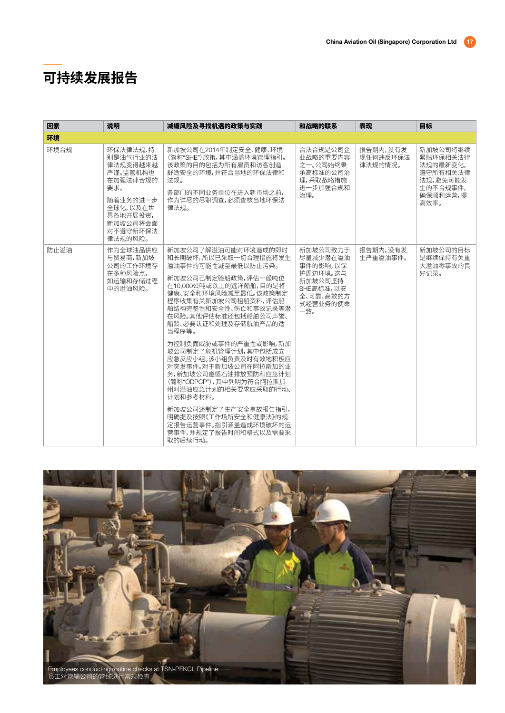| 因素   | 说明                                                                                                                                     | 减缓风险及寻找机遇的政策与实践                                                                                                                                                                                                                                                                                                                                                                                                                                                                                                                                    | 和战略的联系                                                                                               | 表现                              | 目标                                                                                       |
|------|----------------------------------------------------------------------------------------------------------------------------------------|----------------------------------------------------------------------------------------------------------------------------------------------------------------------------------------------------------------------------------------------------------------------------------------------------------------------------------------------------------------------------------------------------------------------------------------------------------------------------------------------------------------------------------------------------|------------------------------------------------------------------------------------------------------|---------------------------------|------------------------------------------------------------------------------------------|
| 环境   |                                                                                                                                        |                                                                                                                                                                                                                                                                                                                                                                                                                                                                                                                                                    |                                                                                                      |                                 |                                                                                          |
| 环境合规 | 环保法律法规,特<br>别是油气行业的法<br>律法规变得越来越<br>严谨。监管机构也<br>在加强法律合规的<br>要求。<br>随着业务的进一步<br>全球化,以及在世<br>界各地开展投资,<br>新加坡公司将会面<br>对不遵守新环保法<br>律法规的风险。 | 新加坡公司在2014年制定安全、健康、环境<br>(简称"SHE")政策,其中涵盖环境管理指引。<br>该政策的目的包括为所有雇员和访客创造<br>舒适安全的环境,并符合当地的环保法律和<br>法规。<br>各部门的不同业务单位在进入新市场之前,<br>作为详尽的尽职调杳,必须杳核当地环保法<br>律法规。                                                                                                                                                                                                                                                                                                                                                                                         | 合法合规是公司企<br>业战略的重要内容<br>之一。公司始终秉<br>承高标准的公司治<br>理,采取战略措施<br>进一步加强合规和<br>治理。                          | 报告期内,没有发<br>现任何违反环保法<br>律法规的情况。 | 新加坡公司将继续<br>紧贴环保相关法律<br>法规的最新变化,<br>遵守所有相关法律<br>法规,避免可能发<br>生的不合规事件,<br>确保顺利运营,提<br>高效率。 |
| 防止溢油 | 作为全球油品供应<br>与贸易商,新加坡<br>公司的工作环境存<br>在多种风险点,<br>如运输和存储过程<br>中的溢油风险。                                                                     | 新加坡公司了解溢油可能对环境造成的即时<br>和长期破坏,所以已采取一切合理措施将发生<br>溢油事件的可能性减至最低以防止污染。<br>新加坡公司已制定验船政策,评估一般吨位<br>在10,000公吨或以上的远洋船舶,目的是将<br>健康、安全和环境风险减至最低。该政策制定<br>程序收集有关新加坡公司租船资料,评估船<br>舶结构完整性和安全性、伤亡和事故记录等潜<br>在风险。其他评估标准还包括船舶公司声誉、<br>船龄、必要认证和处理及存储航油产品的适<br>当程序等。<br>为控制负面威胁或事件的严重性或影响,新加<br>坡公司制定了危机管理计划,其中包括成立<br>应急反应小组。该小组负责及时有效地积极应<br>对突发事件。对于新加坡公司在阿拉斯加的业<br>务,新加坡公司遵循石油排放预防和应急计划<br>(简称"ODPCP"),其中列明为符合阿拉斯加<br>州对溢油应急计划的相关要求应采取的行动、<br>计划和参考材料。<br>新加坡公司还制定了生产安全事故报告指引,<br>明确提及按照《工作场所安全和健康法》的规<br>定报告运营事件。指引涵盖造成环境破坏的运<br>营事件,并规定了报告时间和格式以及需要采<br>取的后续行动。 | 新加坡公司致力于<br>尽量减少潜在溢油<br>事件的影响,以保<br>护周边环境。这与<br>新加坡公司坚持<br>SHE高标准,以安<br>全、可靠、高效的方<br>式经营业务的使命<br>一致。 | 报告期内,没有发<br>生严重溢油事件。            | 新加坡公司的目标<br>是继续保持有关重<br>大溢油零事故的良<br>好记录。                                                 |

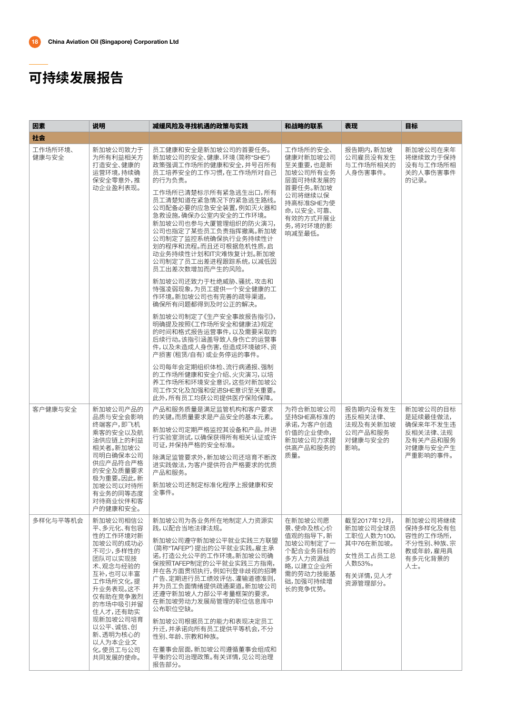| 因素               | 说明                                                                                                                                                                                                                              | 减缓风险及寻找机遇的政策与实践                                                                                                                                                                                                                                                                                                                                                                                                                                                                                                                                                                                                                                                                                 | 和战略的联系                                                                                                                                      | 表现                                                                                              | 目标                                                                               |
|------------------|---------------------------------------------------------------------------------------------------------------------------------------------------------------------------------------------------------------------------------|-------------------------------------------------------------------------------------------------------------------------------------------------------------------------------------------------------------------------------------------------------------------------------------------------------------------------------------------------------------------------------------------------------------------------------------------------------------------------------------------------------------------------------------------------------------------------------------------------------------------------------------------------------------------------------------------------|---------------------------------------------------------------------------------------------------------------------------------------------|-------------------------------------------------------------------------------------------------|----------------------------------------------------------------------------------|
| 社会               |                                                                                                                                                                                                                                 |                                                                                                                                                                                                                                                                                                                                                                                                                                                                                                                                                                                                                                                                                                 |                                                                                                                                             |                                                                                                 |                                                                                  |
| 工作场所环境、<br>健康与安全 | 新加坡公司致力于<br>为所有利益相关方<br>打造安全、健康的<br>运营环境,持续确<br>保安全零意外,推<br>动企业盈利表现。                                                                                                                                                            | 员工健康和安全是新加坡公司的首要任务。<br>新加坡公司的安全、健康、环境(简称"SHE")<br>政策强调工作场所的健康和安全,并号召所有<br>员工培养安全的工作习惯,在工作场所对自己<br>的行为负责。<br>工作场所已清楚标示所有紧急逃生出口,所有<br>员工清楚知道在紧急情况下的紧急逃生路线。<br>公司配备必要的应急安全装置,例如灭火器和<br>急救设施,确保办公室内安全的工作环境。<br>新加坡公司也参与大厦管理组织的防火演习,<br>公司也指定了某些员工负责指挥撤离。新加坡<br>公司制定了监控系统确保执行业务持续性计<br>划的程序和流程。而且还可根据危机性质,启<br>动业务持续性计划和IT灾难恢复计划。新加坡<br>公司制定了员工出差进程跟踪系统,以减低因<br>员工出差次数增加而产生的风险。<br>新加坡公司还致力于杜绝威胁、骚扰、攻击和<br>恃强凌弱现象,为员工提供一个安全健康的工<br>作环境。新加坡公司也有完善的疏导渠道,<br>确保所有问题都得到及时公正的解决。<br>新加坡公司制定了《生产安全事故报告指引》,<br>明确提及按照《工作场所安全和健康法》规定<br>的时间和格式报告运营事件,以及需要采取的<br>后续行动。该指引涵盖导致人身伤亡的运营事<br>件,以及未造成人身伤害,但造成环境破坏、资<br>产损害(租赁/自有)或业务停运的事件。<br>公司每年会定期组织体检、流行病通报、强制<br>的工作场所健康和安全介绍、火灾演习,以培<br>养工作场所和环境安全意识,这些对新加坡公 | 工作场所的安全、<br>健康对新加坡公司<br>至关重要,也是新<br>加坡公司所有业务<br>层面可持续发展的<br>首要任务。新加坡<br>公司将继续以保<br>持高标准SHE为使<br>命,以安全、可靠、<br>有效的方式开展业<br>务,将对环境的影<br>响减至最低。 | 报告期内,新加坡<br>公司雇员没有发生<br>与工作场所相关的<br>人身伤害事件。                                                     | 新加坡公司在来年<br>将继续致力于保持<br>没有与工作场所相<br>关的人事伤害事件<br>的记录。                             |
|                  |                                                                                                                                                                                                                                 | 司工作文化及加强和促进SHE意识至关重要。<br>此外,所有员工均获公司提供医疗保险保障。                                                                                                                                                                                                                                                                                                                                                                                                                                                                                                                                                                                                                                                   |                                                                                                                                             |                                                                                                 |                                                                                  |
| 客户健康与安全          | 新加坡公司产品的<br>品质与安全会影响<br>终端客户,即飞机<br>乘客的安全以及航<br>油供应链上的利益<br>相关者。新加坡公<br>司明白确保本公司<br>供应产品符合严格<br>的安全及质量要求<br>极为重要。因此,新<br>加坡公司以对待所<br>有业务的同等态度<br>对待商业伙伴和客<br>户的健康和安全。                                                           | 产品和服务质量是满足监管机构和客户要求<br>的关键。而质量要求是产品安全的基本元素。<br>新加坡公司定期严格监控其设备和产品,并进<br>行实验室测试,以确保获得所有相关认证或许<br>可证,并保持严格的安全标准。<br>除满足监管要求外,新加坡公司还培育不断改<br>进实践做法,为客户提供符合严格要求的优质<br>产品和服务。<br>新加坡公司还制定标准化程序上报健康和安<br>全事件。                                                                                                                                                                                                                                                                                                                                                                                                                                                                                          | 为符合新加坡公司<br>坚持SHE高标准的<br>承诺,为客户创造<br>价值的企业使命,<br>新加坡公司力求提<br>供高产品和服务的<br>质量。                                                                | 报告期内没有发生<br>违反相关法律、<br>法规及有关新加坡<br>公司产品和服务<br>对健康与安全的<br>影响。                                    | 新加坡公司的目标<br>是延续最佳做法,<br>确保来年不发生违<br>反相关法律、法规<br>及有关产品和服务<br>对健康与安全产生<br>严重影响的事件。 |
| 多样化与平等机会         | 新加坡公司相信公<br>平、多元化、有包容<br>性的工作环境对新<br>加坡公司的成功必<br>不可少,多样性的<br>团队可以实现技<br>术、观念与经验的<br>互补,也可以丰富<br>工作场所文化,提<br>升业务表现。这不<br>仅有助在竞争激烈<br>的市场中吸引并留<br>住人才,还有助实<br>现新加坡公司培育<br>以公平、诚信、创<br>新、透明为核心的<br>以人为本企业文<br>化,使员工与公司<br>共同发展的使命。 | 新加坡公司为各业务所在地制定人力资源实<br>践,以配合当地法律法规。<br>新加坡公司遵守新加坡公平就业实践三方联盟<br>(简称"TAFEP")提出的公平就业实践。雇主承<br>诺,打造公允公平的工作环境。新加坡公司确<br>保按照TAFEP制定的公平就业实践三方指南,<br>并在各方面贯彻执行,例如刊登非歧视的招聘<br>广告、定期进行员工绩效评估、灌输道德准则,<br>并为员工负面情绪提供疏通渠道。新加坡公司<br>还遵守新加坡人力部公平考量框架的要求,<br>在新加坡劳动力发展局管理的职位信息库中<br>公布职位空缺。<br>新加坡公司根据员工的能力和表现决定员工<br>升迁,并承诺向所有员工提供平等机会,不分<br>性别、年龄、宗教和种族。<br>在董事会层面,新加坡公司遵循董事会组成和<br>平衡的公司治理政策。有关详情,见公司治理<br>报告部分。                                                                                                                                                                                                                                                                                             | 在新加坡公司愿<br>景、使命及核心价<br>值观的指导下,新<br>加坡公司制定了一<br>个配合业务目标的<br>多方人力资源战<br>略,以建立企业所<br>需的劳动力技能基<br>础,加强可持续增<br>长的竞争优势。                           | 截至2017年12月,<br>新加坡公司全球员<br>工职位人数为100,<br>其中76在新加坡。<br>女性员工占员工总<br>人数53%。<br>有关详情,见人才<br>资源管理部分。 | 新加坡公司将继续<br>保持多样化及有包<br>容性的工作场所,<br>不分性别、种族、宗<br>教或年龄,雇用具<br>有多元化背景的<br>人士。      |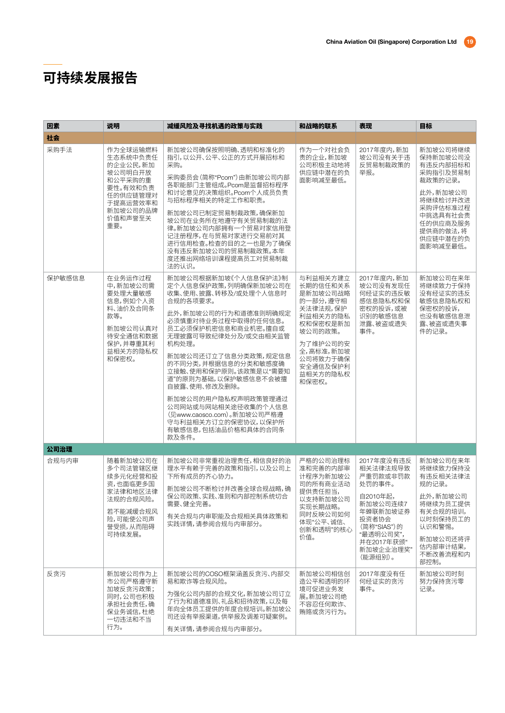| 因素     | 说明                                                                                                                       | 减缓风险及寻找机遇的政策与实践                                                                                                                                                                                                                                                                                                                                                                                                                              | 和战略的联系                                                                                                                                                             | 表现                                                                                                                                                          | 目标                                                                                                                                                      |
|--------|--------------------------------------------------------------------------------------------------------------------------|----------------------------------------------------------------------------------------------------------------------------------------------------------------------------------------------------------------------------------------------------------------------------------------------------------------------------------------------------------------------------------------------------------------------------------------------|--------------------------------------------------------------------------------------------------------------------------------------------------------------------|-------------------------------------------------------------------------------------------------------------------------------------------------------------|---------------------------------------------------------------------------------------------------------------------------------------------------------|
| 社会     |                                                                                                                          |                                                                                                                                                                                                                                                                                                                                                                                                                                              |                                                                                                                                                                    |                                                                                                                                                             |                                                                                                                                                         |
| 采购手法   | 作为全球运输燃料<br>生态系统中负责任<br>的企业公民,新加<br>坡公司明白开放<br>和公平采购的重<br>要性。有效和负责<br>任的供应链管理对<br>于提高运营效率和<br>新加坡公司的品牌<br>价值和声誉至关<br>重要。 | 新加坡公司确保按照明确、透明和标准化的<br>指引,以公开、公平、公正的方式开展招标和<br>采购。<br>采购委员会(简称"Pcom")由新加坡公司内部<br>各职能部门主管组成。Pcom是监督招标程序<br>和讨论意见的决策组织。Pcom个人成员负责<br>与招标程序相关的特定工作和职责。<br>新加坡公司已制定贸易制裁政策,确保新加<br>坡公司在业务所在地遵守有关贸易制裁的法<br>律。新加坡公司内部拥有一个贸易对家信用登<br>记注册程序,在与贸易对家进行交易前对其<br>进行信用检查。检查的目的之一也是为了确保<br>没有违反新加坡公司的贸易制裁政策。本年<br>度还推出网络培训课程提高员工对贸易制裁<br>法的认识。                                                                                                              | 作为一个对社会负<br>责的企业,新加坡<br>公司积极主动地将<br>供应链中潜在的负<br>面影响减至最低。                                                                                                           | 2017年度内,新加<br>坡公司没有关于违<br>反贸易制裁政策的<br>举报。                                                                                                                   | 新加坡公司将继续<br>保持新加坡公司没<br>有违反内部招标和<br>采购指引及贸易制<br>裁政策的记录。<br>此外,新加坡公司<br>将继续检讨并改进<br>采购评估标准过程<br>中挑选具有社会责<br>任的供应商及服务<br>提供商的做法,将<br>供应链中潜在的负<br>面影响减至最低。 |
| 保护敏感信息 | 在业务运作过程<br>中,新加坡公司需<br>要处理大量敏感<br>信息,例如个人资<br>料、油价及合同条<br>款等。<br>新加坡公司认真对<br>待安全通信和数据<br>保护,并尊重其利<br>益相关方的隐私权<br>和保密权。   | 新加坡公司根据新加坡《个人信息保护法》制<br>定个人信息保护政策,列明确保新加坡公司在<br>收集、使用、披露、转移及/或处理个人信息时<br>合规的各项要求。<br>此外,新加坡公司的行为和道德准则明确规定<br>必须慎重对待业务过程中取得的任何信息。<br>员工必须保护机密信息和商业机密。擅自或<br>无理披露可导致纪律处分及/或交由相关监管<br>机构处理。<br>新加坡公司还订立了信息分类政策,规定信息<br>的不同分类,并根据信息的分类和敏感度确<br>立接触、使用和保护原则。该政策是以"需要知<br>道"的原则为基础,以保护敏感信息不会被擅<br>自披露、使用、修改及删除。<br>新加坡公司的用户隐私权声明政策管理通过<br>公司网站或与网站相关途径收集的个人信息<br>(见www.caosco.com)。新加坡公司严格遵<br>守与利益相关方订立的保密协议,以保护所<br>有敏感信息,包括油品价格和具体的合同条<br>款及条件。 | 与利益相关方建立<br>长期的信任和关系<br>是新加坡公司战略<br>的一部分, 遵守相<br>关法律法规,保护<br>利益相关方的隐私<br>权和保密权是新加<br>坡公司的政策。<br>为了维护公司的安<br>全,高标准,新加坡<br>公司将致力于确保<br>安全通信及保护利<br>益相关方的隐私权<br>和保密权。 | 2017年度内,新加<br>坡公司没有发现任<br>何经证实的违反敏<br>感信息隐私权和保<br>密权的投诉,或被<br>识别的敏感信息<br>泄露、被盗或遗失<br>事件。                                                                    | 新加坡公司在来年<br>将继续致力干保持<br>没有经证实的违反<br>敏感信息隐私权和<br>保密权的投诉,<br>也没有敏感信息泄<br>露、被盗或遗失事<br>件的记录。                                                                |
| 公司治理   |                                                                                                                          |                                                                                                                                                                                                                                                                                                                                                                                                                                              |                                                                                                                                                                    |                                                                                                                                                             |                                                                                                                                                         |
| 合规与内审  | 随着新加坡公司在<br>多个司法管辖区继<br>续多元化经营和投<br>资,也面临更多国<br>家法律和地区法律<br>法规的合规风险。<br>若不能减缓合规风<br>险,可能使公司声<br>誉受损,从而阻碍<br>可持续发展。       | 新加坡公司非常重视治理责任,相信良好的治<br>理水平有赖于完善的政策和指引,以及公司上<br>下所有成员的齐心协力。<br>新加坡公司不断检讨并改善全球合规战略,确<br>保公司政策、实践、准则和内部控制系统切合<br>需要、健全完善。<br>有关合规与内审职能及合规相关具体政策和<br>实践详情,请参阅合规与内审部分。                                                                                                                                                                                                                                                                           | 严格的公司治理标<br>准和完善的内部审<br>计程序为新加坡公<br>司的所有商业活动<br>提供责任担当,<br>以支持新加坡公司<br>实现长期战略。<br>同时反映公司如何<br>体现"公平、诚信、<br>创新和透明"的核心<br>价值。                                        | 2017年度没有违反<br>相关法律法规导致<br>严重罚款或非罚款<br>处罚的事件。<br>自2010年起,<br>新加坡公司连续7<br>年蝉联新加坡证券<br>投资者协会<br>(简称"SIAS")的<br>"最透明公司奖",<br>并在2017年获颁"<br>新加坡企业治理奖"<br>(能源组别)。 | 新加坡公司在来年<br>将继续致力保持没<br>有违反相关法律法<br>规的记录。<br>此外,新加坡公司<br>将继续为员工提供<br>有关合规的培训,<br>以时刻保持员工的<br>认识和警惕。<br>新加坡公司还将评<br>估内部审计结果,<br>不断改善流程和内<br>部控制。         |
| 反贪污    | 新加坡公司作为上<br>市公司严格遵守新<br>加坡反贪污政策;<br>同时,公司也积极<br>承担社会责任,确<br>保业务诚信,杜绝<br>一切违法和不当<br>行为。                                   | 新加坡公司的COSO框架涵盖反贪污、内部交<br>易和欺诈等合规风险。<br>为强化公司内部的合规文化,新加坡公司订立<br>了行为和道德准则、礼品和招待政策,以及每<br>年向全体员工提供的年度合规培训。新加坡公<br>司还设有举报渠道,供举报及调差可疑案例。<br>有关详情,请参阅合规与内审部分。                                                                                                                                                                                                                                                                                      | 新加坡公司相信创<br>造公平和透明的环<br>境可促进业务发<br>展。新加坡公司绝<br>不容忍任何欺诈、<br>贿赂或贪污行为。                                                                                                | 2017年度没有任<br>何经证实的贪污<br>事件。                                                                                                                                 | 新加坡公司时刻<br>努力保持贪污零<br>记录。                                                                                                                               |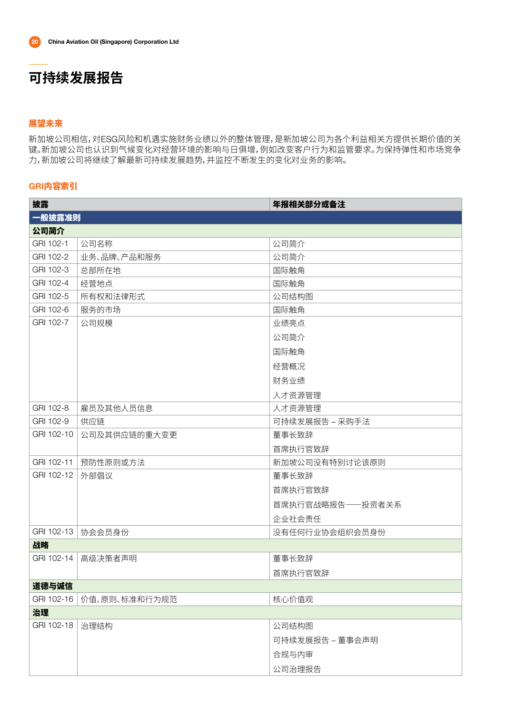### 展望未来

新加坡公司相信,对ESG风险和机遇实施财务业绩以外的整体管理,是新加坡公司为各个利益相关方提供长期价值的关 键。新加坡公司也认识到气候变化对经营环境的影响与日俱增,例如改变客户行为和监管要求。为保持弹性和市场竞争 力,新加坡公司将继续了解最新可持续发展趋势,并监控不断发生的变化对业务的影响。

### GRI内容索引

| 一般披露准则<br>公司简介<br>GRI 102-1<br>公司名称<br>公司简介<br>GRI 102-2<br>业务、品牌、产品和服务<br>公司简介<br>GRI 102-3<br>总部所在地<br>国际触角<br>GRI 102-4<br>经营地点<br>国际触角<br>GRI 102-5<br>所有权和法律形式<br>公司结构图<br>GRI 102-6<br>服务的市场<br>国际触角<br>GRI 102-7<br>公司规模<br>业绩亮点<br>公司简介<br>国际触角 | 披露 | 年报相关部分或备注 |
|---------------------------------------------------------------------------------------------------------------------------------------------------------------------------------------------------------------------------------------------------------|----|-----------|
|                                                                                                                                                                                                                                                         |    |           |
|                                                                                                                                                                                                                                                         |    |           |
|                                                                                                                                                                                                                                                         |    |           |
|                                                                                                                                                                                                                                                         |    |           |
|                                                                                                                                                                                                                                                         |    |           |
|                                                                                                                                                                                                                                                         |    |           |
|                                                                                                                                                                                                                                                         |    |           |
|                                                                                                                                                                                                                                                         |    |           |
|                                                                                                                                                                                                                                                         |    |           |
|                                                                                                                                                                                                                                                         |    |           |
|                                                                                                                                                                                                                                                         |    |           |
| 经营概况                                                                                                                                                                                                                                                    |    |           |
| 财务业绩                                                                                                                                                                                                                                                    |    |           |
| 人才资源管理                                                                                                                                                                                                                                                  |    |           |
| GRI 102-8<br>雇员及其他人员信息<br>人才资源管理                                                                                                                                                                                                                        |    |           |
| GRI 102-9<br>供应链<br>可持续发展报告 – 采购手法                                                                                                                                                                                                                      |    |           |
| GRI 102-10<br>董事长致辞<br>公司及其供应链的重大变更                                                                                                                                                                                                                     |    |           |
| 首席执行官致辞                                                                                                                                                                                                                                                 |    |           |
| GRI 102-11<br>预防性原则或方法<br>新加坡公司没有特别讨论该原则                                                                                                                                                                                                                |    |           |
| GRI 102-12<br>外部倡议<br>董事长致辞                                                                                                                                                                                                                             |    |           |
| 首席执行官致辞                                                                                                                                                                                                                                                 |    |           |
| 首席执行官战略报告——投资者关系                                                                                                                                                                                                                                        |    |           |
| 企业社会责任                                                                                                                                                                                                                                                  |    |           |
| GRI 102-13<br>协会会员身份<br>没有任何行业协会组织会员身份                                                                                                                                                                                                                  |    |           |
| 战略                                                                                                                                                                                                                                                      |    |           |
| GRI 102-14<br>董事长致辞<br>高级决策者声明                                                                                                                                                                                                                          |    |           |
| 首席执行官致辞                                                                                                                                                                                                                                                 |    |           |
| 道德与诚信                                                                                                                                                                                                                                                   |    |           |
| GRI 102-16<br>价值、原则、标准和行为规范<br>核心价值观                                                                                                                                                                                                                    |    |           |
| 治理                                                                                                                                                                                                                                                      |    |           |
| GRI 102-18<br>治理结构<br>公司结构图                                                                                                                                                                                                                             |    |           |
| 可持续发展报告 – 董事会声明                                                                                                                                                                                                                                         |    |           |
| 合规与内审                                                                                                                                                                                                                                                   |    |           |
| 公司治理报告                                                                                                                                                                                                                                                  |    |           |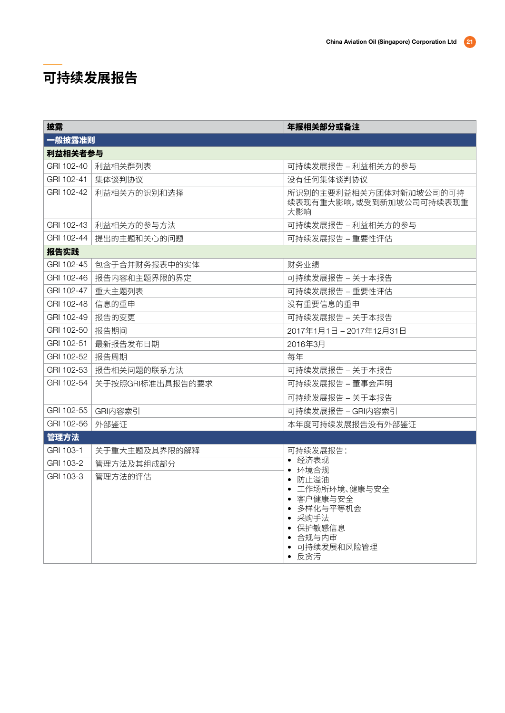| 披露                 |                          | 年报相关部分或备注                                                                                                     |
|--------------------|--------------------------|---------------------------------------------------------------------------------------------------------------|
| 一般披露准则             |                          |                                                                                                               |
| 利益相关者参与            |                          |                                                                                                               |
|                    | GRI 102-40   利益相关群列表     | 可持续发展报告 – 利益相关方的参与                                                                                            |
| GRI 102-41         | 集体谈判协议                   | 没有任何集体谈判协议                                                                                                    |
|                    | GRI 102-42   利益相关方的识别和选择 | 所识别的主要利益相关方团体对新加坡公司的可持<br>续表现有重大影响,或受到新加坡公司可持续表现重<br>大影响                                                      |
|                    | GRI 102-43   利益相关方的参与方法  | 可持续发展报告 - 利益相关方的参与                                                                                            |
| GRI 102-44         | 提出的主题和关心的问题              | 可持续发展报告 – 重要性评估                                                                                               |
| 报告实践               |                          |                                                                                                               |
| GRI 102-45         | 包含于合并财务报表中的实体            | 财务业绩                                                                                                          |
| GRI 102-46         | 报告内容和主题界限的界定             | 可持续发展报告 – 关于本报告                                                                                               |
| GRI 102-47         | 重大主题列表                   | 可持续发展报告 – 重要性评估                                                                                               |
| GRI 102-48   信息的重申 |                          | 没有重要信息的重申                                                                                                     |
| GRI 102-49         | 报告的变更                    | 可持续发展报告 – 关于本报告                                                                                               |
| GRI 102-50         | 报告期间                     | 2017年1月1日-2017年12月31日                                                                                         |
| GRI 102-51         | 最新报告发布日期                 | 2016年3月                                                                                                       |
| GRI 102-52         | 报告周期                     | 每年                                                                                                            |
| GRI 102-53         | 报告相关问题的联系方法              | 可持续发展报告 – 关于本报告                                                                                               |
| GRI 102-54         | 关于按照GRI标准出具报告的要求         | 可持续发展报告 – 董事会声明                                                                                               |
|                    |                          | 可持续发展报告 – 关于本报告                                                                                               |
|                    | GRI 102-55   GRI内容索引     | 可持续发展报告 – GRI内容索引                                                                                             |
| GRI 102-56         | 外部鉴证                     | 本年度可持续发展报告没有外部鉴证                                                                                              |
| 管理方法               |                          |                                                                                                               |
| GRI 103-1          | 关于重大主题及其界限的解释            | 可持续发展报告:                                                                                                      |
| GRI 103-2          | 管理方法及其组成部分               | • 经济表现<br>• 环境合规                                                                                              |
| GRI 103-3          | 管理方法的评估                  | • 防止溢油<br>• 工作场所环境、健康与安全<br>• 客户健康与安全<br>• 多样化与平等机会<br>• 采购手法<br>• 保护敏感信息<br>• 合规与内审<br>• 可持续发展和风险管理<br>• 反贪污 |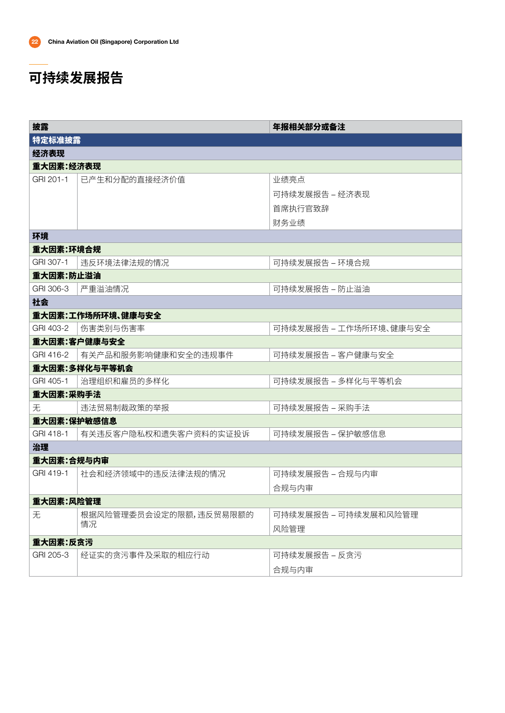| 披露          |                              | 年报相关部分或备注              |
|-------------|------------------------------|------------------------|
| 特定标准披露      |                              |                        |
| 经济表现        |                              |                        |
| 重大因素:经济表现   |                              |                        |
| GRI 201-1   | 已产生和分配的直接经济价值                | 业绩亮点                   |
|             |                              | 可持续发展报告 – 经济表现         |
|             |                              | 首席执行官致辞                |
|             |                              | 财务业绩                   |
| 环境          |                              |                        |
| 重大因素:环境合规   |                              |                        |
| GRI 307-1   | 违反环境法律法规的情况                  | 可持续发展报告 – 环境合规         |
| 重大因素:防止溢油   |                              |                        |
| GRI 306-3   | 严重溢油情况                       | 可持续发展报告 – 防止溢油         |
| 社会          |                              |                        |
|             | 重大因素:工作场所环境、健康与安全            |                        |
| GRI 403-2   | 伤害类别与伤害率                     | 可持续发展报告 – 工作场所环境、健康与安全 |
|             | 重大因素:客户健康与安全                 |                        |
| GRI 416-2   | 有关产品和服务影响健康和安全的违规事件          | 可持续发展报告 – 客户健康与安全      |
|             | 重大因素:多样化与平等机会                |                        |
| GRI 405-1   | 治理组织和雇员的多样化                  | 可持续发展报告 – 多样化与平等机会     |
| 重大因素:采购手法   |                              |                        |
| 无           | 违法贸易制裁政策的举报                  | 可持续发展报告 – 采购手法         |
| 重大因素:保护敏感信息 |                              |                        |
| GRI 418-1   | 有关违反客户隐私权和遗失客户资料的实证投诉        | 可持续发展报告 – 保护敏感信息       |
| 治理          |                              |                        |
| 重大因素:合规与内审  |                              |                        |
| GRI 419-1   | 社会和经济领域中的违反法律法规的情况           | 可持续发展报告 – 合规与内审        |
|             |                              | 合规与内审                  |
| 重大因素:风险管理   |                              |                        |
| 无           | 根据风险管理委员会设定的限额,违反贸易限额的<br>情况 | 可持续发展报告 – 可持续发展和风险管理   |
|             |                              | 风险管理                   |
| 重大因素:反贪污    |                              |                        |
| GRI 205-3   | 经证实的贪污事件及采取的相应行动             | 可持续发展报告 – 反贪污          |
|             |                              | 合规与内审                  |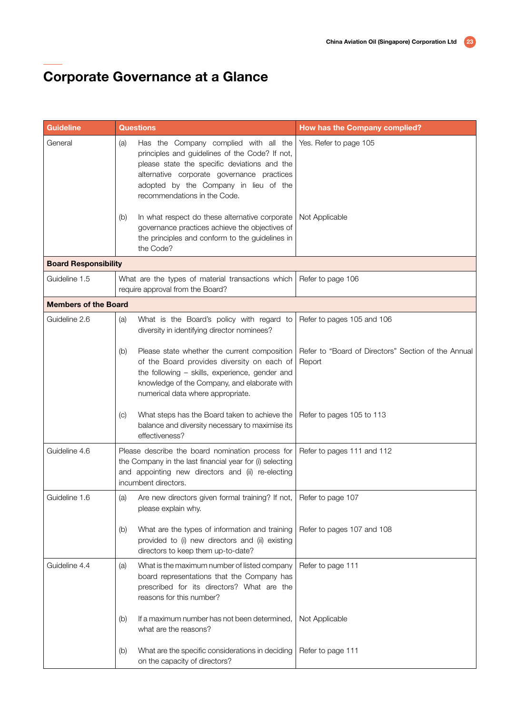| <b>Guideline</b>            | <b>Questions</b>                                                                                                                                                                                                                         | How has the Company complied?                                 |
|-----------------------------|------------------------------------------------------------------------------------------------------------------------------------------------------------------------------------------------------------------------------------------|---------------------------------------------------------------|
| General                     | Has the Company complied with all the<br>(a)<br>principles and guidelines of the Code? If not,<br>please state the specific deviations and the                                                                                           | Yes. Refer to page 105                                        |
|                             | alternative corporate governance practices<br>adopted by the Company in lieu of the<br>recommendations in the Code.                                                                                                                      |                                                               |
|                             | In what respect do these alternative corporate<br>(b)<br>governance practices achieve the objectives of<br>the principles and conform to the guidelines in<br>the Code?                                                                  | Not Applicable                                                |
| <b>Board Responsibility</b> |                                                                                                                                                                                                                                          |                                                               |
| Guideline 1.5               | What are the types of material transactions which<br>require approval from the Board?                                                                                                                                                    | Refer to page 106                                             |
| <b>Members of the Board</b> |                                                                                                                                                                                                                                          |                                                               |
| Guideline 2.6               | What is the Board's policy with regard to<br>(a)<br>diversity in identifying director nominees?                                                                                                                                          | Refer to pages 105 and 106                                    |
|                             | Please state whether the current composition<br>(b)<br>of the Board provides diversity on each of<br>the following - skills, experience, gender and<br>knowledge of the Company, and elaborate with<br>numerical data where appropriate. | Refer to "Board of Directors" Section of the Annual<br>Report |
|                             | What steps has the Board taken to achieve the<br>(C)<br>balance and diversity necessary to maximise its<br>effectiveness?                                                                                                                | Refer to pages 105 to 113                                     |
| Guideline 4.6               | Please describe the board nomination process for<br>the Company in the last financial year for (i) selecting<br>and appointing new directors and (ii) re-electing<br>incumbent directors.                                                | Refer to pages 111 and 112                                    |
| Guideline 1.6               | Are new directors given formal training? If not,<br>(a)<br>please explain why.                                                                                                                                                           | Refer to page 107                                             |
|                             | What are the types of information and training<br>(b)<br>provided to (i) new directors and (ii) existing<br>directors to keep them up-to-date?                                                                                           | Refer to pages 107 and 108                                    |
| Guideline 4.4               | What is the maximum number of listed company<br>(a)<br>board representations that the Company has<br>prescribed for its directors? What are the<br>reasons for this number?                                                              | Refer to page 111                                             |
|                             | If a maximum number has not been determined,<br>(b)<br>what are the reasons?                                                                                                                                                             | Not Applicable                                                |
|                             | What are the specific considerations in deciding<br>(b)<br>on the capacity of directors?                                                                                                                                                 | Refer to page 111                                             |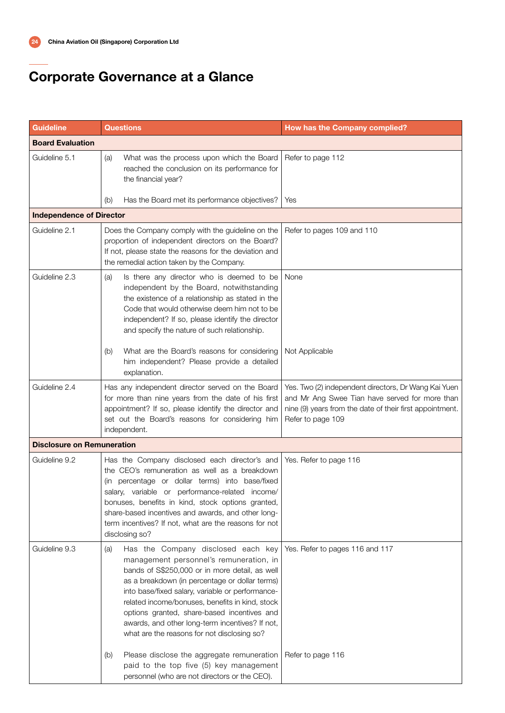| <b>Guideline</b>                  | <b>Questions</b>                                                                                                                                                                                                                                                                                                                                                                                                                                                                                      | How has the Company complied?                                                                                                                                                           |
|-----------------------------------|-------------------------------------------------------------------------------------------------------------------------------------------------------------------------------------------------------------------------------------------------------------------------------------------------------------------------------------------------------------------------------------------------------------------------------------------------------------------------------------------------------|-----------------------------------------------------------------------------------------------------------------------------------------------------------------------------------------|
| <b>Board Evaluation</b>           |                                                                                                                                                                                                                                                                                                                                                                                                                                                                                                       |                                                                                                                                                                                         |
| Guideline 5.1                     | What was the process upon which the Board<br>(a)<br>reached the conclusion on its performance for<br>the financial year?                                                                                                                                                                                                                                                                                                                                                                              | Refer to page 112                                                                                                                                                                       |
|                                   | Has the Board met its performance objectives?<br>(b)                                                                                                                                                                                                                                                                                                                                                                                                                                                  | Yes                                                                                                                                                                                     |
| <b>Independence of Director</b>   |                                                                                                                                                                                                                                                                                                                                                                                                                                                                                                       |                                                                                                                                                                                         |
| Guideline 2.1                     | Does the Company comply with the guideline on the<br>proportion of independent directors on the Board?<br>If not, please state the reasons for the deviation and<br>the remedial action taken by the Company.                                                                                                                                                                                                                                                                                         | Refer to pages 109 and 110                                                                                                                                                              |
| Guideline 2.3                     | Is there any director who is deemed to be<br>(a)<br>independent by the Board, notwithstanding<br>the existence of a relationship as stated in the<br>Code that would otherwise deem him not to be<br>independent? If so, please identify the director<br>and specify the nature of such relationship.                                                                                                                                                                                                 | None                                                                                                                                                                                    |
|                                   | What are the Board's reasons for considering<br>(b)<br>him independent? Please provide a detailed<br>explanation.                                                                                                                                                                                                                                                                                                                                                                                     | Not Applicable                                                                                                                                                                          |
| Guideline 2.4                     | Has any independent director served on the Board<br>for more than nine years from the date of his first<br>appointment? If so, please identify the director and<br>set out the Board's reasons for considering him<br>independent.                                                                                                                                                                                                                                                                    | Yes. Two (2) independent directors, Dr Wang Kai Yuen<br>and Mr Ang Swee Tian have served for more than<br>nine (9) years from the date of their first appointment.<br>Refer to page 109 |
| <b>Disclosure on Remuneration</b> |                                                                                                                                                                                                                                                                                                                                                                                                                                                                                                       |                                                                                                                                                                                         |
| Guideline 9.2                     | Has the Company disclosed each director's and<br>the CEO's remuneration as well as a breakdown<br>(in percentage or dollar terms) into base/fixed<br>salary, variable or performance-related income/<br>bonuses, benefits in kind, stock options granted,<br>share-based incentives and awards, and other long-<br>term incentives? If not, what are the reasons for not<br>disclosing so?                                                                                                            | Yes. Refer to page 116                                                                                                                                                                  |
| Guideline 9.3                     | Has the Company disclosed each key<br>(a)<br>management personnel's remuneration, in<br>bands of S\$250,000 or in more detail, as well<br>as a breakdown (in percentage or dollar terms)<br>into base/fixed salary, variable or performance-<br>related income/bonuses, benefits in kind, stock<br>options granted, share-based incentives and<br>awards, and other long-term incentives? If not,<br>what are the reasons for not disclosing so?<br>Please disclose the aggregate remuneration<br>(b) | Yes. Refer to pages 116 and 117<br>Refer to page 116                                                                                                                                    |
|                                   | paid to the top five (5) key management<br>personnel (who are not directors or the CEO).                                                                                                                                                                                                                                                                                                                                                                                                              |                                                                                                                                                                                         |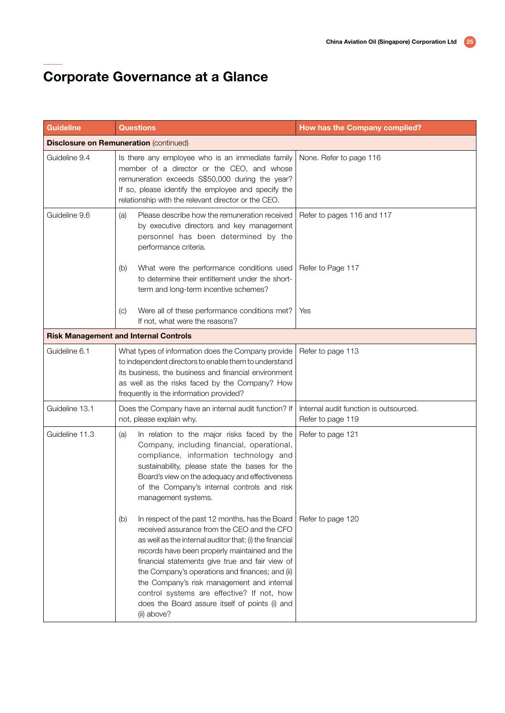| <b>Guideline</b> | <b>Questions</b>                                                                                                                                                                                                                                                                                                                                                                                                                                                                     | How has the Company complied?                               |
|------------------|--------------------------------------------------------------------------------------------------------------------------------------------------------------------------------------------------------------------------------------------------------------------------------------------------------------------------------------------------------------------------------------------------------------------------------------------------------------------------------------|-------------------------------------------------------------|
|                  | <b>Disclosure on Remuneration (continued)</b>                                                                                                                                                                                                                                                                                                                                                                                                                                        |                                                             |
| Guideline 9.4    | Is there any employee who is an immediate family<br>member of a director or the CEO, and whose<br>remuneration exceeds S\$50,000 during the year?<br>If so, please identify the employee and specify the<br>relationship with the relevant director or the CEO.                                                                                                                                                                                                                      | None. Refer to page 116                                     |
| Guideline 9.6    | Please describe how the remuneration received<br>(a)<br>by executive directors and key management<br>personnel has been determined by the<br>performance criteria.                                                                                                                                                                                                                                                                                                                   | Refer to pages 116 and 117                                  |
|                  | What were the performance conditions used<br>(b)<br>to determine their entitlement under the short-<br>term and long-term incentive schemes?                                                                                                                                                                                                                                                                                                                                         | Refer to Page 117                                           |
|                  | Were all of these performance conditions met?<br>$\left( \circ \right)$<br>If not, what were the reasons?                                                                                                                                                                                                                                                                                                                                                                            | Yes                                                         |
|                  | <b>Risk Management and Internal Controls</b>                                                                                                                                                                                                                                                                                                                                                                                                                                         |                                                             |
| Guideline 6.1    | What types of information does the Company provide<br>to independent directors to enable them to understand<br>its business, the business and financial environment<br>as well as the risks faced by the Company? How<br>frequently is the information provided?                                                                                                                                                                                                                     | Refer to page 113                                           |
| Guideline 13.1   | Does the Company have an internal audit function? If<br>not, please explain why.                                                                                                                                                                                                                                                                                                                                                                                                     | Internal audit function is outsourced.<br>Refer to page 119 |
| Guideline 11.3   | In relation to the major risks faced by the<br>(a)<br>Company, including financial, operational,<br>compliance, information technology and<br>sustainability, please state the bases for the<br>Board's view on the adequacy and effectiveness<br>of the Company's internal controls and risk<br>management systems.                                                                                                                                                                 | Refer to page 121                                           |
|                  | In respect of the past 12 months, has the Board<br>(b)<br>received assurance from the CEO and the CFO<br>as well as the internal auditor that: (i) the financial<br>records have been properly maintained and the<br>financial statements give true and fair view of<br>the Company's operations and finances; and (ii)<br>the Company's risk management and internal<br>control systems are effective? If not, how<br>does the Board assure itself of points (i) and<br>(ii) above? | Refer to page 120                                           |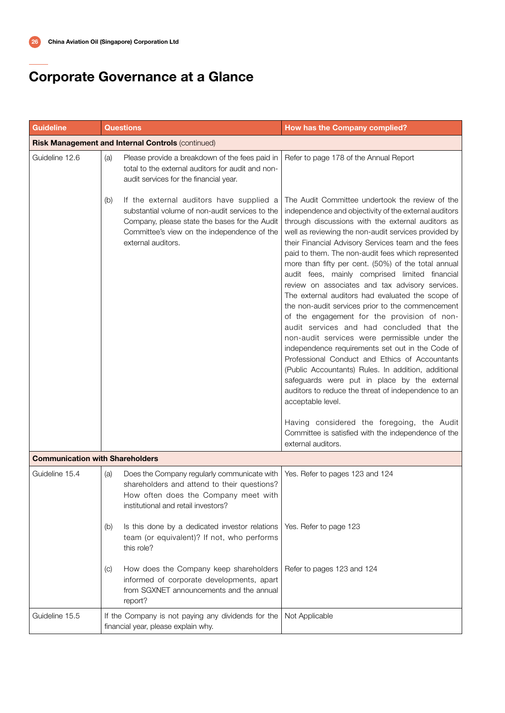| <b>Guideline</b>                       | <b>Questions</b>                                                                                                                                                                                                         | How has the Company complied?                                                                                                                                                                                                                                                                                                                                                                                                                                                                                                                                                                                                                                                                                                                                                                                                                                                                                                                                                                                                                                                                                                                                           |
|----------------------------------------|--------------------------------------------------------------------------------------------------------------------------------------------------------------------------------------------------------------------------|-------------------------------------------------------------------------------------------------------------------------------------------------------------------------------------------------------------------------------------------------------------------------------------------------------------------------------------------------------------------------------------------------------------------------------------------------------------------------------------------------------------------------------------------------------------------------------------------------------------------------------------------------------------------------------------------------------------------------------------------------------------------------------------------------------------------------------------------------------------------------------------------------------------------------------------------------------------------------------------------------------------------------------------------------------------------------------------------------------------------------------------------------------------------------|
|                                        | Risk Management and Internal Controls (continued)                                                                                                                                                                        |                                                                                                                                                                                                                                                                                                                                                                                                                                                                                                                                                                                                                                                                                                                                                                                                                                                                                                                                                                                                                                                                                                                                                                         |
| Guideline 12.6                         | Please provide a breakdown of the fees paid in<br>(a)<br>total to the external auditors for audit and non-<br>audit services for the financial year.                                                                     | Refer to page 178 of the Annual Report                                                                                                                                                                                                                                                                                                                                                                                                                                                                                                                                                                                                                                                                                                                                                                                                                                                                                                                                                                                                                                                                                                                                  |
|                                        | If the external auditors have supplied a<br>(b)<br>substantial volume of non-audit services to the<br>Company, please state the bases for the Audit<br>Committee's view on the independence of the<br>external auditors. | The Audit Committee undertook the review of the<br>independence and objectivity of the external auditors<br>through discussions with the external auditors as<br>well as reviewing the non-audit services provided by<br>their Financial Advisory Services team and the fees<br>paid to them. The non-audit fees which represented<br>more than fifty per cent. (50%) of the total annual<br>audit fees, mainly comprised limited financial<br>review on associates and tax advisory services.<br>The external auditors had evaluated the scope of<br>the non-audit services prior to the commencement<br>of the engagement for the provision of non-<br>audit services and had concluded that the<br>non-audit services were permissible under the<br>independence requirements set out in the Code of<br>Professional Conduct and Ethics of Accountants<br>(Public Accountants) Rules. In addition, additional<br>safeguards were put in place by the external<br>auditors to reduce the threat of independence to an<br>acceptable level.<br>Having considered the foregoing, the Audit<br>Committee is satisfied with the independence of the<br>external auditors. |
| <b>Communication with Shareholders</b> |                                                                                                                                                                                                                          |                                                                                                                                                                                                                                                                                                                                                                                                                                                                                                                                                                                                                                                                                                                                                                                                                                                                                                                                                                                                                                                                                                                                                                         |
| Guideline 15.4                         | Does the Company regularly communicate with<br>(a)<br>shareholders and attend to their questions?<br>How often does the Company meet with<br>institutional and retail investors?                                         | Yes. Refer to pages 123 and 124                                                                                                                                                                                                                                                                                                                                                                                                                                                                                                                                                                                                                                                                                                                                                                                                                                                                                                                                                                                                                                                                                                                                         |
|                                        | Is this done by a dedicated investor relations<br>(b)<br>team (or equivalent)? If not, who performs<br>this role?                                                                                                        | Yes. Refer to page 123                                                                                                                                                                                                                                                                                                                                                                                                                                                                                                                                                                                                                                                                                                                                                                                                                                                                                                                                                                                                                                                                                                                                                  |
|                                        | How does the Company keep shareholders<br>(C)<br>informed of corporate developments, apart<br>from SGXNET announcements and the annual<br>report?                                                                        | Refer to pages 123 and 124                                                                                                                                                                                                                                                                                                                                                                                                                                                                                                                                                                                                                                                                                                                                                                                                                                                                                                                                                                                                                                                                                                                                              |
| Guideline 15.5                         | If the Company is not paying any dividends for the<br>financial year, please explain why.                                                                                                                                | Not Applicable                                                                                                                                                                                                                                                                                                                                                                                                                                                                                                                                                                                                                                                                                                                                                                                                                                                                                                                                                                                                                                                                                                                                                          |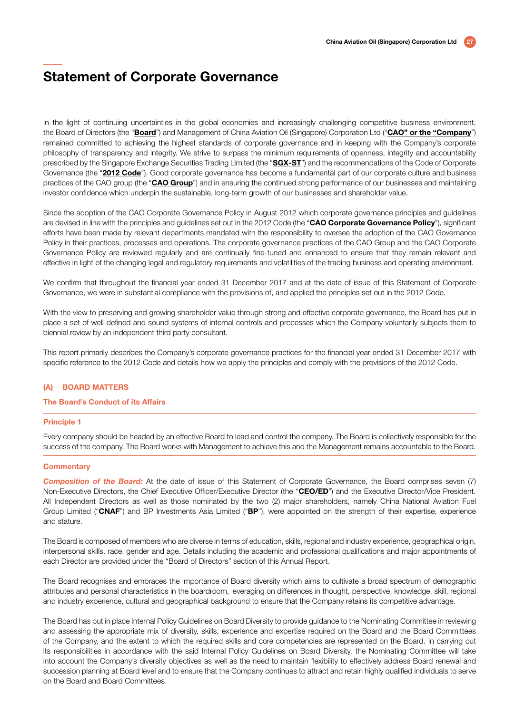In the light of continuing uncertainties in the global economies and increasingly challenging competitive business environment, the Board of Directors (the "Board") and Management of China Aviation Oil (Singapore) Corporation Ltd ("CAO" or the "Company") remained committed to achieving the highest standards of corporate governance and in keeping with the Company's corporate philosophy of transparency and integrity. We strive to surpass the minimum requirements of openness, integrity and accountability prescribed by the Singapore Exchange Securities Trading Limited (the "SGX-ST") and the recommendations of the Code of Corporate Governance (the "2012 Code"). Good corporate governance has become a fundamental part of our corporate culture and business practices of the CAO group (the "CAO Group") and in ensuring the continued strong performance of our businesses and maintaining investor confidence which underpin the sustainable, long-term growth of our businesses and shareholder value.

Since the adoption of the CAO Corporate Governance Policy in August 2012 which corporate governance principles and guidelines are devised in line with the principles and guidelines set out in the 2012 Code (the "CAO Corporate Governance Policy"), significant efforts have been made by relevant departments mandated with the responsibility to oversee the adoption of the CAO Governance Policy in their practices, processes and operations. The corporate governance practices of the CAO Group and the CAO Corporate Governance Policy are reviewed regularly and are continually fine-tuned and enhanced to ensure that they remain relevant and effective in light of the changing legal and regulatory requirements and volatilities of the trading business and operating environment.

We confirm that throughout the financial year ended 31 December 2017 and at the date of issue of this Statement of Corporate Governance, we were in substantial compliance with the provisions of, and applied the principles set out in the 2012 Code.

With the view to preserving and growing shareholder value through strong and effective corporate governance, the Board has put in place a set of well-defined and sound systems of internal controls and processes which the Company voluntarily subjects them to biennial review by an independent third party consultant.

This report primarily describes the Company's corporate governance practices for the financial year ended 31 December 2017 with specific reference to the 2012 Code and details how we apply the principles and comply with the provisions of the 2012 Code.

#### (A) BOARD MATTERS

#### The Board's Conduct of its Affairs

#### Principle 1

Every company should be headed by an effective Board to lead and control the company. The Board is collectively responsible for the success of the company. The Board works with Management to achieve this and the Management remains accountable to the Board.

#### **Commentary**

**Composition of the Board:** At the date of issue of this Statement of Corporate Governance, the Board comprises seven (7) Non-Executive Directors, the Chief Executive Officer/Executive Director (the "CEO/ED") and the Executive Director/Vice President. All Independent Directors as well as those nominated by the two (2) major shareholders, namely China National Aviation Fuel Group Limited ("CNAF") and BP Investments Asia Limited ("BP"), were appointed on the strength of their expertise, experience and stature.

The Board is composed of members who are diverse in terms of education, skills, regional and industry experience, geographical origin, interpersonal skills, race, gender and age. Details including the academic and professional qualifications and major appointments of each Director are provided under the "Board of Directors" section of this Annual Report.

The Board recognises and embraces the importance of Board diversity which aims to cultivate a broad spectrum of demographic attributes and personal characteristics in the boardroom, leveraging on differences in thought, perspective, knowledge, skill, regional and industry experience, cultural and geographical background to ensure that the Company retains its competitive advantage.

The Board has put in place Internal Policy Guidelines on Board Diversity to provide guidance to the Nominating Committee in reviewing and assessing the appropriate mix of diversity, skills, experience and expertise required on the Board and the Board Committees of the Company, and the extent to which the required skills and core competencies are represented on the Board. In carrying out its responsibilities in accordance with the said Internal Policy Guidelines on Board Diversity, the Nominating Committee will take into account the Company's diversity objectives as well as the need to maintain flexibility to effectively address Board renewal and succession planning at Board level and to ensure that the Company continues to attract and retain highly qualified individuals to serve on the Board and Board Committees.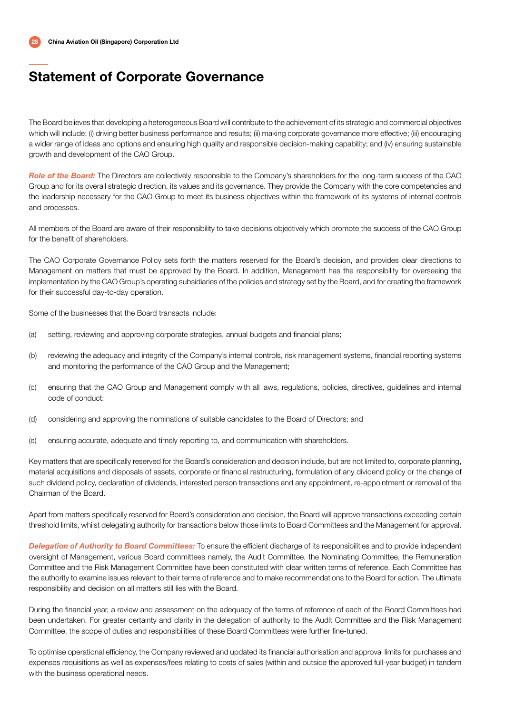The Board believes that developing a heterogeneous Board will contribute to the achievement of its strategic and commercial objectives which will include: (i) driving better business performance and results; (ii) making corporate governance more effective; (iii) encouraging a wider range of ideas and options and ensuring high quality and responsible decision-making capability; and (iv) ensuring sustainable growth and development of the CAO Group.

*Role of the Board:* The Directors are collectively responsible to the Company's shareholders for the long-term success of the CAO Group and for its overall strategic direction, its values and its governance. They provide the Company with the core competencies and the leadership necessary for the CAO Group to meet its business objectives within the framework of its systems of internal controls and processes.

All members of the Board are aware of their responsibility to take decisions objectively which promote the success of the CAO Group for the benefit of shareholders.

The CAO Corporate Governance Policy sets forth the matters reserved for the Board's decision, and provides clear directions to Management on matters that must be approved by the Board. In addition, Management has the responsibility for overseeing the implementation by the CAO Group's operating subsidiaries of the policies and strategy set by the Board, and for creating the framework for their successful day-to-day operation.

Some of the businesses that the Board transacts include:

- (a) setting, reviewing and approving corporate strategies, annual budgets and financial plans;
- (b) reviewing the adequacy and integrity of the Company's internal controls, risk management systems, financial reporting systems and monitoring the performance of the CAO Group and the Management;
- (c) ensuring that the CAO Group and Management comply with all laws, regulations, policies, directives, guidelines and internal code of conduct;
- (d) considering and approving the nominations of suitable candidates to the Board of Directors; and
- (e) ensuring accurate, adequate and timely reporting to, and communication with shareholders.

Key matters that are specifically reserved for the Board's consideration and decision include, but are not limited to, corporate planning, material acquisitions and disposals of assets, corporate or financial restructuring, formulation of any dividend policy or the change of such dividend policy, declaration of dividends, interested person transactions and any appointment, re-appointment or removal of the Chairman of the Board.

Apart from matters specifically reserved for Board's consideration and decision, the Board will approve transactions exceeding certain threshold limits, whilst delegating authority for transactions below those limits to Board Committees and the Management for approval.

*Delegation of Authority to Board Committees:* To ensure the efficient discharge of its responsibilities and to provide independent oversight of Management, various Board committees namely, the Audit Committee, the Nominating Committee, the Remuneration Committee and the Risk Management Committee have been constituted with clear written terms of reference. Each Committee has the authority to examine issues relevant to their terms of reference and to make recommendations to the Board for action. The ultimate responsibility and decision on all matters still lies with the Board.

During the financial year, a review and assessment on the adequacy of the terms of reference of each of the Board Committees had been undertaken. For greater certainty and clarity in the delegation of authority to the Audit Committee and the Risk Management Committee, the scope of duties and responsibilities of these Board Committees were further fine-tuned.

To optimise operational efficiency, the Company reviewed and updated its financial authorisation and approval limits for purchases and expenses requisitions as well as expenses/fees relating to costs of sales (within and outside the approved full-year budget) in tandem with the business operational needs.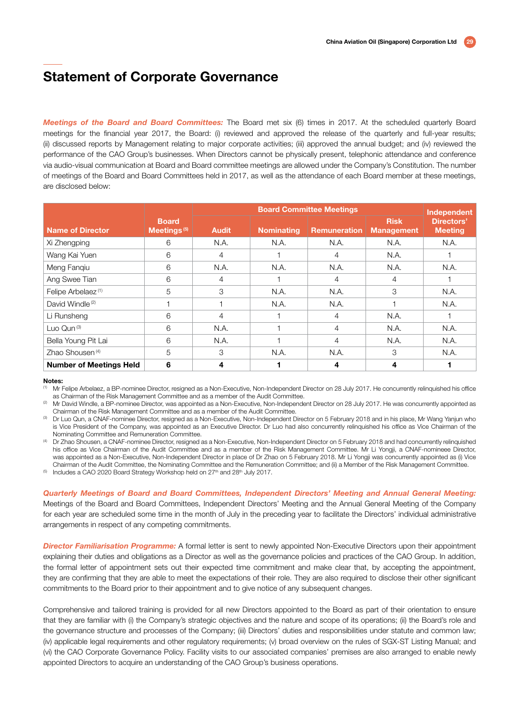*Meetings of the Board and Board Committees:* The Board met six (6) times in 2017. At the scheduled quarterly Board meetings for the financial year 2017, the Board: (i) reviewed and approved the release of the quarterly and full-year results; (ii) discussed reports by Management relating to major corporate activities; (iii) approved the annual budget; and (iv) reviewed the performance of the CAO Group's businesses. When Directors cannot be physically present, telephonic attendance and conference via audio-visual communication at Board and Board committee meetings are allowed under the Company's Constitution. The number of meetings of the Board and Board Committees held in 2017, as well as the attendance of each Board member at these meetings, are disclosed below:

|                                |                                         | <b>Board Committee Meetings</b> |                   |                     |                                  | Independent                  |
|--------------------------------|-----------------------------------------|---------------------------------|-------------------|---------------------|----------------------------------|------------------------------|
| <b>Name of Director</b>        | <b>Board</b><br>Meetings <sup>(5)</sup> | <b>Audit</b>                    | <b>Nominating</b> | <b>Remuneration</b> | <b>Risk</b><br><b>Management</b> | Directors'<br><b>Meeting</b> |
| Xi Zhengping                   | 6                                       | N.A.                            | N.A.              | N.A.                | N.A.                             | N.A.                         |
| Wang Kai Yuen                  | 6                                       | 4                               |                   | 4                   | N.A.                             |                              |
| Meng Fanqiu                    | 6                                       | N.A.                            | N.A.              | N.A.                | N.A.                             | N.A.                         |
| Ang Swee Tian                  | 6                                       | $\overline{4}$                  |                   | 4                   | 4                                |                              |
| Felipe Arbelaez <sup>(1)</sup> | 5                                       | 3                               | N.A.              | N.A.                | 3                                | N.A.                         |
| David Windle <sup>(2)</sup>    |                                         |                                 | N.A.              | N.A.                |                                  | N.A.                         |
| Li Runsheng                    | 6                                       | 4                               |                   | 4                   | N.A.                             |                              |
| Luo Qun $(3)$                  | 6                                       | N.A.                            |                   | 4                   | N.A.                             | N.A.                         |
| Bella Young Pit Lai            | 6                                       | N.A.                            |                   | 4                   | N.A.                             | N.A.                         |
| Zhao Shousen <sup>(4)</sup>    | 5                                       | 3                               | N.A.              | N.A.                | 3                                | N.A.                         |
| <b>Number of Meetings Held</b> | 6                                       | 4                               |                   | 4                   | 4                                |                              |

#### Notes:

(1) Mr Felipe Arbelaez, a BP-nominee Director, resigned as a Non-Executive, Non-Independent Director on 28 July 2017. He concurrently relinquished his office as Chairman of the Risk Management Committee and as a member of the Audit Committee.

Mr David Windle, a BP-nominee Director, was appointed as a Non-Executive, Non-Independent Director on 28 July 2017. He was concurrently appointed as

Chairman of the Risk Management Committee and as a member of the Audit Committee.<br>Dr Luo Qun, a CNAF-nominee Director, resigned as a Non-Executive, Non-Independent Director on 5 February 2018 and in his place, Mr Wang Yanj is Vice President of the Company, was appointed as an Executive Director. Dr Luo had also concurrently relinquished his office as Vice Chairman of the Nominating Committee and Remuneration Committee.

(4) Dr Zhao Shousen, a CNAF-nominee Director, resigned as a Non-Executive, Non-Independent Director on 5 February 2018 and had concurrently relinquished his office as Vice Chairman of the Audit Committee and as a member of the Risk Management Committee. Mr Li Yongii, a CNAF-nomineee Director. was appointed as a Non-Executive, Non-Independent Director in place of Dr Zhao on 5 February 2018. Mr Li Yongji was concurrently appointed as (i) Vice Chairman of the Audit Committee, the Nominating Committee and the Remuneration Committee; and (ii) a Member of the Risk Management Committee.

<sup>(5)</sup> Includes a CAO 2020 Board Strategy Workshop held on 27<sup>th</sup> and 28<sup>th</sup> July 2017.

*Quarterly Meetings of Board and Board Committees, Independent Directors' Meeting and Annual General Meeting:* Meetings of the Board and Board Committees, Independent Directors' Meeting and the Annual General Meeting of the Company for each year are scheduled some time in the month of July in the preceding year to facilitate the Directors' individual administrative arrangements in respect of any competing commitments.

**Director Familiarisation Programme:** A formal letter is sent to newly appointed Non-Executive Directors upon their appointment explaining their duties and obligations as a Director as well as the governance policies and practices of the CAO Group. In addition, the formal letter of appointment sets out their expected time commitment and make clear that, by accepting the appointment, they are confirming that they are able to meet the expectations of their role. They are also required to disclose their other significant commitments to the Board prior to their appointment and to give notice of any subsequent changes.

Comprehensive and tailored training is provided for all new Directors appointed to the Board as part of their orientation to ensure that they are familiar with (i) the Company's strategic objectives and the nature and scope of its operations; (ii) the Board's role and the governance structure and processes of the Company; (iii) Directors' duties and responsibilities under statute and common law; (iv) applicable legal requirements and other regulatory requirements; (v) broad overview on the rules of SGX-ST Listing Manual; and (vi) the CAO Corporate Governance Policy. Facility visits to our associated companies' premises are also arranged to enable newly appointed Directors to acquire an understanding of the CAO Group's business operations.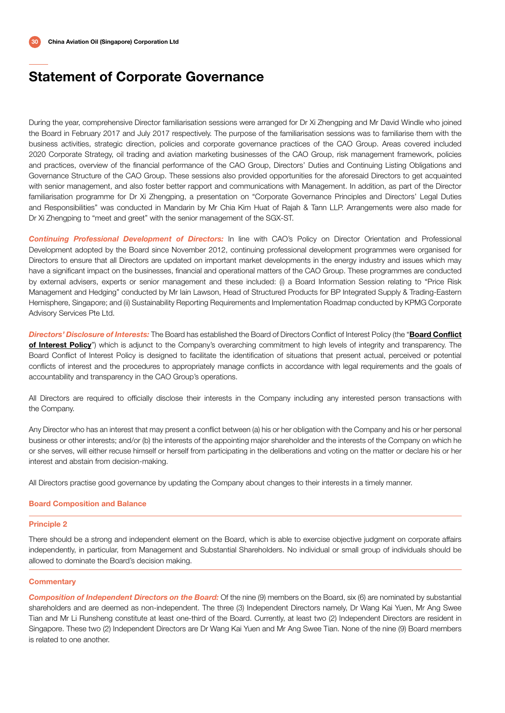During the year, comprehensive Director familiarisation sessions were arranged for Dr Xi Zhengping and Mr David Windle who joined the Board in February 2017 and July 2017 respectively. The purpose of the familiarisation sessions was to familiarise them with the business activities, strategic direction, policies and corporate governance practices of the CAO Group. Areas covered included 2020 Corporate Strategy, oil trading and aviation marketing businesses of the CAO Group, risk management framework, policies and practices, overview of the financial performance of the CAO Group, Directors' Duties and Continuing Listing Obligations and Governance Structure of the CAO Group. These sessions also provided opportunities for the aforesaid Directors to get acquainted with senior management, and also foster better rapport and communications with Management. In addition, as part of the Director familiarisation programme for Dr Xi Zhengping, a presentation on "Corporate Governance Principles and Directors' Legal Duties and Responsibilities" was conducted in Mandarin by Mr Chia Kim Huat of Rajah & Tann LLP. Arrangements were also made for Dr Xi Zhengping to "meet and greet" with the senior management of the SGX-ST.

*Continuing Professional Development of Directors:* In line with CAO's Policy on Director Orientation and Professional Development adopted by the Board since November 2012, continuing professional development programmes were organised for Directors to ensure that all Directors are updated on important market developments in the energy industry and issues which may have a significant impact on the businesses, financial and operational matters of the CAO Group. These programmes are conducted by external advisers, experts or senior management and these included: (i) a Board Information Session relating to "Price Risk Management and Hedging" conducted by Mr Iain Lawson, Head of Structured Products for BP Integrated Supply & Trading-Eastern Hemisphere, Singapore; and (ii) Sustainability Reporting Requirements and Implementation Roadmap conducted by KPMG Corporate Advisory Services Pte Ltd.

*Directors' Disclosure of Interests:* The Board has established the Board of Directors Conflict of Interest Policy (the "Board Conflict of Interest Policy") which is adjunct to the Company's overarching commitment to high levels of integrity and transparency. The Board Conflict of Interest Policy is designed to facilitate the identification of situations that present actual, perceived or potential conflicts of interest and the procedures to appropriately manage conflicts in accordance with legal requirements and the goals of accountability and transparency in the CAO Group's operations.

All Directors are required to officially disclose their interests in the Company including any interested person transactions with the Company.

Any Director who has an interest that may present a conflict between (a) his or her obligation with the Company and his or her personal business or other interests; and/or (b) the interests of the appointing major shareholder and the interests of the Company on which he or she serves, will either recuse himself or herself from participating in the deliberations and voting on the matter or declare his or her interest and abstain from decision-making.

All Directors practise good governance by updating the Company about changes to their interests in a timely manner.

#### Board Composition and Balance

#### Principle 2

There should be a strong and independent element on the Board, which is able to exercise objective judgment on corporate affairs independently, in particular, from Management and Substantial Shareholders. No individual or small group of individuals should be allowed to dominate the Board's decision making.

#### **Commentary**

**Composition of Independent Directors on the Board:** Of the nine (9) members on the Board, six (6) are nominated by substantial shareholders and are deemed as non-independent. The three (3) Independent Directors namely, Dr Wang Kai Yuen, Mr Ang Swee Tian and Mr Li Runsheng constitute at least one-third of the Board. Currently, at least two (2) Independent Directors are resident in Singapore. These two (2) Independent Directors are Dr Wang Kai Yuen and Mr Ang Swee Tian. None of the nine (9) Board members is related to one another.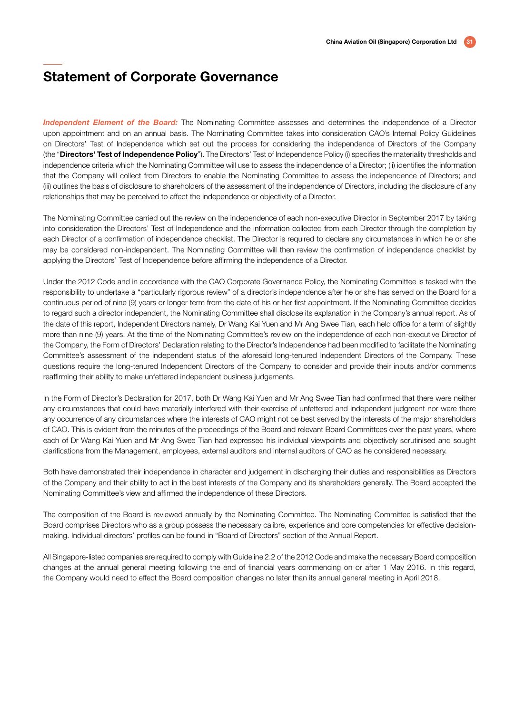*Independent Element of the Board:* The Nominating Committee assesses and determines the independence of a Director upon appointment and on an annual basis. The Nominating Committee takes into consideration CAO's Internal Policy Guidelines on Directors' Test of Independence which set out the process for considering the independence of Directors of the Company (the "Directors' Test of Independence Policy"). The Directors' Test of Independence Policy (i) specifies the materiality thresholds and independence criteria which the Nominating Committee will use to assess the independence of a Director; (ii) identifies the information that the Company will collect from Directors to enable the Nominating Committee to assess the independence of Directors; and (iii) outlines the basis of disclosure to shareholders of the assessment of the independence of Directors, including the disclosure of any relationships that may be perceived to affect the independence or objectivity of a Director.

The Nominating Committee carried out the review on the independence of each non-executive Director in September 2017 by taking into consideration the Directors' Test of Independence and the information collected from each Director through the completion by each Director of a confirmation of independence checklist. The Director is required to declare any circumstances in which he or she may be considered non-independent. The Nominating Committee will then review the confirmation of independence checklist by applying the Directors' Test of Independence before affirming the independence of a Director.

Under the 2012 Code and in accordance with the CAO Corporate Governance Policy, the Nominating Committee is tasked with the responsibility to undertake a "particularly rigorous review" of a director's independence after he or she has served on the Board for a continuous period of nine (9) years or longer term from the date of his or her first appointment. If the Nominating Committee decides to regard such a director independent, the Nominating Committee shall disclose its explanation in the Company's annual report. As of the date of this report, Independent Directors namely, Dr Wang Kai Yuen and Mr Ang Swee Tian, each held office for a term of slightly more than nine (9) years. At the time of the Nominating Committee's review on the independence of each non-executive Director of the Company, the Form of Directors' Declaration relating to the Director's Independence had been modified to facilitate the Nominating Committee's assessment of the independent status of the aforesaid long-tenured Independent Directors of the Company. These questions require the long-tenured Independent Directors of the Company to consider and provide their inputs and/or comments reaffirming their ability to make unfettered independent business judgements.

In the Form of Director's Declaration for 2017, both Dr Wang Kai Yuen and Mr Ang Swee Tian had confirmed that there were neither any circumstances that could have materially interfered with their exercise of unfettered and independent judgment nor were there any occurrence of any circumstances where the interests of CAO might not be best served by the interests of the major shareholders of CAO. This is evident from the minutes of the proceedings of the Board and relevant Board Committees over the past years, where each of Dr Wang Kai Yuen and Mr Ang Swee Tian had expressed his individual viewpoints and objectively scrutinised and sought clarifications from the Management, employees, external auditors and internal auditors of CAO as he considered necessary.

Both have demonstrated their independence in character and judgement in discharging their duties and responsibilities as Directors of the Company and their ability to act in the best interests of the Company and its shareholders generally. The Board accepted the Nominating Committee's view and affirmed the independence of these Directors.

The composition of the Board is reviewed annually by the Nominating Committee. The Nominating Committee is satisfied that the Board comprises Directors who as a group possess the necessary calibre, experience and core competencies for effective decisionmaking. Individual directors' profiles can be found in "Board of Directors" section of the Annual Report.

All Singapore-listed companies are required to comply with Guideline 2.2 of the 2012 Code and make the necessary Board composition changes at the annual general meeting following the end of financial years commencing on or after 1 May 2016. In this regard, the Company would need to effect the Board composition changes no later than its annual general meeting in April 2018.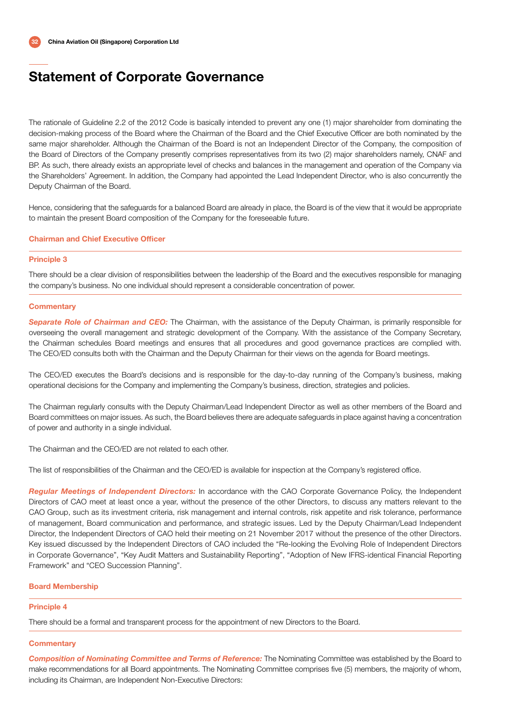The rationale of Guideline 2.2 of the 2012 Code is basically intended to prevent any one (1) major shareholder from dominating the decision-making process of the Board where the Chairman of the Board and the Chief Executive Officer are both nominated by the same major shareholder. Although the Chairman of the Board is not an Independent Director of the Company, the composition of the Board of Directors of the Company presently comprises representatives from its two (2) major shareholders namely, CNAF and BP. As such, there already exists an appropriate level of checks and balances in the management and operation of the Company via the Shareholders' Agreement. In addition, the Company had appointed the Lead Independent Director, who is also concurrently the Deputy Chairman of the Board.

Hence, considering that the safeguards for a balanced Board are already in place, the Board is of the view that it would be appropriate to maintain the present Board composition of the Company for the foreseeable future.

#### Chairman and Chief Executive Officer

#### Principle 3

There should be a clear division of responsibilities between the leadership of the Board and the executives responsible for managing the company's business. No one individual should represent a considerable concentration of power.

#### **Commentary**

*Separate Role of Chairman and CEO:* The Chairman, with the assistance of the Deputy Chairman, is primarily responsible for overseeing the overall management and strategic development of the Company. With the assistance of the Company Secretary, the Chairman schedules Board meetings and ensures that all procedures and good governance practices are complied with. The CEO/ED consults both with the Chairman and the Deputy Chairman for their views on the agenda for Board meetings.

The CEO/ED executes the Board's decisions and is responsible for the day-to-day running of the Company's business, making operational decisions for the Company and implementing the Company's business, direction, strategies and policies.

The Chairman regularly consults with the Deputy Chairman/Lead Independent Director as well as other members of the Board and Board committees on major issues. As such, the Board believes there are adequate safeguards in place against having a concentration of power and authority in a single individual.

The Chairman and the CEO/ED are not related to each other.

The list of responsibilities of the Chairman and the CEO/ED is available for inspection at the Company's registered office.

*Regular Meetings of Independent Directors:* In accordance with the CAO Corporate Governance Policy, the Independent Directors of CAO meet at least once a year, without the presence of the other Directors, to discuss any matters relevant to the CAO Group, such as its investment criteria, risk management and internal controls, risk appetite and risk tolerance, performance of management, Board communication and performance, and strategic issues. Led by the Deputy Chairman/Lead Independent Director, the Independent Directors of CAO held their meeting on 21 November 2017 without the presence of the other Directors. Key issued discussed by the Independent Directors of CAO included the "Re-looking the Evolving Role of Independent Directors in Corporate Governance", "Key Audit Matters and Sustainability Reporting", "Adoption of New IFRS-identical Financial Reporting Framework" and "CEO Succession Planning".

#### Board Membership

#### Principle 4

There should be a formal and transparent process for the appointment of new Directors to the Board.

#### **Commentary**

*Composition of Nominating Committee and Terms of Reference:* The Nominating Committee was established by the Board to make recommendations for all Board appointments. The Nominating Committee comprises five (5) members, the majority of whom, including its Chairman, are Independent Non-Executive Directors: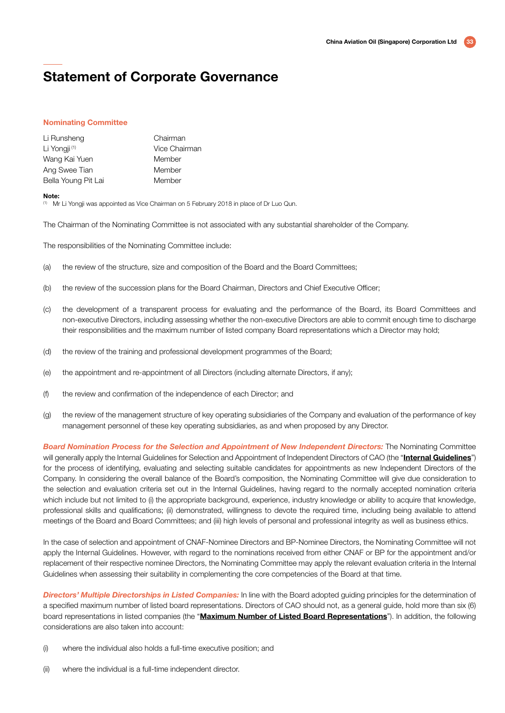#### Nominating Committee

| Li Runsheng              | Chairman      |
|--------------------------|---------------|
| Li Yongji <sup>(1)</sup> | Vice Chairman |
| Wang Kai Yuen            | Member        |
| Ang Swee Tian            | Member        |
| Bella Young Pit Lai      | Member        |

#### Note:

(1) Mr Li Yongji was appointed as Vice Chairman on 5 February 2018 in place of Dr Luo Qun.

The Chairman of the Nominating Committee is not associated with any substantial shareholder of the Company.

The responsibilities of the Nominating Committee include:

- (a) the review of the structure, size and composition of the Board and the Board Committees;
- (b) the review of the succession plans for the Board Chairman, Directors and Chief Executive Officer;
- (c) the development of a transparent process for evaluating and the performance of the Board, its Board Committees and non-executive Directors, including assessing whether the non-executive Directors are able to commit enough time to discharge their responsibilities and the maximum number of listed company Board representations which a Director may hold;
- (d) the review of the training and professional development programmes of the Board;
- (e) the appointment and re-appointment of all Directors (including alternate Directors, if any);
- (f) the review and confirmation of the independence of each Director; and
- (g) the review of the management structure of key operating subsidiaries of the Company and evaluation of the performance of key management personnel of these key operating subsidiaries, as and when proposed by any Director.

*Board Nomination Process for the Selection and Appointment of New Independent Directors:* The Nominating Committee will generally apply the Internal Guidelines for Selection and Appointment of Independent Directors of CAO (the "Internal Guidelines") for the process of identifying, evaluating and selecting suitable candidates for appointments as new Independent Directors of the Company. In considering the overall balance of the Board's composition, the Nominating Committee will give due consideration to the selection and evaluation criteria set out in the Internal Guidelines, having regard to the normally accepted nomination criteria which include but not limited to (i) the appropriate background, experience, industry knowledge or ability to acquire that knowledge, professional skills and qualifications; (ii) demonstrated, willingness to devote the required time, including being available to attend meetings of the Board and Board Committees; and (iii) high levels of personal and professional integrity as well as business ethics.

In the case of selection and appointment of CNAF-Nominee Directors and BP-Nominee Directors, the Nominating Committee will not apply the Internal Guidelines. However, with regard to the nominations received from either CNAF or BP for the appointment and/or replacement of their respective nominee Directors, the Nominating Committee may apply the relevant evaluation criteria in the Internal Guidelines when assessing their suitability in complementing the core competencies of the Board at that time.

*Directors' Multiple Directorships in Listed Companies:* In line with the Board adopted guiding principles for the determination of a specified maximum number of listed board representations. Directors of CAO should not, as a general guide, hold more than six (6) board representations in listed companies (the "Maximum Number of Listed Board Representations"). In addition, the following considerations are also taken into account:

- (i) where the individual also holds a full-time executive position; and
- (ii) where the individual is a full-time independent director.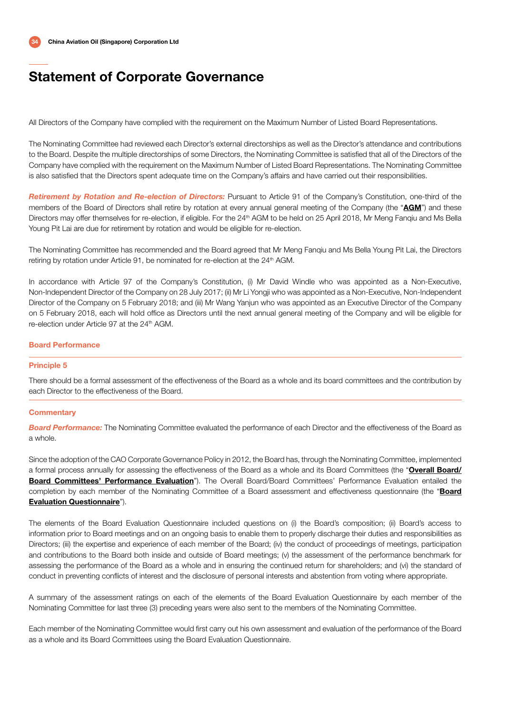All Directors of the Company have complied with the requirement on the Maximum Number of Listed Board Representations.

The Nominating Committee had reviewed each Director's external directorships as well as the Director's attendance and contributions to the Board. Despite the multiple directorships of some Directors, the Nominating Committee is satisfied that all of the Directors of the Company have complied with the requirement on the Maximum Number of Listed Board Representations. The Nominating Committee is also satisfied that the Directors spent adequate time on the Company's affairs and have carried out their responsibilities.

*Retirement by Rotation and Re-election of Directors:* Pursuant to Article 91 of the Company's Constitution, one-third of the members of the Board of Directors shall retire by rotation at every annual general meeting of the Company (the "AGM") and these Directors may offer themselves for re-election, if eligible. For the 24<sup>th</sup> AGM to be held on 25 April 2018, Mr Meng Fanqiu and Ms Bella Young Pit Lai are due for retirement by rotation and would be eligible for re-election.

The Nominating Committee has recommended and the Board agreed that Mr Meng Fanqiu and Ms Bella Young Pit Lai, the Directors retiring by rotation under Article 91, be nominated for re-election at the 24<sup>th</sup> AGM.

In accordance with Article 97 of the Company's Constitution, (i) Mr David Windle who was appointed as a Non-Executive, Non-Independent Director of the Company on 28 July 2017; (ii) Mr Li Yongji who was appointed as a Non-Executive, Non-Independent Director of the Company on 5 February 2018; and (iii) Mr Wang Yanjun who was appointed as an Executive Director of the Company on 5 February 2018, each will hold office as Directors until the next annual general meeting of the Company and will be eligible for re-election under Article 97 at the 24<sup>th</sup> AGM.

#### Board Performance

#### Principle 5

There should be a formal assessment of the effectiveness of the Board as a whole and its board committees and the contribution by each Director to the effectiveness of the Board.

#### **Commentary**

*Board Performance:* The Nominating Committee evaluated the performance of each Director and the effectiveness of the Board as a whole.

Since the adoption of the CAO Corporate Governance Policy in 2012, the Board has, through the Nominating Committee, implemented a formal process annually for assessing the effectiveness of the Board as a whole and its Board Committees (the "Overall Board/ Board Committees' Performance Evaluation"). The Overall Board/Board Committees' Performance Evaluation entailed the completion by each member of the Nominating Committee of a Board assessment and effectiveness questionnaire (the "Board Evaluation Questionnaire").

The elements of the Board Evaluation Questionnaire included questions on (i) the Board's composition; (ii) Board's access to information prior to Board meetings and on an ongoing basis to enable them to properly discharge their duties and responsibilities as Directors; (iii) the expertise and experience of each member of the Board; (iv) the conduct of proceedings of meetings, participation and contributions to the Board both inside and outside of Board meetings; (v) the assessment of the performance benchmark for assessing the performance of the Board as a whole and in ensuring the continued return for shareholders; and (vi) the standard of conduct in preventing conflicts of interest and the disclosure of personal interests and abstention from voting where appropriate.

A summary of the assessment ratings on each of the elements of the Board Evaluation Questionnaire by each member of the Nominating Committee for last three (3) preceding years were also sent to the members of the Nominating Committee.

Each member of the Nominating Committee would first carry out his own assessment and evaluation of the performance of the Board as a whole and its Board Committees using the Board Evaluation Questionnaire.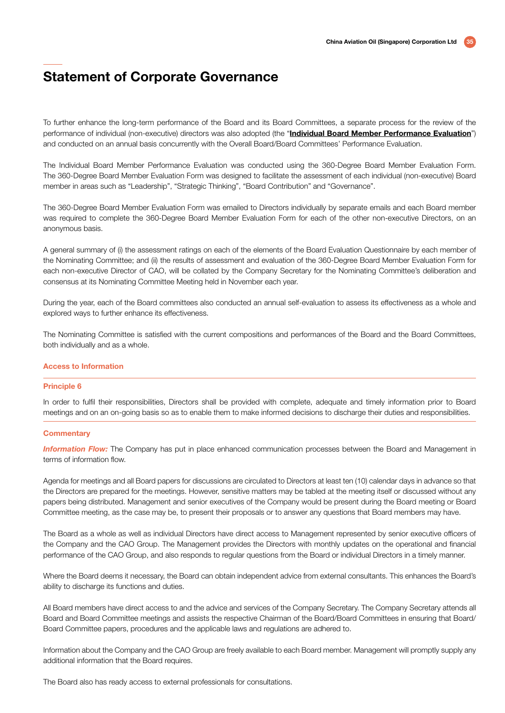To further enhance the long-term performance of the Board and its Board Committees, a separate process for the review of the performance of individual (non-executive) directors was also adopted (the "Individual Board Member Performance Evaluation") and conducted on an annual basis concurrently with the Overall Board/Board Committees' Performance Evaluation.

The Individual Board Member Performance Evaluation was conducted using the 360-Degree Board Member Evaluation Form. The 360-Degree Board Member Evaluation Form was designed to facilitate the assessment of each individual (non-executive) Board member in areas such as "Leadership", "Strategic Thinking", "Board Contribution" and "Governance".

The 360-Degree Board Member Evaluation Form was emailed to Directors individually by separate emails and each Board member was required to complete the 360-Degree Board Member Evaluation Form for each of the other non-executive Directors, on an anonymous basis.

A general summary of (i) the assessment ratings on each of the elements of the Board Evaluation Questionnaire by each member of the Nominating Committee; and (ii) the results of assessment and evaluation of the 360-Degree Board Member Evaluation Form for each non-executive Director of CAO, will be collated by the Company Secretary for the Nominating Committee's deliberation and consensus at its Nominating Committee Meeting held in November each year.

During the year, each of the Board committees also conducted an annual self-evaluation to assess its effectiveness as a whole and explored ways to further enhance its effectiveness.

The Nominating Committee is satisfied with the current compositions and performances of the Board and the Board Committees, both individually and as a whole.

#### Access to Information

#### Principle 6

In order to fulfil their responsibilities, Directors shall be provided with complete, adequate and timely information prior to Board meetings and on an on-going basis so as to enable them to make informed decisions to discharge their duties and responsibilities.

#### **Commentary**

*Information Flow:* The Company has put in place enhanced communication processes between the Board and Management in terms of information flow.

Agenda for meetings and all Board papers for discussions are circulated to Directors at least ten (10) calendar days in advance so that the Directors are prepared for the meetings. However, sensitive matters may be tabled at the meeting itself or discussed without any papers being distributed. Management and senior executives of the Company would be present during the Board meeting or Board Committee meeting, as the case may be, to present their proposals or to answer any questions that Board members may have.

The Board as a whole as well as individual Directors have direct access to Management represented by senior executive officers of the Company and the CAO Group. The Management provides the Directors with monthly updates on the operational and financial performance of the CAO Group, and also responds to regular questions from the Board or individual Directors in a timely manner.

Where the Board deems it necessary, the Board can obtain independent advice from external consultants. This enhances the Board's ability to discharge its functions and duties.

All Board members have direct access to and the advice and services of the Company Secretary. The Company Secretary attends all Board and Board Committee meetings and assists the respective Chairman of the Board/Board Committees in ensuring that Board/ Board Committee papers, procedures and the applicable laws and regulations are adhered to.

Information about the Company and the CAO Group are freely available to each Board member. Management will promptly supply any additional information that the Board requires.

The Board also has ready access to external professionals for consultations.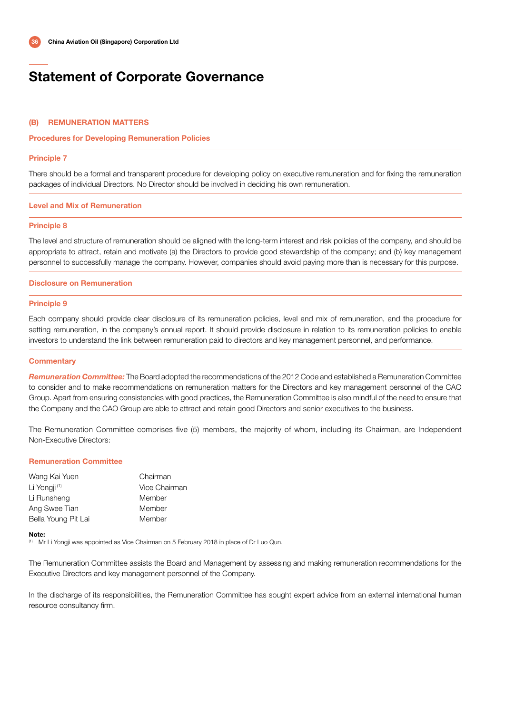#### (B) REMUNERATION MATTERS

#### Procedures for Developing Remuneration Policies

#### Principle 7

There should be a formal and transparent procedure for developing policy on executive remuneration and for fixing the remuneration packages of individual Directors. No Director should be involved in deciding his own remuneration.

#### Level and Mix of Remuneration

#### Principle 8

The level and structure of remuneration should be aligned with the long-term interest and risk policies of the company, and should be appropriate to attract, retain and motivate (a) the Directors to provide good stewardship of the company; and (b) key management personnel to successfully manage the company. However, companies should avoid paying more than is necessary for this purpose.

#### Disclosure on Remuneration

#### Principle 9

Each company should provide clear disclosure of its remuneration policies, level and mix of remuneration, and the procedure for setting remuneration, in the company's annual report. It should provide disclosure in relation to its remuneration policies to enable investors to understand the link between remuneration paid to directors and key management personnel, and performance.

#### **Commentary**

*Remuneration Committee:* The Board adopted the recommendations of the 2012 Code and established a Remuneration Committee to consider and to make recommendations on remuneration matters for the Directors and key management personnel of the CAO Group. Apart from ensuring consistencies with good practices, the Remuneration Committee is also mindful of the need to ensure that the Company and the CAO Group are able to attract and retain good Directors and senior executives to the business.

The Remuneration Committee comprises five (5) members, the majority of whom, including its Chairman, are Independent Non-Executive Directors:

#### Remuneration Committee

| Wang Kai Yuen            | Chairman      |
|--------------------------|---------------|
| Li Yongji <sup>(1)</sup> | Vice Chairman |
| Li Runsheng              | Member        |
| Ang Swee Tian            | Member        |
| Bella Young Pit Lai      | Member        |

#### Note:

(1) Mr Li Yongji was appointed as Vice Chairman on 5 February 2018 in place of Dr Luo Qun.

The Remuneration Committee assists the Board and Management by assessing and making remuneration recommendations for the Executive Directors and key management personnel of the Company.

In the discharge of its responsibilities, the Remuneration Committee has sought expert advice from an external international human resource consultancy firm.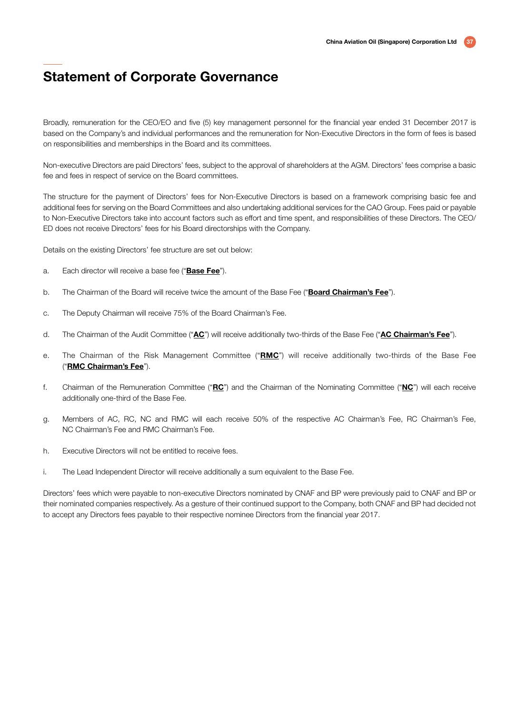Broadly, remuneration for the CEO/EO and five (5) key management personnel for the financial year ended 31 December 2017 is based on the Company's and individual performances and the remuneration for Non-Executive Directors in the form of fees is based on responsibilities and memberships in the Board and its committees.

Non-executive Directors are paid Directors' fees, subject to the approval of shareholders at the AGM. Directors' fees comprise a basic fee and fees in respect of service on the Board committees.

The structure for the payment of Directors' fees for Non-Executive Directors is based on a framework comprising basic fee and additional fees for serving on the Board Committees and also undertaking additional services for the CAO Group. Fees paid or payable to Non-Executive Directors take into account factors such as effort and time spent, and responsibilities of these Directors. The CEO/ ED does not receive Directors' fees for his Board directorships with the Company.

Details on the existing Directors' fee structure are set out below:

- a. Each director will receive a base fee ("**Base Fee**").
- b. The Chairman of the Board will receive twice the amount of the Base Fee ("Board Chairman's Fee").
- c. The Deputy Chairman will receive 75% of the Board Chairman's Fee.
- d. The Chairman of the Audit Committee ("**AC**") will receive additionally two-thirds of the Base Fee ("**AC Chairman's Fee**").
- e. The Chairman of the Risk Management Committee ("RMC") will receive additionally two-thirds of the Base Fee ("RMC Chairman's Fee").
- f. Chairman of the Remuneration Committee (" $\underline{RC}$ ") and the Chairman of the Nominating Committee (" $\underline{NC}$ ") will each receive additionally one-third of the Base Fee.
- g. Members of AC, RC, NC and RMC will each receive 50% of the respective AC Chairman's Fee, RC Chairman's Fee, NC Chairman's Fee and RMC Chairman's Fee.
- h. Executive Directors will not be entitled to receive fees.
- i. The Lead Independent Director will receive additionally a sum equivalent to the Base Fee.

Directors' fees which were payable to non-executive Directors nominated by CNAF and BP were previously paid to CNAF and BP or their nominated companies respectively. As a gesture of their continued support to the Company, both CNAF and BP had decided not to accept any Directors fees payable to their respective nominee Directors from the financial year 2017.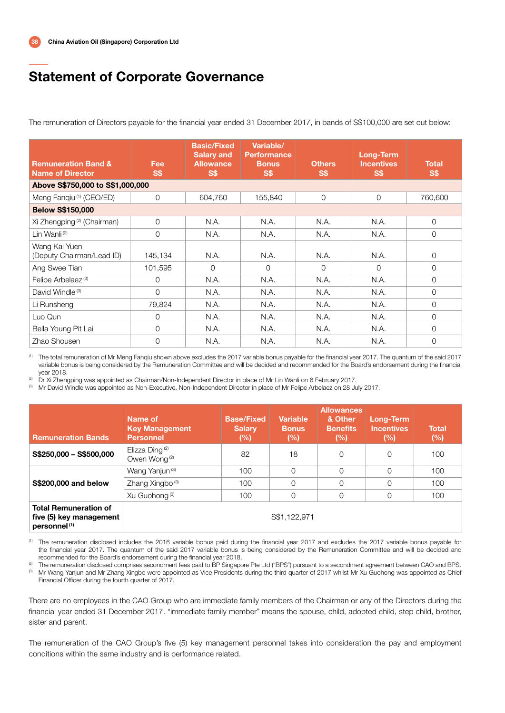The remuneration of Directors payable for the financial year ended 31 December 2017, in bands of S\$100,000 are set out below:

| <b>Remuneration Band &amp;</b><br><b>Name of Director</b> | Fee<br><b>S\$</b> | <b>Basic/Fixed</b><br><b>Salary and</b><br><b>Allowance</b><br>S\$ | Variable/<br><b>Performance</b><br><b>Bonus</b><br>S\$ | <b>Others</b><br>S\$ | Long-Term<br><b>Incentives</b><br>S\$ | <b>Total</b><br><b>S\$</b> |
|-----------------------------------------------------------|-------------------|--------------------------------------------------------------------|--------------------------------------------------------|----------------------|---------------------------------------|----------------------------|
| Above S\$750,000 to S\$1,000,000                          |                   |                                                                    |                                                        |                      |                                       |                            |
| Meng Fanqiu <sup>(1)</sup> (CEO/ED)                       | 0                 | 604,760                                                            | 155,840                                                | $\Omega$             | $\overline{0}$                        | 760,600                    |
| <b>Below S\$150,000</b>                                   |                   |                                                                    |                                                        |                      |                                       |                            |
| Xi Zhengping <sup>(2)</sup> (Chairman)                    | $\overline{O}$    | N.A.                                                               | N.A.                                                   | N.A.                 | N.A.                                  | $\mathbf{O}$               |
| Lin Wanli <sup>(2)</sup>                                  | 0                 | N.A.                                                               | N.A.                                                   | N.A.                 | N.A.                                  | $\Omega$                   |
| Wang Kai Yuen<br>(Deputy Chairman/Lead ID)                | 145,134           | N.A.                                                               | N.A.                                                   | N.A.                 | N.A.                                  | 0                          |
| Ang Swee Tian                                             | 101,595           | $\Omega$                                                           | $\Omega$                                               | $\Omega$             | $\Omega$                              | $\Omega$                   |
| Felipe Arbelaez <sup>(3)</sup>                            | $\Omega$          | N.A.                                                               | N.A.                                                   | N.A.                 | N.A.                                  | $\mathcal{O}$              |
| David Windle <sup>(3)</sup>                               | 0                 | N.A.                                                               | N.A.                                                   | N.A.                 | N.A.                                  | $\mathbf 0$                |
| Li Runsheng                                               | 79.824            | N.A.                                                               | N.A.                                                   | N.A.                 | N.A.                                  | $\Omega$                   |
| Luo Qun                                                   | $\Omega$          | N.A.                                                               | N.A.                                                   | N.A.                 | N.A.                                  | $\Omega$                   |
| Bella Young Pit Lai                                       | 0                 | N.A.                                                               | N.A.                                                   | N.A.                 | N.A.                                  | $\Omega$                   |
| Zhao Shousen                                              | $\Omega$          | N.A.                                                               | N.A.                                                   | N.A.                 | N.A.                                  | $\Omega$                   |

(1) The total remuneration of Mr Meng Fanqiu shown above excludes the 2017 variable bonus payable for the financial year 2017. The quantum of the said 2017 variable bonus is being considered by the Remuneration Committee and will be decided and recommended for the Board's endorsement during the financial

year 2018. (2) Dr Xi Zhengping was appointed as Chairman/Non-Independent Director in place of Mr Lin Wanli on 6 February 2017.

<sup>(3)</sup> Mr David Windle was appointed as Non-Executive, Non-Independent Director in place of Mr Felipe Arbelaez on 28 July 2017.

| <b>Remuneration Bands</b>                                                           | Name of<br><b>Key Management</b><br><b>Personnel</b>   | <b>Base/Fixed</b><br><b>Salary</b><br>(%) | <b>Variable</b><br><b>Bonus</b><br>(%) | <b>Allowances</b><br>& Other<br><b>Benefits</b><br>(%) | <b>Long-Term</b><br><b>Incentives</b><br>(%) | <b>Total</b><br>(%) |
|-------------------------------------------------------------------------------------|--------------------------------------------------------|-------------------------------------------|----------------------------------------|--------------------------------------------------------|----------------------------------------------|---------------------|
| S\$250,000 - S\$500,000                                                             | Elizza Ding <sup>(2)</sup><br>Owen Wong <sup>(2)</sup> | 82                                        | 18                                     | 0                                                      | $\Omega$                                     | 100                 |
|                                                                                     | Wang Yanjun <sup>(3)</sup>                             | 100                                       | $\Omega$                               | $\Omega$                                               | $\Omega$                                     | 100                 |
| \$\$200,000 and below                                                               | Zhang Xingbo <sup>(3)</sup>                            | 100                                       | $\Omega$                               | $\Omega$                                               | 0                                            | 100                 |
|                                                                                     | Xu Guohong <sup>(3)</sup>                              | 100                                       | $\Omega$                               | 0                                                      | $\mathcal{O}$                                | 100                 |
| <b>Total Remuneration of</b><br>five (5) key management<br>personnel <sup>(1)</sup> |                                                        |                                           | S\$1,122,971                           |                                                        |                                              |                     |

(1) The remuneration disclosed includes the 2016 variable bonus paid during the financial year 2017 and excludes the 2017 variable bonus payable for the financial year 2017. The quantum of the said 2017 variable bonus is being considered by the Remuneration Committee and will be decided and recommended for the Board's endorsement during the financial year 2018.

<sup>(2)</sup> The remuneration disclosed comprises secondment fees paid to BP Singapore Pte Ltd ("BPS") pursuant to a secondment agreement between CAO and BPS. <sup>(3)</sup> Mr Wang Yanjun and Mr Zhang Xingbo were appointed as Vice Presidents during the third quarter of 2017 whilst Mr Xu Guohong was appointed as Chief Financial Officer during the fourth quarter of 2017.

There are no employees in the CAO Group who are immediate family members of the Chairman or any of the Directors during the financial year ended 31 December 2017. "immediate family member" means the spouse, child, adopted child, step child, brother, sister and parent.

The remuneration of the CAO Group's five (5) key management personnel takes into consideration the pay and employment conditions within the same industry and is performance related.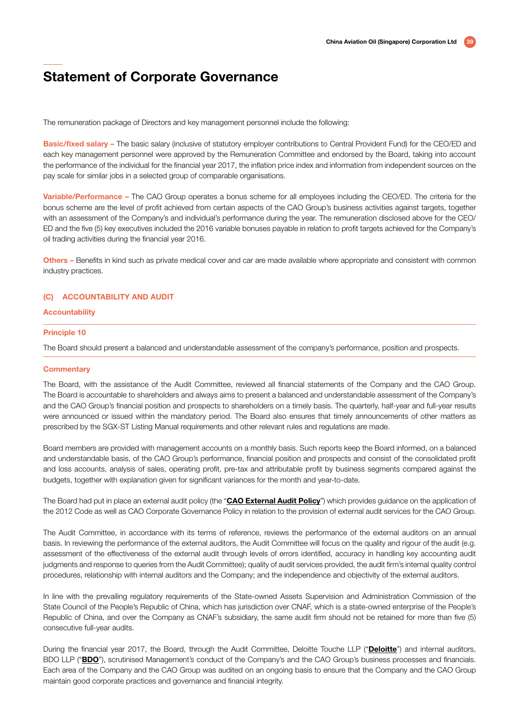The remuneration package of Directors and key management personnel include the following:

Basic/fixed salary – The basic salary (inclusive of statutory employer contributions to Central Provident Fund) for the CEO/ED and each key management personnel were approved by the Remuneration Committee and endorsed by the Board, taking into account the performance of the individual for the financial year 2017, the inflation price index and information from independent sources on the pay scale for similar jobs in a selected group of comparable organisations.

Variable/Performance – The CAO Group operates a bonus scheme for all employees including the CEO/ED. The criteria for the bonus scheme are the level of profit achieved from certain aspects of the CAO Group's business activities against targets, together with an assessment of the Company's and individual's performance during the year. The remuneration disclosed above for the CEO/ ED and the five (5) key executives included the 2016 variable bonuses payable in relation to profit targets achieved for the Company's oil trading activities during the financial year 2016.

Others – Benefits in kind such as private medical cover and car are made available where appropriate and consistent with common industry practices.

#### (C) ACCOUNTABILITY AND AUDIT

#### **Accountability**

#### Principle 10

The Board should present a balanced and understandable assessment of the company's performance, position and prospects.

#### **Commentary**

The Board, with the assistance of the Audit Committee, reviewed all financial statements of the Company and the CAO Group. The Board is accountable to shareholders and always aims to present a balanced and understandable assessment of the Company's and the CAO Group's financial position and prospects to shareholders on a timely basis. The quarterly, half-year and full-year results were announced or issued within the mandatory period. The Board also ensures that timely announcements of other matters as prescribed by the SGX-ST Listing Manual requirements and other relevant rules and regulations are made.

Board members are provided with management accounts on a monthly basis. Such reports keep the Board informed, on a balanced and understandable basis, of the CAO Group's performance, financial position and prospects and consist of the consolidated profit and loss accounts, analysis of sales, operating profit, pre-tax and attributable profit by business segments compared against the budgets, together with explanation given for significant variances for the month and year-to-date.

The Board had put in place an external audit policy (the "CAO External Audit Policy") which provides guidance on the application of the 2012 Code as well as CAO Corporate Governance Policy in relation to the provision of external audit services for the CAO Group.

The Audit Committee, in accordance with its terms of reference, reviews the performance of the external auditors on an annual basis. In reviewing the performance of the external auditors, the Audit Committee will focus on the quality and rigour of the audit (e.g. assessment of the effectiveness of the external audit through levels of errors identified, accuracy in handling key accounting audit judgments and response to queries from the Audit Committee); quality of audit services provided, the audit firm's internal quality control procedures, relationship with internal auditors and the Company; and the independence and objectivity of the external auditors.

In line with the prevailing regulatory requirements of the State-owned Assets Supervision and Administration Commission of the State Council of the People's Republic of China, which has jurisdiction over CNAF, which is a state-owned enterprise of the People's Republic of China, and over the Company as CNAF's subsidiary, the same audit firm should not be retained for more than five (5) consecutive full-year audits.

During the financial year 2017, the Board, through the Audit Committee, Deloitte Touche LLP ("Deloitte") and internal auditors, BDO LLP ("BDO"), scrutinised Management's conduct of the Company's and the CAO Group's business processes and financials. Each area of the Company and the CAO Group was audited on an ongoing basis to ensure that the Company and the CAO Group maintain good corporate practices and governance and financial integrity.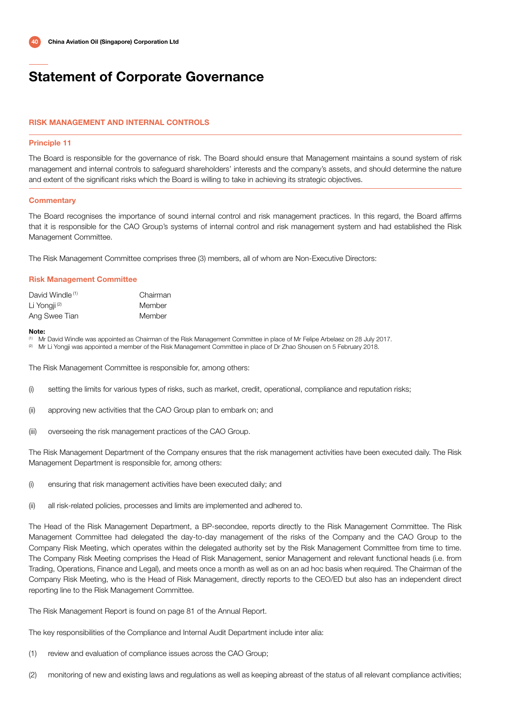#### RISK MANAGEMENT AND INTERNAL CONTROLS

#### Principle 11

The Board is responsible for the governance of risk. The Board should ensure that Management maintains a sound system of risk management and internal controls to safeguard shareholders' interests and the company's assets, and should determine the nature and extent of the significant risks which the Board is willing to take in achieving its strategic objectives.

#### **Commentary**

The Board recognises the importance of sound internal control and risk management practices. In this regard, the Board affirms that it is responsible for the CAO Group's systems of internal control and risk management system and had established the Risk Management Committee.

The Risk Management Committee comprises three (3) members, all of whom are Non-Executive Directors:

#### Risk Management Committee

| David Windle <sup>(1)</sup> | Chairman |
|-----------------------------|----------|
| Li Yonaii <sup>(2)</sup>    | Member   |
| Ang Swee Tian               | Member   |

#### Note:

(1) Mr David Windle was appointed as Chairman of the Risk Management Committee in place of Mr Felipe Arbelaez on 28 July 2017.

<sup>(2)</sup> Mr Li Yongji was appointed a member of the Risk Management Committee in place of Dr Zhao Shousen on 5 February 2018.

The Risk Management Committee is responsible for, among others:

- (i) setting the limits for various types of risks, such as market, credit, operational, compliance and reputation risks;
- (ii) approving new activities that the CAO Group plan to embark on; and
- (iii) overseeing the risk management practices of the CAO Group.

The Risk Management Department of the Company ensures that the risk management activities have been executed daily. The Risk Management Department is responsible for, among others:

- (i) ensuring that risk management activities have been executed daily; and
- (ii) all risk-related policies, processes and limits are implemented and adhered to.

The Head of the Risk Management Department, a BP-secondee, reports directly to the Risk Management Committee. The Risk Management Committee had delegated the day-to-day management of the risks of the Company and the CAO Group to the Company Risk Meeting, which operates within the delegated authority set by the Risk Management Committee from time to time. The Company Risk Meeting comprises the Head of Risk Management, senior Management and relevant functional heads (i.e. from Trading, Operations, Finance and Legal), and meets once a month as well as on an ad hoc basis when required. The Chairman of the Company Risk Meeting, who is the Head of Risk Management, directly reports to the CEO/ED but also has an independent direct reporting line to the Risk Management Committee.

The Risk Management Report is found on page 81 of the Annual Report.

The key responsibilities of the Compliance and Internal Audit Department include inter alia:

- (1) review and evaluation of compliance issues across the CAO Group;
- (2) monitoring of new and existing laws and regulations as well as keeping abreast of the status of all relevant compliance activities;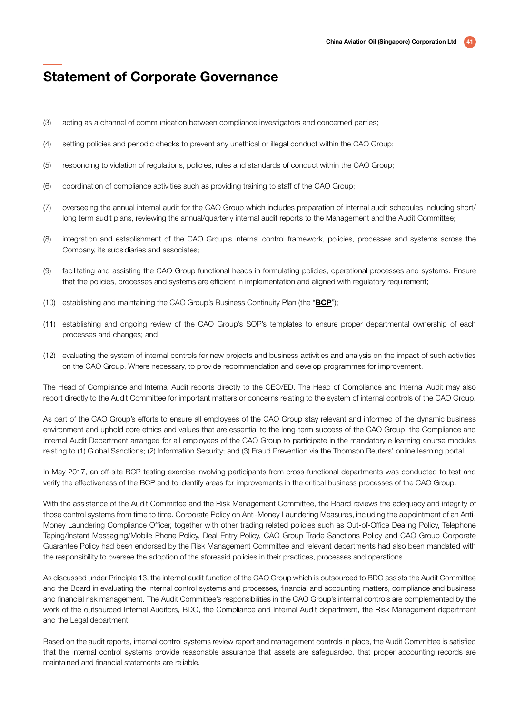- (3) acting as a channel of communication between compliance investigators and concerned parties;
- (4) setting policies and periodic checks to prevent any unethical or illegal conduct within the CAO Group;
- (5) responding to violation of regulations, policies, rules and standards of conduct within the CAO Group;
- (6) coordination of compliance activities such as providing training to staff of the CAO Group;
- (7) overseeing the annual internal audit for the CAO Group which includes preparation of internal audit schedules including short/ long term audit plans, reviewing the annual/quarterly internal audit reports to the Management and the Audit Committee;
- (8) integration and establishment of the CAO Group's internal control framework, policies, processes and systems across the Company, its subsidiaries and associates;
- (9) facilitating and assisting the CAO Group functional heads in formulating policies, operational processes and systems. Ensure that the policies, processes and systems are efficient in implementation and aligned with regulatory requirement;
- (10) establishing and maintaining the CAO Group's Business Continuity Plan (the "BCP");
- (11) establishing and ongoing review of the CAO Group's SOP's templates to ensure proper departmental ownership of each processes and changes; and
- (12) evaluating the system of internal controls for new projects and business activities and analysis on the impact of such activities on the CAO Group. Where necessary, to provide recommendation and develop programmes for improvement.

The Head of Compliance and Internal Audit reports directly to the CEO/ED. The Head of Compliance and Internal Audit may also report directly to the Audit Committee for important matters or concerns relating to the system of internal controls of the CAO Group.

As part of the CAO Group's efforts to ensure all employees of the CAO Group stay relevant and informed of the dynamic business environment and uphold core ethics and values that are essential to the long-term success of the CAO Group, the Compliance and Internal Audit Department arranged for all employees of the CAO Group to participate in the mandatory e-learning course modules relating to (1) Global Sanctions; (2) Information Security; and (3) Fraud Prevention via the Thomson Reuters' online learning portal.

In May 2017, an off-site BCP testing exercise involving participants from cross-functional departments was conducted to test and verify the effectiveness of the BCP and to identify areas for improvements in the critical business processes of the CAO Group.

With the assistance of the Audit Committee and the Risk Management Committee, the Board reviews the adequacy and integrity of those control systems from time to time. Corporate Policy on Anti-Money Laundering Measures, including the appointment of an Anti-Money Laundering Compliance Officer, together with other trading related policies such as Out-of-Office Dealing Policy, Telephone Taping/Instant Messaging/Mobile Phone Policy, Deal Entry Policy, CAO Group Trade Sanctions Policy and CAO Group Corporate Guarantee Policy had been endorsed by the Risk Management Committee and relevant departments had also been mandated with the responsibility to oversee the adoption of the aforesaid policies in their practices, processes and operations.

As discussed under Principle 13, the internal audit function of the CAO Group which is outsourced to BDO assists the Audit Committee and the Board in evaluating the internal control systems and processes, financial and accounting matters, compliance and business and financial risk management. The Audit Committee's responsibilities in the CAO Group's internal controls are complemented by the work of the outsourced Internal Auditors, BDO, the Compliance and Internal Audit department, the Risk Management department and the Legal department.

Based on the audit reports, internal control systems review report and management controls in place, the Audit Committee is satisfied that the internal control systems provide reasonable assurance that assets are safeguarded, that proper accounting records are maintained and financial statements are reliable.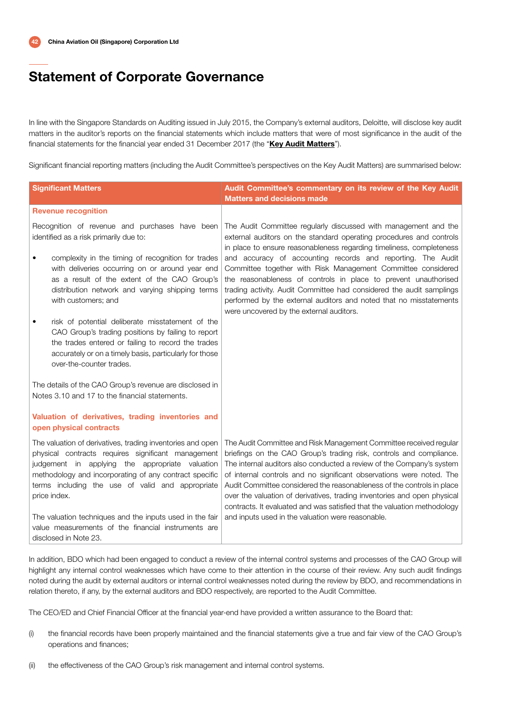In line with the Singapore Standards on Auditing issued in July 2015, the Company's external auditors, Deloitte, will disclose key audit matters in the auditor's reports on the financial statements which include matters that were of most significance in the audit of the financial statements for the financial year ended 31 December 2017 (the "Key Audit Matters").

Significant financial reporting matters (including the Audit Committee's perspectives on the Key Audit Matters) are summarised below:

| <b>Significant Matters</b>                                                                                                                                                                                                                                                                        | Audit Committee's commentary on its review of the Key Audit<br><b>Matters and decisions made</b>                                                                                                                                                                                                                                                                                                                                                                                                                             |
|---------------------------------------------------------------------------------------------------------------------------------------------------------------------------------------------------------------------------------------------------------------------------------------------------|------------------------------------------------------------------------------------------------------------------------------------------------------------------------------------------------------------------------------------------------------------------------------------------------------------------------------------------------------------------------------------------------------------------------------------------------------------------------------------------------------------------------------|
| <b>Revenue recognition</b>                                                                                                                                                                                                                                                                        |                                                                                                                                                                                                                                                                                                                                                                                                                                                                                                                              |
| Recognition of revenue and purchases have been<br>identified as a risk primarily due to:                                                                                                                                                                                                          | The Audit Committee regularly discussed with management and the<br>external auditors on the standard operating procedures and controls<br>in place to ensure reasonableness regarding timeliness, completeness                                                                                                                                                                                                                                                                                                               |
| complexity in the timing of recognition for trades<br>$\bullet$<br>with deliveries occurring on or around year end<br>as a result of the extent of the CAO Group's<br>distribution network and varying shipping terms<br>with customers; and                                                      | and accuracy of accounting records and reporting. The Audit<br>Committee together with Risk Management Committee considered<br>the reasonableness of controls in place to prevent unauthorised<br>trading activity. Audit Committee had considered the audit samplings<br>performed by the external auditors and noted that no misstatements<br>were uncovered by the external auditors.                                                                                                                                     |
| risk of potential deliberate misstatement of the<br>٠<br>CAO Group's trading positions by failing to report<br>the trades entered or failing to record the trades<br>accurately or on a timely basis, particularly for those<br>over-the-counter trades.                                          |                                                                                                                                                                                                                                                                                                                                                                                                                                                                                                                              |
| The details of the CAO Group's revenue are disclosed in<br>Notes 3.10 and 17 to the financial statements.                                                                                                                                                                                         |                                                                                                                                                                                                                                                                                                                                                                                                                                                                                                                              |
| Valuation of derivatives, trading inventories and<br>open physical contracts                                                                                                                                                                                                                      |                                                                                                                                                                                                                                                                                                                                                                                                                                                                                                                              |
| The valuation of derivatives, trading inventories and open<br>physical contracts requires significant management<br>judgement in applying the appropriate valuation<br>methodology and incorporating of any contract specific<br>terms including the use of valid and appropriate<br>price index. | The Audit Committee and Risk Management Committee received regular<br>briefings on the CAO Group's trading risk, controls and compliance.<br>The internal auditors also conducted a review of the Company's system<br>of internal controls and no significant observations were noted. The<br>Audit Committee considered the reasonableness of the controls in place<br>over the valuation of derivatives, trading inventories and open physical<br>contracts. It evaluated and was satisfied that the valuation methodology |
| The valuation techniques and the inputs used in the fair<br>value measurements of the financial instruments are<br>disclosed in Note 23.                                                                                                                                                          | and inputs used in the valuation were reasonable.                                                                                                                                                                                                                                                                                                                                                                                                                                                                            |

In addition, BDO which had been engaged to conduct a review of the internal control systems and processes of the CAO Group will highlight any internal control weaknesses which have come to their attention in the course of their review. Any such audit findings noted during the audit by external auditors or internal control weaknesses noted during the review by BDO, and recommendations in relation thereto, if any, by the external auditors and BDO respectively, are reported to the Audit Committee.

The CEO/ED and Chief Financial Officer at the financial year-end have provided a written assurance to the Board that:

- (i) the financial records have been properly maintained and the financial statements give a true and fair view of the CAO Group's operations and finances;
- (ii) the effectiveness of the CAO Group's risk management and internal control systems.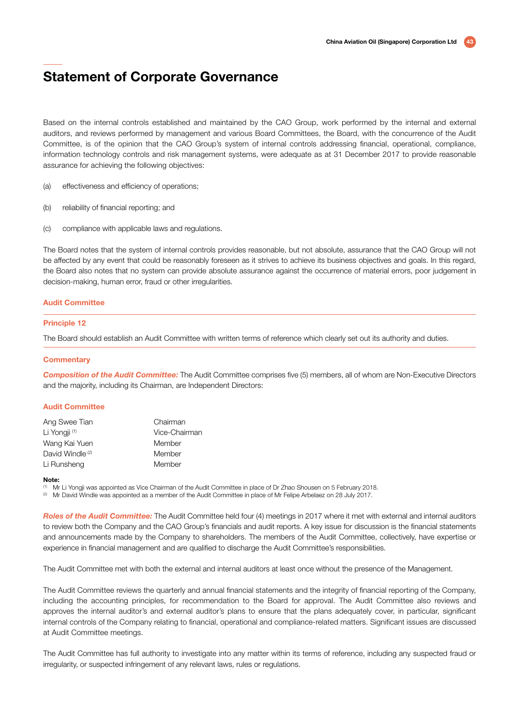Based on the internal controls established and maintained by the CAO Group, work performed by the internal and external auditors, and reviews performed by management and various Board Committees, the Board, with the concurrence of the Audit Committee, is of the opinion that the CAO Group's system of internal controls addressing financial, operational, compliance, information technology controls and risk management systems, were adequate as at 31 December 2017 to provide reasonable assurance for achieving the following objectives:

- (a) effectiveness and efficiency of operations;
- (b) reliability of financial reporting; and
- (c) compliance with applicable laws and regulations.

The Board notes that the system of internal controls provides reasonable, but not absolute, assurance that the CAO Group will not be affected by any event that could be reasonably foreseen as it strives to achieve its business objectives and goals. In this regard, the Board also notes that no system can provide absolute assurance against the occurrence of material errors, poor judgement in decision-making, human error, fraud or other irregularities.

#### Audit Committee

#### Principle 12

The Board should establish an Audit Committee with written terms of reference which clearly set out its authority and duties.

#### **Commentary**

*Composition of the Audit Committee:* The Audit Committee comprises five (5) members, all of whom are Non-Executive Directors and the majority, including its Chairman, are Independent Directors:

#### Audit Committee

| Ang Swee Tian               | Chairman      |
|-----------------------------|---------------|
| Li Yongji <sup>(1)</sup>    | Vice-Chairman |
| Wang Kai Yuen               | Member        |
| David Windle <sup>(2)</sup> | Member        |
| Li Runsheng                 | Member        |

#### Note:

(1) Mr Li Yongji was appointed as Vice Chairman of the Audit Committee in place of Dr Zhao Shousen on 5 February 2018.

<sup>(2)</sup> Mr David Windle was appointed as a member of the Audit Committee in place of Mr Felipe Arbelaez on 28 July 2017.

*Roles of the Audit Committee:* The Audit Committee held four (4) meetings in 2017 where it met with external and internal auditors to review both the Company and the CAO Group's financials and audit reports. A key issue for discussion is the financial statements and announcements made by the Company to shareholders. The members of the Audit Committee, collectively, have expertise or experience in financial management and are qualified to discharge the Audit Committee's responsibilities.

The Audit Committee met with both the external and internal auditors at least once without the presence of the Management.

The Audit Committee reviews the quarterly and annual financial statements and the integrity of financial reporting of the Company, including the accounting principles, for recommendation to the Board for approval. The Audit Committee also reviews and approves the internal auditor's and external auditor's plans to ensure that the plans adequately cover, in particular, significant internal controls of the Company relating to financial, operational and compliance-related matters. Significant issues are discussed at Audit Committee meetings.

The Audit Committee has full authority to investigate into any matter within its terms of reference, including any suspected fraud or irregularity, or suspected infringement of any relevant laws, rules or regulations.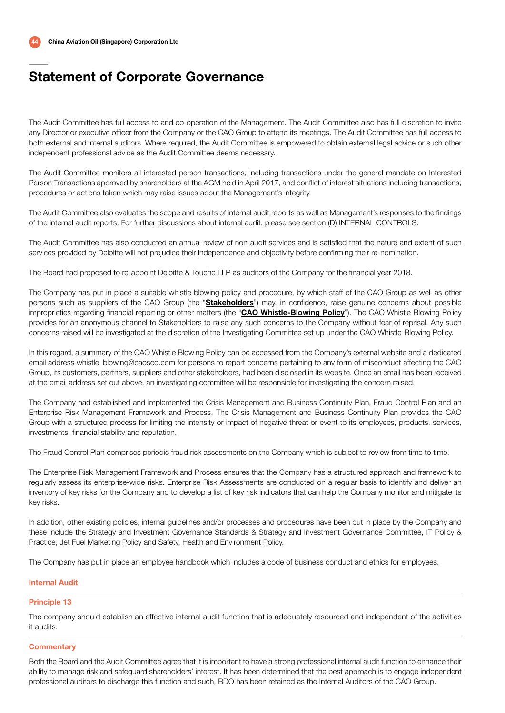The Audit Committee has full access to and co-operation of the Management. The Audit Committee also has full discretion to invite any Director or executive officer from the Company or the CAO Group to attend its meetings. The Audit Committee has full access to both external and internal auditors. Where required, the Audit Committee is empowered to obtain external legal advice or such other independent professional advice as the Audit Committee deems necessary.

The Audit Committee monitors all interested person transactions, including transactions under the general mandate on Interested Person Transactions approved by shareholders at the AGM held in April 2017, and conflict of interest situations including transactions, procedures or actions taken which may raise issues about the Management's integrity.

The Audit Committee also evaluates the scope and results of internal audit reports as well as Management's responses to the findings of the internal audit reports. For further discussions about internal audit, please see section (D) INTERNAL CONTROLS.

The Audit Committee has also conducted an annual review of non-audit services and is satisfied that the nature and extent of such services provided by Deloitte will not prejudice their independence and objectivity before confirming their re-nomination.

The Board had proposed to re-appoint Deloitte & Touche LLP as auditors of the Company for the financial year 2018.

The Company has put in place a suitable whistle blowing policy and procedure, by which staff of the CAO Group as well as other persons such as suppliers of the CAO Group (the "Stakeholders") may, in confidence, raise genuine concerns about possible improprieties regarding financial reporting or other matters (the "CAO Whistle-Blowing Policy"). The CAO Whistle Blowing Policy provides for an anonymous channel to Stakeholders to raise any such concerns to the Company without fear of reprisal. Any such concerns raised will be investigated at the discretion of the Investigating Committee set up under the CAO Whistle-Blowing Policy.

In this regard, a summary of the CAO Whistle Blowing Policy can be accessed from the Company's external website and a dedicated email address whistle\_blowing@caosco.com for persons to report concerns pertaining to any form of misconduct affecting the CAO Group, its customers, partners, suppliers and other stakeholders, had been disclosed in its website. Once an email has been received at the email address set out above, an investigating committee will be responsible for investigating the concern raised.

The Company had established and implemented the Crisis Management and Business Continuity Plan, Fraud Control Plan and an Enterprise Risk Management Framework and Process. The Crisis Management and Business Continuity Plan provides the CAO Group with a structured process for limiting the intensity or impact of negative threat or event to its employees, products, services, investments, financial stability and reputation.

The Fraud Control Plan comprises periodic fraud risk assessments on the Company which is subject to review from time to time.

The Enterprise Risk Management Framework and Process ensures that the Company has a structured approach and framework to regularly assess its enterprise-wide risks. Enterprise Risk Assessments are conducted on a regular basis to identify and deliver an inventory of key risks for the Company and to develop a list of key risk indicators that can help the Company monitor and mitigate its key risks.

In addition, other existing policies, internal guidelines and/or processes and procedures have been put in place by the Company and these include the Strategy and Investment Governance Standards & Strategy and Investment Governance Committee, IT Policy & Practice, Jet Fuel Marketing Policy and Safety, Health and Environment Policy.

The Company has put in place an employee handbook which includes a code of business conduct and ethics for employees.

### Internal Audit

#### Principle 13

The company should establish an effective internal audit function that is adequately resourced and independent of the activities it audits.

### **Commentary**

Both the Board and the Audit Committee agree that it is important to have a strong professional internal audit function to enhance their ability to manage risk and safeguard shareholders' interest. It has been determined that the best approach is to engage independent professional auditors to discharge this function and such, BDO has been retained as the Internal Auditors of the CAO Group.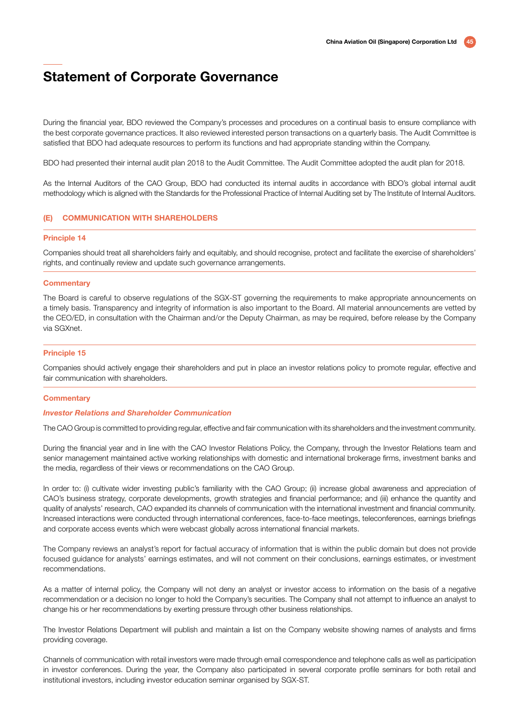During the financial year, BDO reviewed the Company's processes and procedures on a continual basis to ensure compliance with the best corporate governance practices. It also reviewed interested person transactions on a quarterly basis. The Audit Committee is satisfied that BDO had adequate resources to perform its functions and had appropriate standing within the Company.

BDO had presented their internal audit plan 2018 to the Audit Committee. The Audit Committee adopted the audit plan for 2018.

As the Internal Auditors of the CAO Group, BDO had conducted its internal audits in accordance with BDO's global internal audit methodology which is aligned with the Standards for the Professional Practice of Internal Auditing set by The Institute of Internal Auditors.

#### (E) COMMUNICATION WITH SHAREHOLDERS

#### Principle 14

Companies should treat all shareholders fairly and equitably, and should recognise, protect and facilitate the exercise of shareholders' rights, and continually review and update such governance arrangements.

#### **Commentary**

The Board is careful to observe regulations of the SGX-ST governing the requirements to make appropriate announcements on a timely basis. Transparency and integrity of information is also important to the Board. All material announcements are vetted by the CEO/ED, in consultation with the Chairman and/or the Deputy Chairman, as may be required, before release by the Company via SGXnet.

#### Principle 15

Companies should actively engage their shareholders and put in place an investor relations policy to promote regular, effective and fair communication with shareholders.

#### **Commentary**

#### *Investor Relations and Shareholder Communication*

The CAO Group is committed to providing regular, effective and fair communication with its shareholders and the investment community.

During the financial year and in line with the CAO Investor Relations Policy, the Company, through the Investor Relations team and senior management maintained active working relationships with domestic and international brokerage firms, investment banks and the media, regardless of their views or recommendations on the CAO Group.

In order to: (i) cultivate wider investing public's familiarity with the CAO Group; (ii) increase global awareness and appreciation of CAO's business strategy, corporate developments, growth strategies and financial performance; and (iii) enhance the quantity and quality of analysts' research, CAO expanded its channels of communication with the international investment and financial community. Increased interactions were conducted through international conferences, face-to-face meetings, teleconferences, earnings briefings and corporate access events which were webcast globally across international financial markets.

The Company reviews an analyst's report for factual accuracy of information that is within the public domain but does not provide focused guidance for analysts' earnings estimates, and will not comment on their conclusions, earnings estimates, or investment recommendations.

As a matter of internal policy, the Company will not deny an analyst or investor access to information on the basis of a negative recommendation or a decision no longer to hold the Company's securities. The Company shall not attempt to influence an analyst to change his or her recommendations by exerting pressure through other business relationships.

The Investor Relations Department will publish and maintain a list on the Company website showing names of analysts and firms providing coverage.

Channels of communication with retail investors were made through email correspondence and telephone calls as well as participation in investor conferences. During the year, the Company also participated in several corporate profile seminars for both retail and institutional investors, including investor education seminar organised by SGX-ST.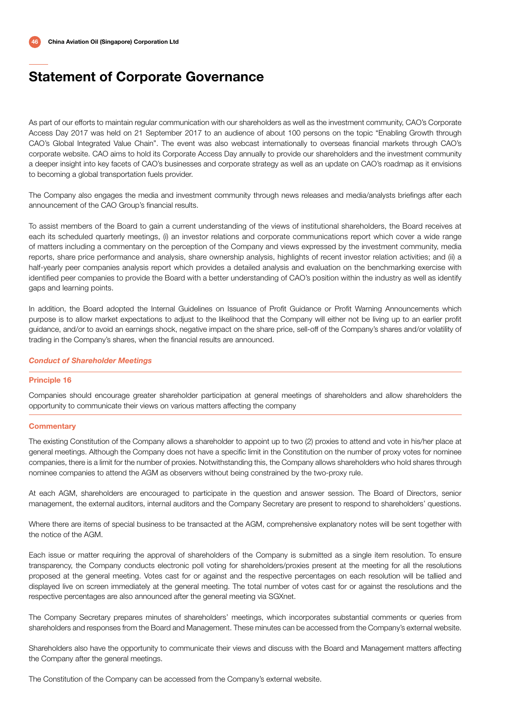As part of our efforts to maintain regular communication with our shareholders as well as the investment community, CAO's Corporate Access Day 2017 was held on 21 September 2017 to an audience of about 100 persons on the topic "Enabling Growth through CAO's Global Integrated Value Chain". The event was also webcast internationally to overseas financial markets through CAO's corporate website. CAO aims to hold its Corporate Access Day annually to provide our shareholders and the investment community a deeper insight into key facets of CAO's businesses and corporate strategy as well as an update on CAO's roadmap as it envisions to becoming a global transportation fuels provider.

The Company also engages the media and investment community through news releases and media/analysts briefings after each announcement of the CAO Group's financial results.

To assist members of the Board to gain a current understanding of the views of institutional shareholders, the Board receives at each its scheduled quarterly meetings, (i) an investor relations and corporate communications report which cover a wide range of matters including a commentary on the perception of the Company and views expressed by the investment community, media reports, share price performance and analysis, share ownership analysis, highlights of recent investor relation activities; and (ii) a half-yearly peer companies analysis report which provides a detailed analysis and evaluation on the benchmarking exercise with identified peer companies to provide the Board with a better understanding of CAO's position within the industry as well as identify gaps and learning points.

In addition, the Board adopted the Internal Guidelines on Issuance of Profit Guidance or Profit Warning Announcements which purpose is to allow market expectations to adjust to the likelihood that the Company will either not be living up to an earlier profit guidance, and/or to avoid an earnings shock, negative impact on the share price, sell-off of the Company's shares and/or volatility of trading in the Company's shares, when the financial results are announced.

#### *Conduct of Shareholder Meetings*

#### Principle 16

Companies should encourage greater shareholder participation at general meetings of shareholders and allow shareholders the opportunity to communicate their views on various matters affecting the company

#### **Commentary**

The existing Constitution of the Company allows a shareholder to appoint up to two (2) proxies to attend and vote in his/her place at general meetings. Although the Company does not have a specific limit in the Constitution on the number of proxy votes for nominee companies, there is a limit for the number of proxies. Notwithstanding this, the Company allows shareholders who hold shares through nominee companies to attend the AGM as observers without being constrained by the two-proxy rule.

At each AGM, shareholders are encouraged to participate in the question and answer session. The Board of Directors, senior management, the external auditors, internal auditors and the Company Secretary are present to respond to shareholders' questions.

Where there are items of special business to be transacted at the AGM, comprehensive explanatory notes will be sent together with the notice of the AGM.

Each issue or matter requiring the approval of shareholders of the Company is submitted as a single item resolution. To ensure transparency, the Company conducts electronic poll voting for shareholders/proxies present at the meeting for all the resolutions proposed at the general meeting. Votes cast for or against and the respective percentages on each resolution will be tallied and displayed live on screen immediately at the general meeting. The total number of votes cast for or against the resolutions and the respective percentages are also announced after the general meeting via SGXnet.

The Company Secretary prepares minutes of shareholders' meetings, which incorporates substantial comments or queries from shareholders and responses from the Board and Management. These minutes can be accessed from the Company's external website.

Shareholders also have the opportunity to communicate their views and discuss with the Board and Management matters affecting the Company after the general meetings.

The Constitution of the Company can be accessed from the Company's external website.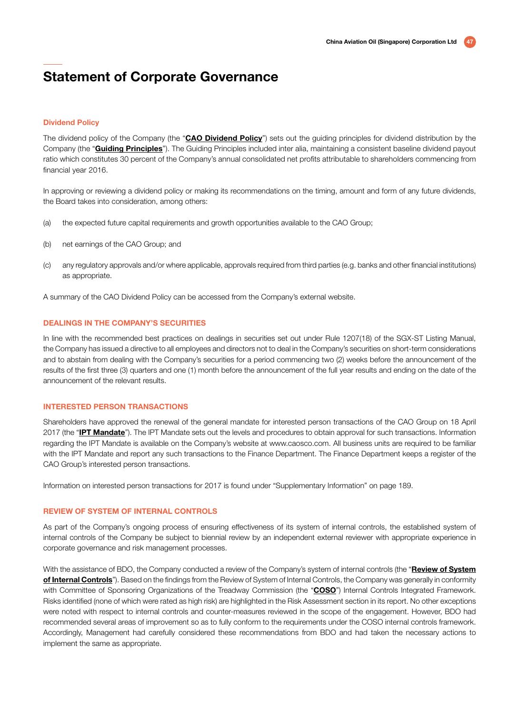#### Dividend Policy

The dividend policy of the Company (the "CAO Dividend Policy") sets out the guiding principles for dividend distribution by the Company (the "**Guiding Principles**"). The Guiding Principles included inter alia, maintaining a consistent baseline dividend payout ratio which constitutes 30 percent of the Company's annual consolidated net profits attributable to shareholders commencing from financial year 2016.

In approving or reviewing a dividend policy or making its recommendations on the timing, amount and form of any future dividends, the Board takes into consideration, among others:

- (a) the expected future capital requirements and growth opportunities available to the CAO Group;
- (b) net earnings of the CAO Group; and
- (c) any regulatory approvals and/or where applicable, approvals required from third parties (e.g. banks and other financial institutions) as appropriate.

A summary of the CAO Dividend Policy can be accessed from the Company's external website.

#### DEALINGS IN THE COMPANY'S SECURITIES

In line with the recommended best practices on dealings in securities set out under Rule 1207(18) of the SGX-ST Listing Manual, the Company has issued a directive to all employees and directors not to deal in the Company's securities on short-term considerations and to abstain from dealing with the Company's securities for a period commencing two (2) weeks before the announcement of the results of the first three (3) quarters and one (1) month before the announcement of the full year results and ending on the date of the announcement of the relevant results.

#### INTERESTED PERSON TRANSACTIONS

Shareholders have approved the renewal of the general mandate for interested person transactions of the CAO Group on 18 April 2017 (the "IPT Mandate"). The IPT Mandate sets out the levels and procedures to obtain approval for such transactions. Information regarding the IPT Mandate is available on the Company's website at www.caosco.com. All business units are required to be familiar with the IPT Mandate and report any such transactions to the Finance Department. The Finance Department keeps a register of the CAO Group's interested person transactions.

Information on interested person transactions for 2017 is found under "Supplementary Information" on page 189.

#### REVIEW OF SYSTEM OF INTERNAL CONTROLS

As part of the Company's ongoing process of ensuring effectiveness of its system of internal controls, the established system of internal controls of the Company be subject to biennial review by an independent external reviewer with appropriate experience in corporate governance and risk management processes.

With the assistance of BDO, the Company conducted a review of the Company's system of internal controls (the "Review of System") of Internal Controls"). Based on the findings from the Review of System of Internal Controls, the Company was generally in conformity with Committee of Sponsoring Organizations of the Treadway Commission (the "COSO") Internal Controls Integrated Framework. Risks identified (none of which were rated as high risk) are highlighted in the Risk Assessment section in its report. No other exceptions were noted with respect to internal controls and counter-measures reviewed in the scope of the engagement. However, BDO had recommended several areas of improvement so as to fully conform to the requirements under the COSO internal controls framework. Accordingly, Management had carefully considered these recommendations from BDO and had taken the necessary actions to implement the same as appropriate.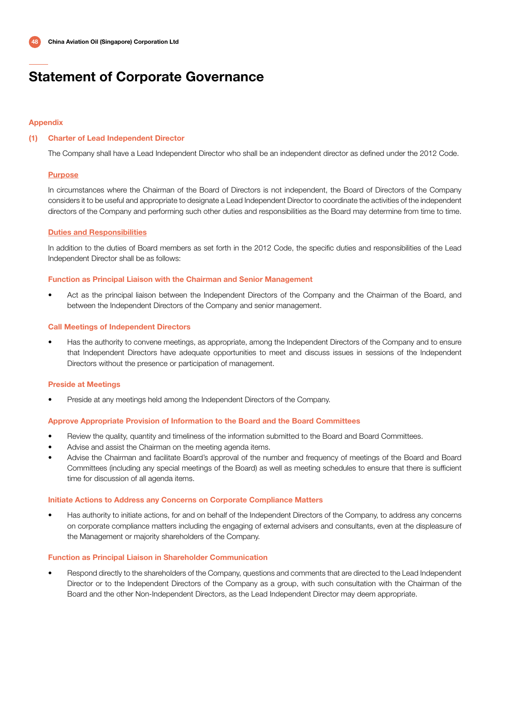### Appendix

### (1) Charter of Lead Independent Director

The Company shall have a Lead Independent Director who shall be an independent director as defined under the 2012 Code.

### Purpose

In circumstances where the Chairman of the Board of Directors is not independent, the Board of Directors of the Company considers it to be useful and appropriate to designate a Lead Independent Director to coordinate the activities of the independent directors of the Company and performing such other duties and responsibilities as the Board may determine from time to time.

### Duties and Responsibilities

In addition to the duties of Board members as set forth in the 2012 Code, the specific duties and responsibilities of the Lead Independent Director shall be as follows:

#### Function as Principal Liaison with the Chairman and Senior Management

• Act as the principal liaison between the Independent Directors of the Company and the Chairman of the Board, and between the Independent Directors of the Company and senior management.

#### Call Meetings of Independent Directors

• Has the authority to convene meetings, as appropriate, among the Independent Directors of the Company and to ensure that Independent Directors have adequate opportunities to meet and discuss issues in sessions of the Independent Directors without the presence or participation of management.

#### Preside at Meetings

• Preside at any meetings held among the Independent Directors of the Company.

#### Approve Appropriate Provision of Information to the Board and the Board Committees

- Review the quality, quantity and timeliness of the information submitted to the Board and Board Committees.
- Advise and assist the Chairman on the meeting agenda items.
- Advise the Chairman and facilitate Board's approval of the number and frequency of meetings of the Board and Board Committees (including any special meetings of the Board) as well as meeting schedules to ensure that there is sufficient time for discussion of all agenda items.

#### Initiate Actions to Address any Concerns on Corporate Compliance Matters

• Has authority to initiate actions, for and on behalf of the Independent Directors of the Company, to address any concerns on corporate compliance matters including the engaging of external advisers and consultants, even at the displeasure of the Management or majority shareholders of the Company.

#### Function as Principal Liaison in Shareholder Communication

• Respond directly to the shareholders of the Company, questions and comments that are directed to the Lead Independent Director or to the Independent Directors of the Company as a group, with such consultation with the Chairman of the Board and the other Non-Independent Directors, as the Lead Independent Director may deem appropriate.